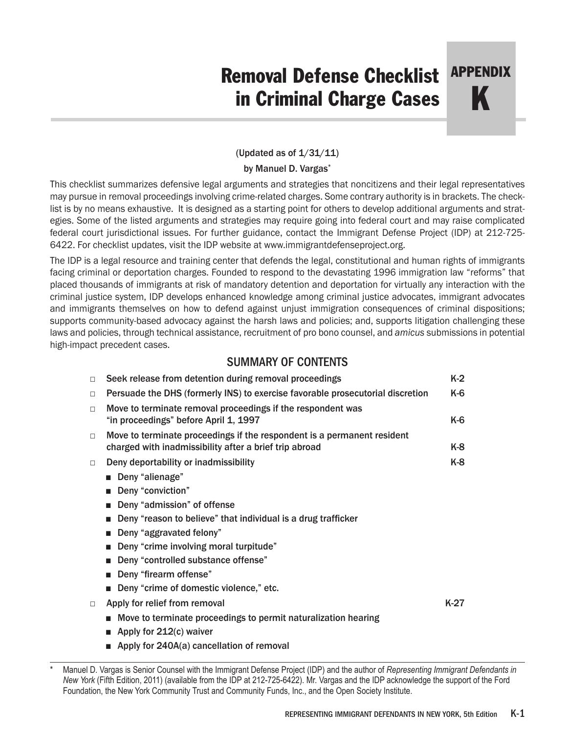# Removal Defense Checklist in Criminal Charge Cases APPENDIX

K

# (Updated as of  $1/31/11$ )

### by Manuel D. Vargas\*

This checklist summarizes defensive legal arguments and strategies that noncitizens and their legal representatives may pursue in removal proceedings involving crime-related charges. Some contrary authority is in brackets. The checklist is by no means exhaustive. It is designed as a starting point for others to develop additional arguments and strategies. Some of the listed arguments and strategies may require going into federal court and may raise complicated federal court jurisdictional issues. For further guidance, contact the Immigrant Defense Project (IDP) at 212-725- 6422. For checklist updates, visit the IDP website at www.immigrantdefenseproject.org.

The IDP is a legal resource and training center that defends the legal, constitutional and human rights of immigrants facing criminal or deportation charges. Founded to respond to the devastating 1996 immigration law "reforms" that placed thousands of immigrants at risk of mandatory detention and deportation for virtually any interaction with the criminal justice system, IDP develops enhanced knowledge among criminal justice advocates, immigrant advocates and immigrants themselves on how to defend against unjust immigration consequences of criminal dispositions; supports community-based advocacy against the harsh laws and policies; and, supports litigation challenging these laws and policies, through technical assistance, recruitment of pro bono counsel, and *amicus* submissions in potential high-impact precedent cases.

# SUMMARY OF CONTENTS

| $\Box$ | Seek release from detention during removal proceedings                                                                            | $K-2$  |
|--------|-----------------------------------------------------------------------------------------------------------------------------------|--------|
| $\Box$ | Persuade the DHS (formerly INS) to exercise favorable prosecutorial discretion                                                    | K-6    |
| $\Box$ | Move to terminate removal proceedings if the respondent was<br>"in proceedings" before April 1, 1997                              | K-6    |
| $\Box$ | Move to terminate proceedings if the respondent is a permanent resident<br>charged with inadmissibility after a brief trip abroad | K-8    |
| $\Box$ | Deny deportability or inadmissibility                                                                                             | K-8    |
|        | Deny "alienage"                                                                                                                   |        |
|        | Deny "conviction"                                                                                                                 |        |
|        | Deny "admission" of offense<br>٠                                                                                                  |        |
|        | Deny "reason to believe" that individual is a drug trafficker<br>ш                                                                |        |
|        | Deny "aggravated felony"<br>ш                                                                                                     |        |
|        | Deny "crime involving moral turpitude"                                                                                            |        |
|        | Deny "controlled substance offense"                                                                                               |        |
|        | Deny "firearm offense"                                                                                                            |        |
|        | Deny "crime of domestic violence," etc.                                                                                           |        |
| $\Box$ | Apply for relief from removal                                                                                                     | $K-27$ |
|        | ■ Move to terminate proceedings to permit naturalization hearing                                                                  |        |
|        | Apply for 212(c) waiver<br>$\mathbf{r}$                                                                                           |        |
|        | Apply for 240A(a) cancellation of removal                                                                                         |        |

Manuel D. Vargas is Senior Counsel with the Immigrant Defense Project (IDP) and the author of *Representing Immigrant Defendants in New York* (Fifth Edition, 2011) (available from the IDP at 212-725-6422). Mr. Vargas and the IDP acknowledge the support of the Ford Foundation, the New York Community Trust and Community Funds, Inc., and the Open Society Institute.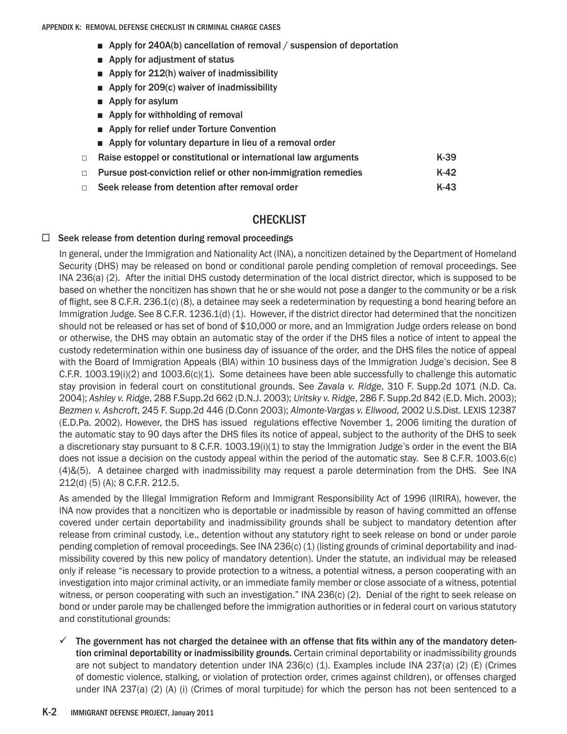- Apply for 240A(b) cancellation of removal / suspension of deportation
- Apply for adjustment of status
- Apply for 212(h) waiver of inadmissibility
- Apply for 209(c) waiver of inadmissibility
- Apply for asylum
- Apply for withholding of removal
- Apply for relief under Torture Convention
- Apply for voluntary departure in lieu of a removal order
- □ Raise estoppel or constitutional or international law arguments K-39
- □ Pursue post-conviction relief or other non-immigration remedies K-42
- $\Box$  Seek release from detention after removal order  $\Box$  K-43

# **CHECKLIST**

# $\Box$  Seek release from detention during removal proceedings

In general, under the Immigration and Nationality Act (INA), a noncitizen detained by the Department of Homeland Security (DHS) may be released on bond or conditional parole pending completion of removal proceedings. See INA 236(a) (2). After the initial DHS custody determination of the local district director, which is supposed to be based on whether the noncitizen has shown that he or she would not pose a danger to the community or be a risk of flight, see 8 C.F.R. 236.1(c) (8), a detainee may seek a redetermination by requesting a bond hearing before an Immigration Judge. See 8 C.F.R. 1236.1(d) (1). However, if the district director had determined that the noncitizen should not be released or has set of bond of \$10,000 or more, and an Immigration Judge orders release on bond or otherwise, the DHS may obtain an automatic stay of the order if the DHS files a notice of intent to appeal the custody redetermination within one business day of issuance of the order, and the DHS files the notice of appeal with the Board of Immigration Appeals (BIA) within 10 business days of the Immigration Judge's decision. See 8 C.F.R. 1003.19(i)(2) and 1003.6(c)(1). Some detainees have been able successfully to challenge this automatic stay provision in federal court on constitutional grounds. See *Zavala v. Ridge*, 310 F. Supp.2d 1071 (N.D. Ca. 2004); *Ashley v. Ridge*, 288 F.Supp.2d 662 (D.N.J. 2003); *Uritsky v. Ridge*, 286 F. Supp.2d 842 (E.D. Mich. 2003); *Bezmen v. Ashcroft*, 245 F. Supp.2d 446 (D.Conn 2003); *Almonte-Vargas v. Ellwood,* 2002 U.S.Dist. LEXIS 12387 (E.D.Pa. 2002). However, the DHS has issued regulations effective November 1, 2006 limiting the duration of the automatic stay to 90 days after the DHS files its notice of appeal, subject to the authority of the DHS to seek a discretionary stay pursuant to 8 C.F.R. 1003.19(i)(1) to stay the Immigration Judge's order in the event the BIA does not issue a decision on the custody appeal within the period of the automatic stay. See 8 C.F.R. 1003.6(c) (4)&(5). A detainee charged with inadmissibility may request a parole determination from the DHS. See INA 212(d) (5) (A); 8 C.F.R. 212.5.

As amended by the Illegal Immigration Reform and Immigrant Responsibility Act of 1996 (IIRIRA), however, the INA now provides that a noncitizen who is deportable or inadmissible by reason of having committed an offense covered under certain deportability and inadmissibility grounds shall be subject to mandatory detention after release from criminal custody, i.e., detention without any statutory right to seek release on bond or under parole pending completion of removal proceedings. See INA 236(c) (1) (listing grounds of criminal deportability and inadmissibility covered by this new policy of mandatory detention). Under the statute, an individual may be released only if release "is necessary to provide protection to a witness, a potential witness, a person cooperating with an investigation into major criminal activity, or an immediate family member or close associate of a witness, potential witness, or person cooperating with such an investigation." INA 236(c) (2). Denial of the right to seek release on bond or under parole may be challenged before the immigration authorities or in federal court on various statutory and constitutional grounds:

 $\checkmark$  The government has not charged the detainee with an offense that fits within any of the mandatory detention criminal deportability or inadmissibility grounds. Certain criminal deportability or inadmissibility grounds are not subject to mandatory detention under INA 236(c) (1). Examples include INA 237(a) (2) (E) (Crimes of domestic violence, stalking, or violation of protection order, crimes against children), or offenses charged under INA 237(a) (2) (A) (i) (Crimes of moral turpitude) for which the person has not been sentenced to a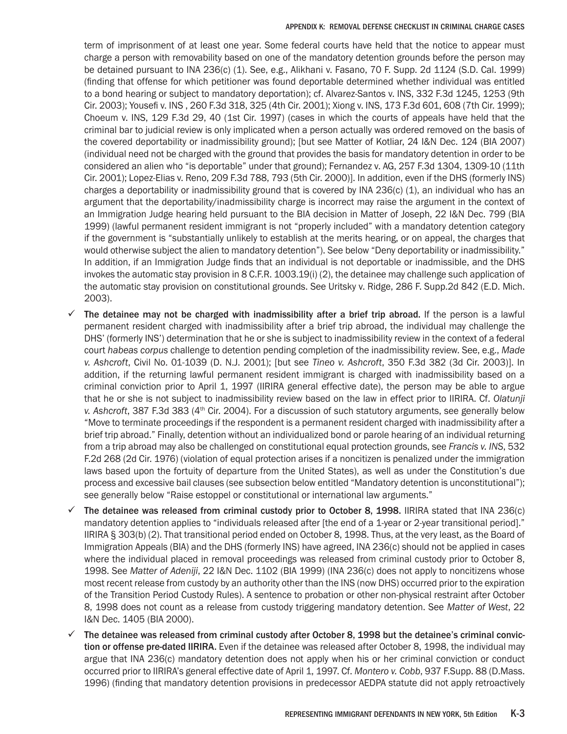term of imprisonment of at least one year. Some federal courts have held that the notice to appear must charge a person with removability based on one of the mandatory detention grounds before the person may be detained pursuant to INA 236(c) (1). See, e.g., Alikhani v. Fasano, 70 F. Supp. 2d 1124 (S.D. Cal. 1999) (finding that offense for which petitioner was found deportable determined whether individual was entitled to a bond hearing or subject to mandatory deportation); cf. Alvarez-Santos v. INS, 332 F.3d 1245, 1253 (9th Cir. 2003); Yousefi v. INS , 260 F.3d 318, 325 (4th Cir. 2001); Xiong v. INS, 173 F.3d 601, 608 (7th Cir. 1999); Choeum v. INS, 129 F.3d 29, 40 (1st Cir. 1997) (cases in which the courts of appeals have held that the criminal bar to judicial review is only implicated when a person actually was ordered removed on the basis of the covered deportability or inadmissibility ground); [but see Matter of Kotliar, 24 I&N Dec. 124 (BIA 2007) (individual need not be charged with the ground that provides the basis for mandatory detention in order to be considered an alien who "is deportable" under that ground); Fernandez v. AG, 257 F.3d 1304, 1309-10 (11th Cir. 2001); Lopez-Elias v. Reno, 209 F.3d 788, 793 (5th Cir. 2000)]. In addition, even if the DHS (formerly INS) charges a deportability or inadmissibility ground that is covered by INA 236(c) (1), an individual who has an argument that the deportability/inadmissibility charge is incorrect may raise the argument in the context of an Immigration Judge hearing held pursuant to the BIA decision in Matter of Joseph, 22 I&N Dec. 799 (BIA 1999) (lawful permanent resident immigrant is not "properly included" with a mandatory detention category if the government is "substantially unlikely to establish at the merits hearing, or on appeal, the charges that would otherwise subject the alien to mandatory detention"). See below "Deny deportability or inadmissibility." In addition, if an Immigration Judge finds that an individual is not deportable or inadmissible, and the DHS invokes the automatic stay provision in 8 C.F.R. 1003.19(i) (2), the detainee may challenge such application of the automatic stay provision on constitutional grounds. See Uritsky v. Ridge, 286 F. Supp.2d 842 (E.D. Mich. 2003).

- $\checkmark$  The detainee may not be charged with inadmissibility after a brief trip abroad. If the person is a lawful permanent resident charged with inadmissibility after a brief trip abroad, the individual may challenge the DHS' (formerly INS') determination that he or she is subject to inadmissibility review in the context of a federal court *habeas corpus* challenge to detention pending completion of the inadmissibility review. See, e.g., *Made v. Ashcroft*, Civil No. 01-1039 (D. N.J. 2001); [but see *Tineo v. Ashcroft*, 350 F.3d 382 (3d Cir. 2003)]. In addition, if the returning lawful permanent resident immigrant is charged with inadmissibility based on a criminal conviction prior to April 1, 1997 (IIRIRA general effective date), the person may be able to argue that he or she is not subject to inadmissibility review based on the law in effect prior to IIRIRA. Cf. *Olatunji v. Ashcroft*, 387 F.3d 383 (4th Cir. 2004). For a discussion of such statutory arguments, see generally below "Move to terminate proceedings if the respondent is a permanent resident charged with inadmissibility after a brief trip abroad." Finally, detention without an individualized bond or parole hearing of an individual returning from a trip abroad may also be challenged on constitutional equal protection grounds, see *Francis v. INS*, 532 F.2d 268 (2d Cir. 1976) (violation of equal protection arises if a noncitizen is penalized under the immigration laws based upon the fortuity of departure from the United States), as well as under the Constitution's due process and excessive bail clauses (see subsection below entitled "Mandatory detention is unconstitutional"); see generally below "Raise estoppel or constitutional or international law arguments."
- $\checkmark$  The detainee was released from criminal custody prior to October 8, 1998. IIRIRA stated that INA 236(c) mandatory detention applies to "individuals released after [the end of a 1-year or 2-year transitional period]." IIRIRA § 303(b) (2). That transitional period ended on October 8, 1998. Thus, at the very least, as the Board of Immigration Appeals (BIA) and the DHS (formerly INS) have agreed, INA 236(c) should not be applied in cases where the individual placed in removal proceedings was released from criminal custody prior to October 8, 1998. See *Matter of Adeniji*, 22 I&N Dec. 1102 (BIA 1999) (INA 236(c) does not apply to noncitizens whose most recent release from custody by an authority other than the INS (now DHS) occurred prior to the expiration of the Transition Period Custody Rules). A sentence to probation or other non-physical restraint after October 8, 1998 does not count as a release from custody triggering mandatory detention. See *Matter of West*, 22 I&N Dec. 1405 (BIA 2000).
- The detainee was released from criminal custody after October 8, 1998 but the detainee's criminal conviction or offense pre-dated IIRIRA. Even if the detainee was released after October 8, 1998, the individual may argue that INA 236(c) mandatory detention does not apply when his or her criminal conviction or conduct occurred prior to IIRIRA's general effective date of April 1, 1997. Cf. *Montero v. Cobb*, 937 F.Supp. 88 (D.Mass. 1996) (finding that mandatory detention provisions in predecessor AEDPA statute did not apply retroactively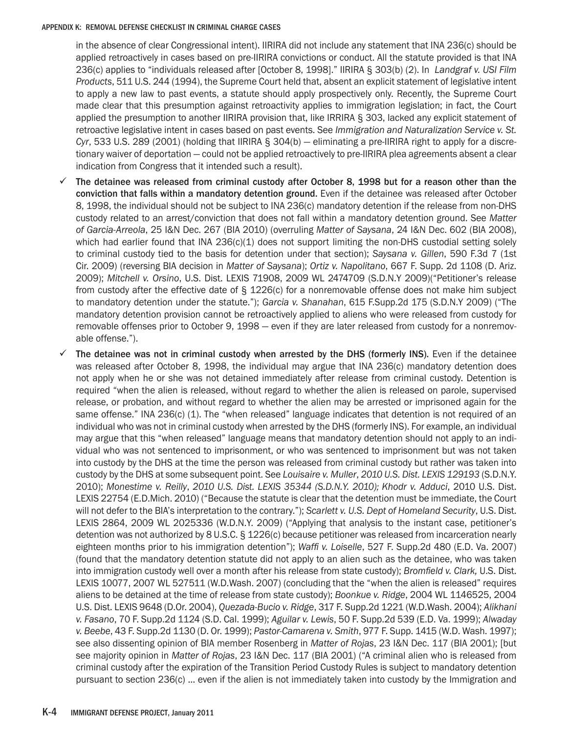in the absence of clear Congressional intent). IIRIRA did not include any statement that INA 236(c) should be applied retroactively in cases based on pre-IIRIRA convictions or conduct. All the statute provided is that INA 236(c) applies to "individuals released after [October 8, 1998]." IIRIRA § 303(b) (2). In *Landgraf v. USI Film Products*, 511 U.S. 244 (1994), the Supreme Court held that, absent an explicit statement of legislative intent to apply a new law to past events, a statute should apply prospectively only. Recently, the Supreme Court made clear that this presumption against retroactivity applies to immigration legislation; in fact, the Court applied the presumption to another IIRIRA provision that, like IRRIRA § 303, lacked any explicit statement of retroactive legislative intent in cases based on past events. See *Immigration and Naturalization Service v. St. Cyr*, 533 U.S. 289 (2001) (holding that IIRIRA § 304(b) — eliminating a pre-IIRIRA right to apply for a discretionary waiver of deportation — could not be applied retroactively to pre-IIRIRA plea agreements absent a clear indication from Congress that it intended such a result).

- The detainee was released from criminal custody after October 8, 1998 but for a reason other than the conviction that falls within a mandatory detention ground. Even if the detainee was released after October 8, 1998, the individual should not be subject to INA 236(c) mandatory detention if the release from non-DHS custody related to an arrest/conviction that does not fall within a mandatory detention ground. See *Matter of Garcia-Arreola*, 25 I&N Dec. 267 (BIA 2010) (overruling *Matter of Saysana*, 24 I&N Dec. 602 (BIA 2008), which had earlier found that INA 236(c)(1) does not support limiting the non-DHS custodial setting solely to criminal custody tied to the basis for detention under that section); *Saysana v. Gillen*, 590 F.3d 7 (1st Cir. 2009) (reversing BIA decision in *Matter of Saysana*); *Ortiz v. Napolitano*, 667 F. Supp. 2d 1108 (D. Ariz. 2009); *Mitchell v. Orsino*, U.S. Dist. LEXIS 71908, 2009 WL 2474709 (S.D.N.Y 2009)("Petitioner's release from custody after the effective date of § 1226(c) for a nonremovable offense does not make him subject to mandatory detention under the statute."); *Garcia v. Shanahan*, 615 F.Supp.2d 175 (S.D.N.Y 2009) ("The mandatory detention provision cannot be retroactively applied to aliens who were released from custody for removable offenses prior to October 9, 1998 - even if they are later released from custody for a nonremovable offense.").
- The detainee was not in criminal custody when arrested by the DHS (formerly INS). Even if the detainee was released after October 8, 1998, the individual may argue that INA 236(c) mandatory detention does not apply when he or she was not detained immediately after release from criminal custody. Detention is required "when the alien is released, without regard to whether the alien is released on parole, supervised release, or probation, and without regard to whether the alien may be arrested or imprisoned again for the same offense." INA 236(c) (1). The "when released" language indicates that detention is not required of an individual who was not in criminal custody when arrested by the DHS (formerly INS). For example, an individual may argue that this "when released" language means that mandatory detention should not apply to an individual who was not sentenced to imprisonment, or who was sentenced to imprisonment but was not taken into custody by the DHS at the time the person was released from criminal custody but rather was taken into custody by the DHS at some subsequent point. See *Louisaire v. Muller*, *2010 U.S. Dist. LEXIS 129193* (S.D.N.Y. 2010); *Monestime v. Reilly*, *2010 U.S. Dist. LEXIS 35344 (S.D.N.Y. 2010); Khodr v. Adduci*, 2010 U.S. Dist. LEXIS 22754 (E.D.Mich. 2010) ("Because the statute is clear that the detention must be immediate, the Court will not defer to the BIA's interpretation to the contrary."); *Scarlett v. U.S. Dept of Homeland Security*, U.S. Dist. LEXIS 2864, 2009 WL 2025336 (W.D.N.Y. 2009) ("Applying that analysis to the instant case, petitioner's detention was not authorized by 8 U.S.C. § 1226(c) because petitioner was released from incarceration nearly eighteen months prior to his immigration detention"); *Waffi v. Loiselle*, 527 F. Supp.2d 480 (E.D. Va. 2007) (found that the mandatory detention statute did not apply to an alien such as the detainee, who was taken into immigration custody well over a month after his release from state custody); *Bromfield v. Clark,* U.S. Dist. LEXIS 10077, 2007 WL 527511 (W.D.Wash. 2007) (concluding that the "when the alien is released" requires aliens to be detained at the time of release from state custody); *Boonkue v. Ridge*, 2004 WL 1146525, 2004 U.S. Dist. LEXIS 9648 (D.Or. 2004), *Quezada-Bucio v. Ridge*, 317 F. Supp.2d 1221 (W.D.Wash. 2004); *Alikhani v. Fasano*, 70 F. Supp.2d 1124 (S.D. Cal. 1999); *Aguilar v. Lewis*, 50 F. Supp.2d 539 (E.D. Va. 1999); *Alwaday v. Beebe*, 43 F. Supp.2d 1130 (D. Or. 1999); *Pastor-Camarena v. Smith*, 977 F. Supp. 1415 (W.D. Wash. 1997); see also dissenting opinion of BIA member Rosenberg in *Matter of Rojas*, 23 I&N Dec. 117 (BIA 2001); [but see majority opinion in *Matter of Rojas*, 23 I&N Dec. 117 (BIA 2001) ("A criminal alien who is released from criminal custody after the expiration of the Transition Period Custody Rules is subject to mandatory detention pursuant to section 236(c) … even if the alien is not immediately taken into custody by the Immigration and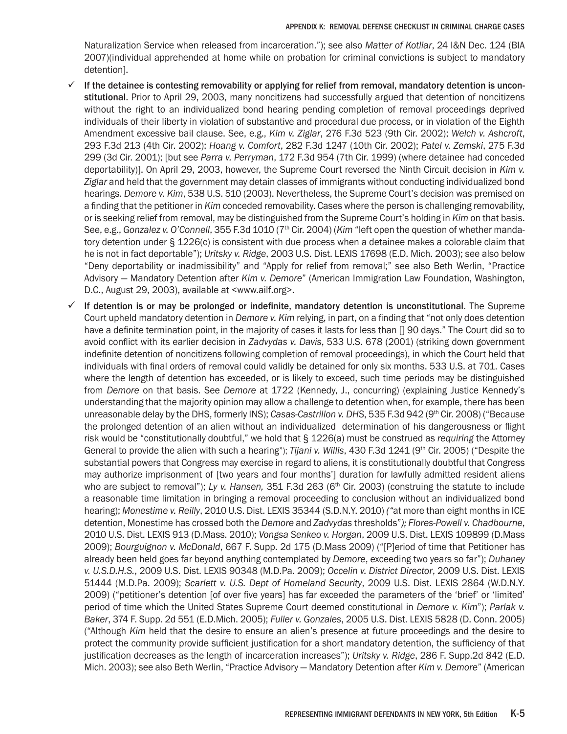Naturalization Service when released from incarceration."); see also *Matter of Kotliar*, 24 I&N Dec. 124 (BIA 2007)(individual apprehended at home while on probation for criminal convictions is subject to mandatory detention].

- If the detainee is contesting removability or applying for relief from removal, mandatory detention is unconstitutional. Prior to April 29, 2003, many noncitizens had successfully argued that detention of noncitizens without the right to an individualized bond hearing pending completion of removal proceedings deprived individuals of their liberty in violation of substantive and procedural due process, or in violation of the Eighth Amendment excessive bail clause. See, e.g., *Kim v. Ziglar*, 276 F.3d 523 (9th Cir. 2002); *Welch v. Ashcroft*, 293 F.3d 213 (4th Cir. 2002); *Hoang v. Comfort*, 282 F.3d 1247 (10th Cir. 2002); *Patel v. Zemski*, 275 F.3d 299 (3d Cir. 2001); [but see *Parra v. Perryman*, 172 F.3d 954 (7th Cir. 1999) (where detainee had conceded deportability)]. On April 29, 2003, however, the Supreme Court reversed the Ninth Circuit decision in *Kim v. Ziglar* and held that the government may detain classes of immigrants without conducting individualized bond hearings. *Demore v. Kim*, 538 U.S. 510 (2003). Nevertheless, the Supreme Court's decision was premised on a finding that the petitioner in *Kim* conceded removability. Cases where the person is challenging removability, or is seeking relief from removal, may be distinguished from the Supreme Court's holding in *Kim* on that basis. See, e.g., *Gonzalez v. O'Connell*, 355 F.3d 1010 (7<sup>th</sup> Cir. 2004) (*Kim* "left open the question of whether mandatory detention under § 1226(c) is consistent with due process when a detainee makes a colorable claim that he is not in fact deportable"); *Uritsky v. Ridge*, 2003 U.S. Dist. LEXIS 17698 (E.D. Mich. 2003); see also below "Deny deportability or inadmissibility" and "Apply for relief from removal;" see also Beth Werlin, "Practice Advisory — Mandatory Detention after *Kim v. Demore*" (American Immigration Law Foundation, Washington, D.C., August 29, 2003), available at <www.ailf.org>.
- If detention is or may be prolonged or indefinite, mandatory detention is unconstitutional. The Supreme Court upheld mandatory detention in *Demore v. Kim* relying, in part, on a finding that "not only does detention have a definite termination point, in the majority of cases it lasts for less than [] 90 days." The Court did so to avoid conflict with its earlier decision in *Zadvydas v. Davis*, 533 U.S. 678 (2001) (striking down government indefinite detention of noncitizens following completion of removal proceedings), in which the Court held that individuals with final orders of removal could validly be detained for only six months. 533 U.S. at 701. Cases where the length of detention has exceeded, or is likely to exceed, such time periods may be distinguished from *Demore* on that basis. See *Demore* at 1722 (Kennedy, J., concurring) (explaining Justice Kennedy's understanding that the majority opinion may allow a challenge to detention when, for example, there has been unreasonable delay by the DHS, formerly INS); *Casas-Castrillon v. DHS*, 535 F.3d 942 (9<sup>th</sup> Cir. 2008) ("Because the prolonged detention of an alien without an individualized determination of his dangerousness or flight risk would be "constitutionally doubtful," we hold that § 1226(a) must be construed as *requiring* the Attorney General to provide the alien with such a hearing"); *Tijani v. Willis*, 430 F.3d 1241 (9<sup>th</sup> Cir. 2005) ("Despite the substantial powers that Congress may exercise in regard to aliens, it is constitutionally doubtful that Congress may authorize imprisonment of [two years and four months'] duration for lawfully admitted resident aliens who are subject to removal"); Ly v. Hansen, 351 F.3d 263 (6<sup>th</sup> Cir. 2003) (construing the statute to include a reasonable time limitation in bringing a removal proceeding to conclusion without an individualized bond hearing); *Monestime v. Reilly*, 2010 U.S. Dist. LEXIS 35344 (S.D.N.Y. 2010) *("*at more than eight months in ICE detention, Monestime has crossed both the *Demore* and *Zadvydas* thresholds"*); Flores-Powell v. Chadbourne*, 2010 U.S. Dist. LEXIS 913 (D.Mass. 2010); *Vongsa Senkeo v. Horgan*, 2009 U.S. Dist. LEXIS 109899 (D.Mass 2009); *Bourguignon v. McDonald*, 667 F. Supp. 2d 175 (D.Mass 2009) ("[P]eriod of time that Petitioner has already been held goes far beyond anything contemplated by *Demore*, exceeding two years so far"); *Duhaney v. U.S.D.H.S.*, 2009 U.S. Dist. LEXIS 90348 (M.D.Pa. 2009); *Occelin v. District Director*, 2009 U.S. Dist. LEXIS 51444 (M.D.Pa. 2009); *Scarlett v. U.S. Dept of Homeland Security*, 2009 U.S. Dist. LEXIS 2864 (W.D.N.Y. 2009) ("petitioner's detention [of over five years] has far exceeded the parameters of the 'brief' or 'limited' period of time which the United States Supreme Court deemed constitutional in *Demore v. Kim*"); *Parlak v. Baker*, 374 F. Supp. 2d 551 (E.D.Mich. 2005); *Fuller v. Gonzales*, 2005 U.S. Dist. LEXIS 5828 (D. Conn. 2005) ("Although *Kim* held that the desire to ensure an alien's presence at future proceedings and the desire to protect the community provide sufficient justification for a short mandatory detention, the sufficiency of that justification decreases as the length of incarceration increases"); *Uritsky v. Ridge*, 286 F. Supp.2d 842 (E.D. Mich. 2003); see also Beth Werlin, "Practice Advisory — Mandatory Detention after *Kim v. Demore*" (American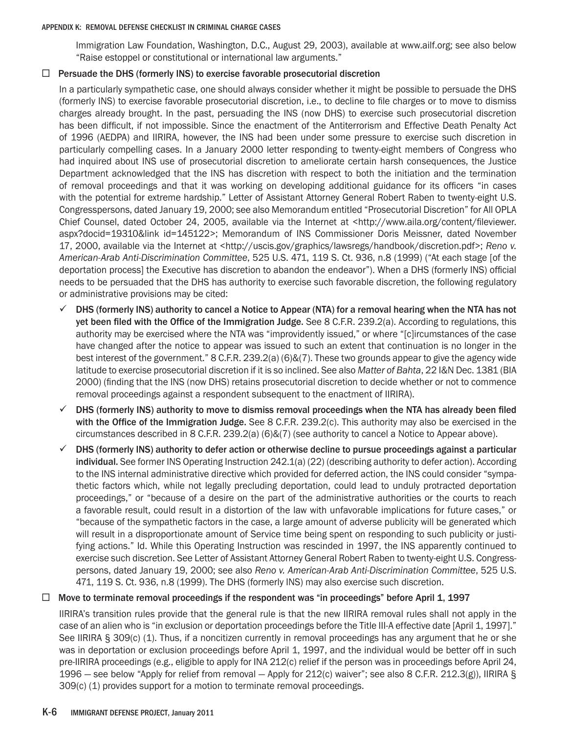Immigration Law Foundation, Washington, D.C., August 29, 2003), available at www.ailf.org; see also below "Raise estoppel or constitutional or international law arguments."

# $\Box$  Persuade the DHS (formerly INS) to exercise favorable prosecutorial discretion

In a particularly sympathetic case, one should always consider whether it might be possible to persuade the DHS (formerly INS) to exercise favorable prosecutorial discretion, i.e., to decline to file charges or to move to dismiss charges already brought. In the past, persuading the INS (now DHS) to exercise such prosecutorial discretion has been difficult, if not impossible. Since the enactment of the Antiterrorism and Effective Death Penalty Act of 1996 (AEDPA) and IIRIRA, however, the INS had been under some pressure to exercise such discretion in particularly compelling cases. In a January 2000 letter responding to twenty-eight members of Congress who had inquired about INS use of prosecutorial discretion to ameliorate certain harsh consequences, the Justice Department acknowledged that the INS has discretion with respect to both the initiation and the termination of removal proceedings and that it was working on developing additional guidance for its officers "in cases with the potential for extreme hardship." Letter of Assistant Attorney General Robert Raben to twenty-eight U.S. Congresspersons, dated January 19, 2000; see also Memorandum entitled "Prosecutorial Discretion" for All OPLA Chief Counsel, dated October 24, 2005, available via the Internet at <http://www.aila.org/content/fileviewer. aspx?docid=19310&link id=145122>; Memorandum of INS Commissioner Doris Meissner, dated November 17, 2000, available via the Internet at <http://uscis.gov/graphics/lawsregs/handbook/discretion.pdf>; *Reno v. American-Arab Anti-Discrimination Committee*, 525 U.S. 471, 119 S. Ct. 936, n.8 (1999) ("At each stage [of the deportation process] the Executive has discretion to abandon the endeavor"). When a DHS (formerly INS) official needs to be persuaded that the DHS has authority to exercise such favorable discretion, the following regulatory or administrative provisions may be cited:

- $\checkmark$  DHS (formerly INS) authority to cancel a Notice to Appear (NTA) for a removal hearing when the NTA has not yet been filed with the Office of the Immigration Judge. See 8 C.F.R. 239.2(a). According to regulations, this authority may be exercised where the NTA was "improvidently issued," or where "[c]ircumstances of the case have changed after the notice to appear was issued to such an extent that continuation is no longer in the best interest of the government." 8 C.F.R. 239.2(a) (6)&(7). These two grounds appear to give the agency wide latitude to exercise prosecutorial discretion if it is so inclined. See also *Matter of Bahta*, 22 I&N Dec. 1381 (BIA 2000) (finding that the INS (now DHS) retains prosecutorial discretion to decide whether or not to commence removal proceedings against a respondent subsequent to the enactment of IIRIRA).
- $\checkmark$  DHS (formerly INS) authority to move to dismiss removal proceedings when the NTA has already been filed with the Office of the Immigration Judge. See 8 C.F.R. 239.2(c). This authority may also be exercised in the circumstances described in 8 C.F.R. 239.2(a) (6)&(7) (see authority to cancel a Notice to Appear above).
- $\checkmark$  DHS (formerly INS) authority to defer action or otherwise decline to pursue proceedings against a particular individual. See former INS Operating Instruction 242.1(a) (22) (describing authority to defer action). According to the INS internal administrative directive which provided for deferred action, the INS could consider "sympathetic factors which, while not legally precluding deportation, could lead to unduly protracted deportation proceedings," or "because of a desire on the part of the administrative authorities or the courts to reach a favorable result, could result in a distortion of the law with unfavorable implications for future cases," or "because of the sympathetic factors in the case, a large amount of adverse publicity will be generated which will result in a disproportionate amount of Service time being spent on responding to such publicity or justifying actions." Id. While this Operating Instruction was rescinded in 1997, the INS apparently continued to exercise such discretion. See Letter of Assistant Attorney General Robert Raben to twenty-eight U.S. Congresspersons, dated January 19, 2000; see also *Reno v. American-Arab Anti-Discrimination Committee*, 525 U.S. 471, 119 S. Ct. 936, n.8 (1999). The DHS (formerly INS) may also exercise such discretion.

# $\Box$  Move to terminate removal proceedings if the respondent was "in proceedings" before April 1, 1997

IIRIRA's transition rules provide that the general rule is that the new IIRIRA removal rules shall not apply in the case of an alien who is "in exclusion or deportation proceedings before the Title III-A effective date [April 1, 1997]." See IIRIRA § 309(c) (1). Thus, if a noncitizen currently in removal proceedings has any argument that he or she was in deportation or exclusion proceedings before April 1, 1997, and the individual would be better off in such pre-IIRIRA proceedings (e.g., eligible to apply for INA 212(c) relief if the person was in proceedings before April 24, 1996 — see below "Apply for relief from removal — Apply for 212(c) waiver"; see also 8 C.F.R. 212.3(g)), IIRIRA § 309(c) (1) provides support for a motion to terminate removal proceedings.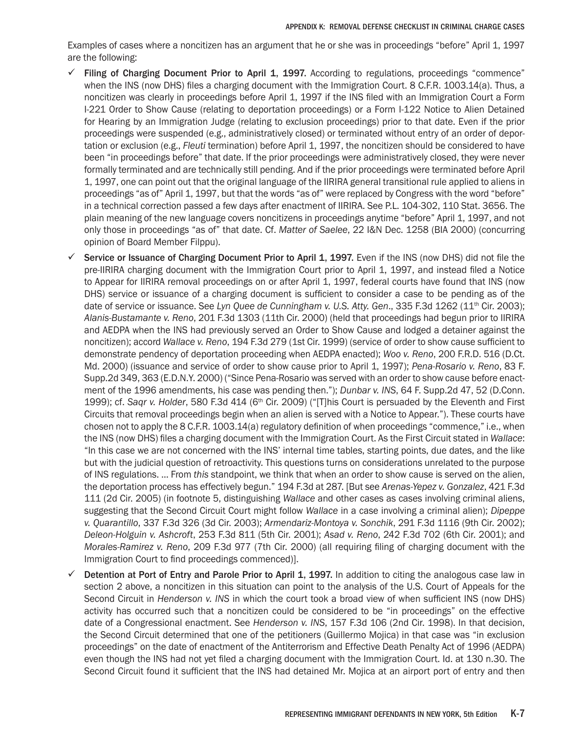Examples of cases where a noncitizen has an argument that he or she was in proceedings "before" April 1, 1997 are the following:

- $\checkmark$  Filing of Charging Document Prior to April 1, 1997. According to regulations, proceedings "commence" when the INS (now DHS) files a charging document with the Immigration Court. 8 C.F.R. 1003.14(a). Thus, a noncitizen was clearly in proceedings before April 1, 1997 if the INS filed with an Immigration Court a Form I-221 Order to Show Cause (relating to deportation proceedings) or a Form I-122 Notice to Alien Detained for Hearing by an Immigration Judge (relating to exclusion proceedings) prior to that date. Even if the prior proceedings were suspended (e.g., administratively closed) or terminated without entry of an order of deportation or exclusion (e.g., *Fleuti* termination) before April 1, 1997, the noncitizen should be considered to have been "in proceedings before" that date. If the prior proceedings were administratively closed, they were never formally terminated and are technically still pending. And if the prior proceedings were terminated before April 1, 1997, one can point out that the original language of the IIRIRA general transitional rule applied to aliens in proceedings "as of" April 1, 1997, but that the words "as of" were replaced by Congress with the word "before" in a technical correction passed a few days after enactment of IIRIRA. See P.L. 104-302, 110 Stat. 3656. The plain meaning of the new language covers noncitizens in proceedings anytime "before" April 1, 1997, and not only those in proceedings "as of" that date. Cf. *Matter of Saelee*, 22 I&N Dec. 1258 (BIA 2000) (concurring opinion of Board Member Filppu).
- Service or Issuance of Charging Document Prior to April 1, 1997. Even if the INS (now DHS) did not file the pre-IIRIRA charging document with the Immigration Court prior to April 1, 1997, and instead filed a Notice to Appear for IIRIRA removal proceedings on or after April 1, 1997, federal courts have found that INS (now DHS) service or issuance of a charging document is sufficient to consider a case to be pending as of the date of service or issuance. See *Lyn Quee de Cunningham v. U.S. Atty. Gen.*, 335 F.3d 1262 (11<sup>th</sup> Cir. 2003); *Alanis-Bustamante v. Reno*, 201 F.3d 1303 (11th Cir. 2000) (held that proceedings had begun prior to IIRIRA and AEDPA when the INS had previously served an Order to Show Cause and lodged a detainer against the noncitizen); accord *Wallace v. Reno*, 194 F.3d 279 (1st Cir. 1999) (service of order to show cause sufficient to demonstrate pendency of deportation proceeding when AEDPA enacted); *Woo v. Reno*, 200 F.R.D. 516 (D.Ct. Md. 2000) (issuance and service of order to show cause prior to April 1, 1997); *Pena-Rosario v. Reno*, 83 F. Supp.2d 349, 363 (E.D.N.Y. 2000) ("Since Pena-Rosario was served with an order to show cause before enactment of the 1996 amendments, his case was pending then."); *Dunbar v. INS*, 64 F. Supp.2d 47, 52 (D.Conn. 1999); cf. Saqr v. Holder, 580 F.3d 414 (6<sup>th</sup> Cir. 2009) ("[T]his Court is persuaded by the Eleventh and First Circuits that removal proceedings begin when an alien is served with a Notice to Appear."). These courts have chosen not to apply the 8 C.F.R. 1003.14(a) regulatory definition of when proceedings "commence," i.e., when the INS (now DHS) files a charging document with the Immigration Court. As the First Circuit stated in *Wallace*: "In this case we are not concerned with the INS' internal time tables, starting points, due dates, and the like but with the judicial question of retroactivity. This questions turns on considerations unrelated to the purpose of INS regulations. … From *this* standpoint, we think that when an order to show cause is served on the alien, the deportation process has effectively begun." 194 F.3d at 287. [But see *Arenas-Yepez v. Gonzalez*, 421 F.3d 111 (2d Cir. 2005) (in footnote 5, distinguishing *Wallace* and other cases as cases involving criminal aliens, suggesting that the Second Circuit Court might follow *Wallace* in a case involving a criminal alien); *Dipeppe v. Quarantillo*, 337 F.3d 326 (3d Cir. 2003); *Armendariz-Montoya v. Sonchik*, 291 F.3d 1116 (9th Cir. 2002); *Deleon-Holguin v. Ashcroft*, 253 F.3d 811 (5th Cir. 2001); *Asad v. Reno*, 242 F.3d 702 (6th Cir. 2001); and *Morales-Ramirez v. Reno*, 209 F.3d 977 (7th Cir. 2000) (all requiring filing of charging document with the Immigration Court to find proceedings commenced)].
- Detention at Port of Entry and Parole Prior to April 1, 1997. In addition to citing the analogous case law in section 2 above, a noncitizen in this situation can point to the analysis of the U.S. Court of Appeals for the Second Circuit in *Henderson v. INS* in which the court took a broad view of when sufficient INS (now DHS) activity has occurred such that a noncitizen could be considered to be "in proceedings" on the effective date of a Congressional enactment. See *Henderson v. INS*, 157 F.3d 106 (2nd Cir. 1998). In that decision, the Second Circuit determined that one of the petitioners (Guillermo Mojica) in that case was "in exclusion proceedings" on the date of enactment of the Antiterrorism and Effective Death Penalty Act of 1996 (AEDPA) even though the INS had not yet filed a charging document with the Immigration Court. Id. at 130 n.30. The Second Circuit found it sufficient that the INS had detained Mr. Mojica at an airport port of entry and then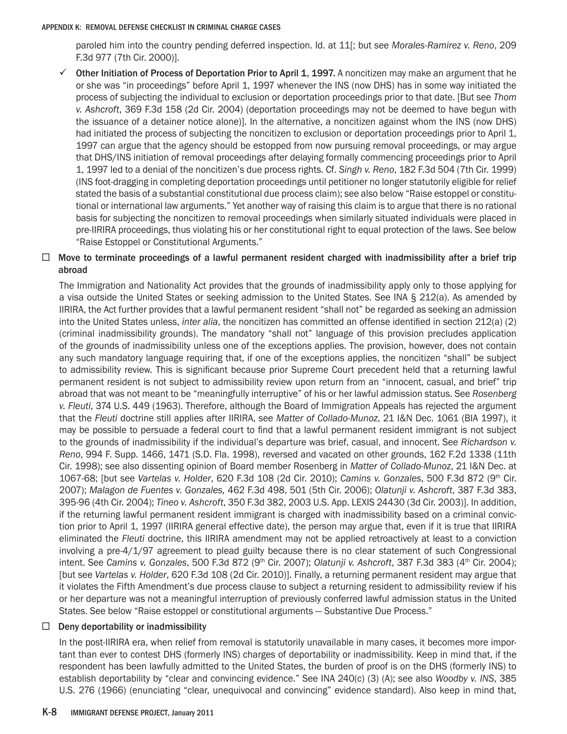paroled him into the country pending deferred inspection. Id. at 11[; but see *Morales-Ramirez v. Reno*, 209 F.3d 977 (7th Cir. 2000)].

 $\checkmark$  Other Initiation of Process of Deportation Prior to April 1, 1997. A noncitizen may make an argument that he or she was "in proceedings" before April 1, 1997 whenever the INS (now DHS) has in some way initiated the process of subjecting the individual to exclusion or deportation proceedings prior to that date. [But see *Thom v. Ashcroft*, 369 F.3d 158 (2d Cir. 2004) (deportation proceedings may not be deemed to have begun with the issuance of a detainer notice alone)]. In the alternative, a noncitizen against whom the INS (now DHS) had initiated the process of subjecting the noncitizen to exclusion or deportation proceedings prior to April 1, 1997 can argue that the agency should be estopped from now pursuing removal proceedings, or may argue that DHS/INS initiation of removal proceedings after delaying formally commencing proceedings prior to April 1, 1997 led to a denial of the noncitizen's due process rights. Cf. *Singh v. Reno*, 182 F.3d 504 (7th Cir. 1999) (INS foot-dragging in completing deportation proceedings until petitioner no longer statutorily eligible for relief stated the basis of a substantial constitutional due process claim); see also below "Raise estoppel or constitutional or international law arguments." Yet another way of raising this claim is to argue that there is no rational basis for subjecting the noncitizen to removal proceedings when similarly situated individuals were placed in pre-IIRIRA proceedings, thus violating his or her constitutional right to equal protection of the laws. See below "Raise Estoppel or Constitutional Arguments."

# $\Box$  Move to terminate proceedings of a lawful permanent resident charged with inadmissibility after a brief trip abroad

The Immigration and Nationality Act provides that the grounds of inadmissibility apply only to those applying for a visa outside the United States or seeking admission to the United States. See INA § 212(a). As amended by IIRIRA, the Act further provides that a lawful permanent resident "shall not" be regarded as seeking an admission into the United States unless, *inter alia*, the noncitizen has committed an offense identified in section 212(a) (2) (criminal inadmissibility grounds). The mandatory "shall not" language of this provision precludes application of the grounds of inadmissibility unless one of the exceptions applies. The provision, however, does not contain any such mandatory language requiring that, if one of the exceptions applies, the noncitizen "shall" be subject to admissibility review. This is significant because prior Supreme Court precedent held that a returning lawful permanent resident is not subject to admissibility review upon return from an "innocent, casual, and brief" trip abroad that was not meant to be "meaningfully interruptive" of his or her lawful admission status. See *Rosenberg v. Fleuti*, 374 U.S. 449 (1963). Therefore, although the Board of Immigration Appeals has rejected the argument that the *Fleuti* doctrine still applies after IIRIRA, see *Matter of Collado-Munoz*, 21 I&N Dec. 1061 (BIA 1997), it may be possible to persuade a federal court to find that a lawful permanent resident immigrant is not subject to the grounds of inadmissibility if the individual's departure was brief, casual, and innocent. See *Richardson v. Reno*, 994 F. Supp. 1466, 1471 (S.D. Fla. 1998), reversed and vacated on other grounds, 162 F.2d 1338 (11th Cir. 1998); see also dissenting opinion of Board member Rosenberg in *Matter of Collado-Munoz*, 21 I&N Dec. at 1067-68; [but see *Vartelas v. Holder*, 620 F.3d 108 (2d Cir. 2010); *Camins v. Gonzales*, 500 F.3d 872 (9th Cir. 2007); *Malagon de Fuentes v. Gonzales,* 462 F.3d 498, 501 (5th Cir. 2006); *Olatunji v. Ashcroft*, 387 F.3d 383, 395-96 (4th Cir. 2004); *Tineo v. Ashcroft*, 350 F.3d 382, 2003 U.S. App. LEXIS 24430 (3d Cir. 2003)]. In addition, if the returning lawful permanent resident immigrant is charged with inadmissibility based on a criminal conviction prior to April 1, 1997 (IIRIRA general effective date), the person may argue that, even if it is true that IIRIRA eliminated the *Fleuti* doctrine, this IIRIRA amendment may not be applied retroactively at least to a conviction involving a pre-4/1/97 agreement to plead guilty because there is no clear statement of such Congressional intent. See *Camins v. Gonzales*, 500 F.3d 872 (9<sup>th</sup> Cir. 2007); *Olatunji v. Ashcroft*, 387 F.3d 383 (4<sup>th</sup> Cir. 2004); [but see *Vartelas v. Holder*, 620 F.3d 108 (2d Cir. 2010)]. Finally, a returning permanent resident may argue that it violates the Fifth Amendment's due process clause to subject a returning resident to admissibility review if his or her departure was not a meaningful interruption of previously conferred lawful admission status in the United States. See below "Raise estoppel or constitutional arguments — Substantive Due Process."

# $\Box$  Deny deportability or inadmissibility

In the post-IIRIRA era, when relief from removal is statutorily unavailable in many cases, it becomes more important than ever to contest DHS (formerly INS) charges of deportability or inadmissibility. Keep in mind that, if the respondent has been lawfully admitted to the United States, the burden of proof is on the DHS (formerly INS) to establish deportability by "clear and convincing evidence." See INA 240(c) (3) (A); see also *Woodby v. INS*, 385 U.S. 276 (1966) (enunciating "clear, unequivocal and convincing" evidence standard). Also keep in mind that,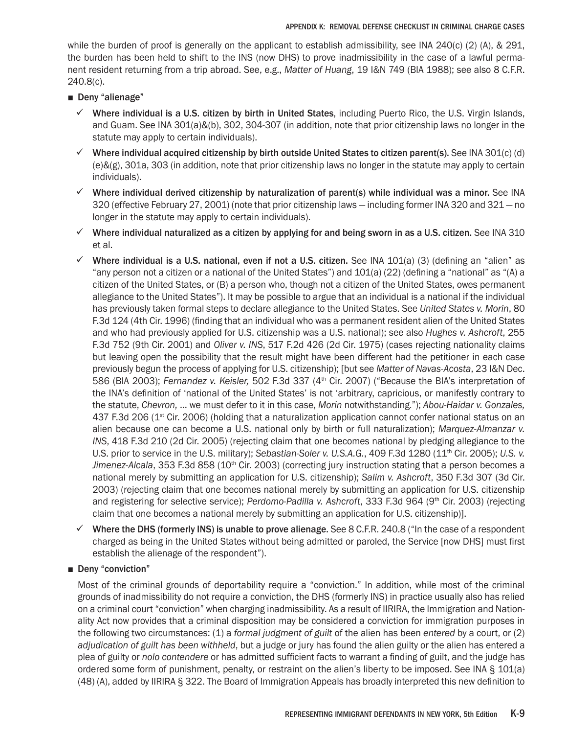while the burden of proof is generally on the applicant to establish admissibility, see INA 240(c) (2) (A),  $& 291$ , the burden has been held to shift to the INS (now DHS) to prove inadmissibility in the case of a lawful permanent resident returning from a trip abroad. See, e.g., *Matter of Huang*, 19 I&N 749 (BIA 1988); see also 8 C.F.R. 240.8(c).

- Deny "alienage"
	- $\checkmark$  Where individual is a U.S. citizen by birth in United States, including Puerto Rico, the U.S. Virgin Islands, and Guam. See INA 301(a)&(b), 302, 304-307 (in addition, note that prior citizenship laws no longer in the statute may apply to certain individuals).
	- $\checkmark$  Where individual acquired citizenship by birth outside United States to citizen parent(s). See INA 301(c) (d) (e)&(g), 301a, 303 (in addition, note that prior citizenship laws no longer in the statute may apply to certain individuals).
	- $\checkmark$  Where individual derived citizenship by naturalization of parent(s) while individual was a minor. See INA 320 (effective February 27, 2001) (note that prior citizenship laws — including former INA 320 and 321 — no longer in the statute may apply to certain individuals).
	- $\checkmark$  Where individual naturalized as a citizen by applying for and being sworn in as a U.S. citizen. See INA 310 et al.
	- $\checkmark$  Where individual is a U.S. national, even if not a U.S. citizen. See INA 101(a) (3) (defining an "alien" as "any person not a citizen or a national of the United States") and 101(a) (22) (defining a "national" as "(A) a citizen of the United States, or (B) a person who, though not a citizen of the United States, owes permanent allegiance to the United States"). It may be possible to argue that an individual is a national if the individual has previously taken formal steps to declare allegiance to the United States. See *United States v. Morin*, 80 F.3d 124 (4th Cir. 1996) (finding that an individual who was a permanent resident alien of the United States and who had previously applied for U.S. citizenship was a U.S. national); see also *Hughes v. Ashcroft*, 255 F.3d 752 (9th Cir. 2001) and *Oliver v. INS*, 517 F.2d 426 (2d Cir. 1975) (cases rejecting nationality claims but leaving open the possibility that the result might have been different had the petitioner in each case previously begun the process of applying for U.S. citizenship); [but see *Matter of Navas-Acosta*, 23 I&N Dec. 586 (BIA 2003); *Fernandez v. Keisler,* 502 F.3d 337 (4th Cir. 2007) ("Because the BIA's interpretation of the INA's definition of 'national of the United States' is not 'arbitrary, capricious, or manifestly contrary to the statute, *Chevron,* … we must defer to it in this case, *Morin* notwithstanding."); *Abou-Haidar v. Gonzales,* 437 F.3d 206 (1<sup>st</sup> Cir. 2006) (holding that a naturalization application cannot confer national status on an alien because one can become a U.S. national only by birth or full naturalization); *Marquez-Almanzar v. INS*, 418 F.3d 210 (2d Cir. 2005) (rejecting claim that one becomes national by pledging allegiance to the U.S. prior to service in the U.S. military); Sebastian-Soler v. U.S.A.G., 409 F.3d 1280 (11<sup>th</sup> Cir. 2005); U.S. v. *Jimenez-Alcala*, 353 F.3d 858 (10<sup>th</sup> Cir. 2003) (correcting jury instruction stating that a person becomes a national merely by submitting an application for U.S. citizenship); *Salim v. Ashcroft*, 350 F.3d 307 (3d Cir. 2003) (rejecting claim that one becomes national merely by submitting an application for U.S. citizenship and registering for selective service); *Perdomo-Padilla v. Ashcroft*, 333 F.3d 964 (9<sup>th</sup> Cir. 2003) (rejecting claim that one becomes a national merely by submitting an application for U.S. citizenship)].
	- $\checkmark$  Where the DHS (formerly INS) is unable to prove alienage. See 8 C.F.R. 240.8 ("In the case of a respondent charged as being in the United States without being admitted or paroled, the Service [now DHS] must first establish the alienage of the respondent").

■ Deny "conviction"

Most of the criminal grounds of deportability require a "conviction." In addition, while most of the criminal grounds of inadmissibility do not require a conviction, the DHS (formerly INS) in practice usually also has relied on a criminal court "conviction" when charging inadmissibility. As a result of IIRIRA, the Immigration and Nationality Act now provides that a criminal disposition may be considered a conviction for immigration purposes in the following two circumstances: (1) a *formal judgment of guilt* of the alien has been *entered* by a court, or (2) *adjudication of guilt has been withheld*, but a judge or jury has found the alien guilty or the alien has entered a plea of guilty or *nolo contendere* or has admitted sufficient facts to warrant a finding of guilt, and the judge has ordered some form of punishment, penalty, or restraint on the alien's liberty to be imposed. See INA § 101(a) (48) (A), added by IIRIRA § 322. The Board of Immigration Appeals has broadly interpreted this new definition to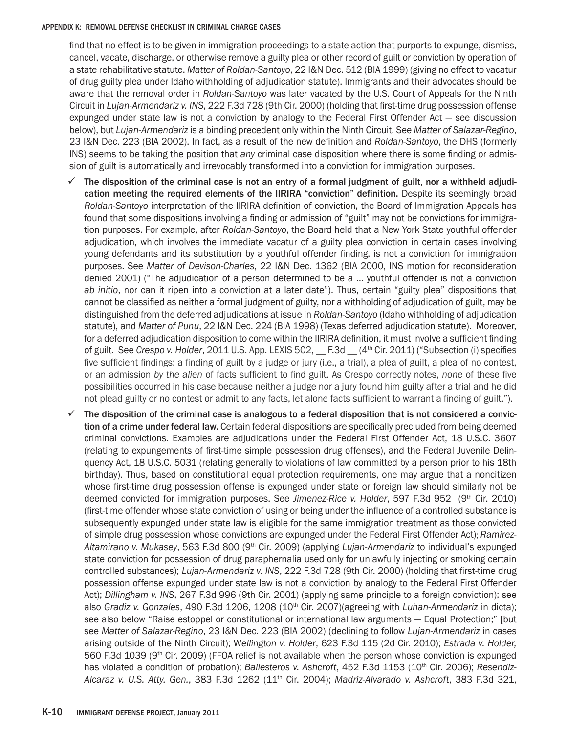find that no effect is to be given in immigration proceedings to a state action that purports to expunge, dismiss, cancel, vacate, discharge, or otherwise remove a guilty plea or other record of guilt or conviction by operation of a state rehabilitative statute. *Matter of Roldan-Santoyo*, 22 I&N Dec. 512 (BIA 1999) (giving no effect to vacatur of drug guilty plea under Idaho withholding of adjudication statute). Immigrants and their advocates should be aware that the removal order in *Roldan-Santoyo* was later vacated by the U.S. Court of Appeals for the Ninth Circuit in *Lujan-Armendariz v. INS*, 222 F.3d 728 (9th Cir. 2000) (holding that first-time drug possession offense expunged under state law is not a conviction by analogy to the Federal First Offender Act — see discussion below), but *Lujan-Armendariz* is a binding precedent only within the Ninth Circuit. See *Matter of Salazar-Regino*, 23 I&N Dec. 223 (BIA 2002). In fact, as a result of the new definition and *Roldan-Santoyo*, the DHS (formerly INS) seems to be taking the position that *any* criminal case disposition where there is some finding or admission of guilt is automatically and irrevocably transformed into a conviction for immigration purposes.

- $\checkmark$  The disposition of the criminal case is not an entry of a formal judgment of guilt, nor a withheld adjudication meeting the required elements of the IIRIRA "conviction" definition. Despite its seemingly broad *Roldan-Santoyo* interpretation of the IIRIRA definition of conviction, the Board of Immigration Appeals has found that some dispositions involving a finding or admission of "guilt" may not be convictions for immigration purposes. For example, after *Roldan-Santoyo*, the Board held that a New York State youthful offender adjudication, which involves the immediate vacatur of a guilty plea conviction in certain cases involving young defendants and its substitution by a youthful offender finding, is not a conviction for immigration purposes. See *Matter of Devison-Charles*, 22 I&N Dec. 1362 (BIA 2000, INS motion for reconsideration denied 2001) ("The adjudication of a person determined to be a … youthful offender is not a conviction *ab initio*, nor can it ripen into a conviction at a later date"). Thus, certain "guilty plea" dispositions that cannot be classified as neither a formal judgment of guilty, nor a withholding of adjudication of guilt, may be distinguished from the deferred adjudications at issue in *Roldan-Santoyo* (Idaho withholding of adjudication statute), and *Matter of Punu*, 22 I&N Dec. 224 (BIA 1998) (Texas deferred adjudication statute). Moreover, for a deferred adjudication disposition to come within the IIRIRA definition, it must involve a sufficient finding of guilt. See *Crespo v. Holder*, 2011 U.S. App. LEXIS 502, \_\_ F.3d \_\_ (4th Cir. 2011) ("Subsection (i) specifies five sufficient findings: a finding of guilt by a judge or jury (i.e., a trial), a plea of guilt, a plea of no contest, or an admission *by the alien* of facts sufficient to find guilt. As Crespo correctly notes, *none* of these five possibilities occurred in his case because neither a judge nor a jury found him guilty after a trial and he did not plead guilty or no contest or admit to any facts, let alone facts sufficient to warrant a finding of guilt.").
- The disposition of the criminal case is analogous to a federal disposition that is not considered a conviction of a crime under federal law. Certain federal dispositions are specifically precluded from being deemed criminal convictions. Examples are adjudications under the Federal First Offender Act, 18 U.S.C. 3607 (relating to expungements of first-time simple possession drug offenses), and the Federal Juvenile Delinquency Act, 18 U.S.C. 5031 (relating generally to violations of law committed by a person prior to his 18th birthday). Thus, based on constitutional equal protection requirements, one may argue that a noncitizen whose first-time drug possession offense is expunged under state or foreign law should similarly not be deemed convicted for immigration purposes. See *Jimenez-Rice v. Holder*, 597 F.3d 952 (9<sup>th</sup> Cir. 2010) (first-time offender whose state conviction of using or being under the influence of a controlled substance is subsequently expunged under state law is eligible for the same immigration treatment as those convicted of simple drug possession whose convictions are expunged under the Federal First Offender Act); *Ramirez-Altamirano v. Mukasey*, 563 F.3d 800 (9th Cir. 2009) (applying *Lujan-Armendariz* to individual's expunged state conviction for possession of drug paraphernalia used only for unlawfully injecting or smoking certain controlled substances); *Lujan-Armendariz v. INS*, 222 F.3d 728 (9th Cir. 2000) (holding that first-time drug possession offense expunged under state law is not a conviction by analogy to the Federal First Offender Act); *Dillingham v. INS*, 267 F.3d 996 (9th Cir. 2001) (applying same principle to a foreign conviction); see also *Gradiz v. Gonzales*, 490 F.3d 1206, 1208 (10th Cir. 2007)(agreeing with *Luhan-Armendariz* in dicta); see also below "Raise estoppel or constitutional or international law arguments — Equal Protection;" [but see *Matter of Salazar-Regino*, 23 I&N Dec. 223 (BIA 2002) (declining to follow *Lujan-Armendariz* in cases arising outside of the Ninth Circuit); W*ellington v. Holder*, 623 F.3d 115 (2d Cir. 2010); *Estrada v. Holder,* 560 F.3d 1039 (9th Cir. 2009) (FFOA relief is not available when the person whose conviction is expunged has violated a condition of probation); *Ballesteros v. Ashcroft*, 452 F.3d 1153 (10<sup>th</sup> Cir. 2006); *Resendiz-Alcaraz v. U.S. Atty. Gen.*, 383 F.3d 1262 (11th Cir. 2004); *Madriz-Alvarado v. Ashcroft*, 383 F.3d 321,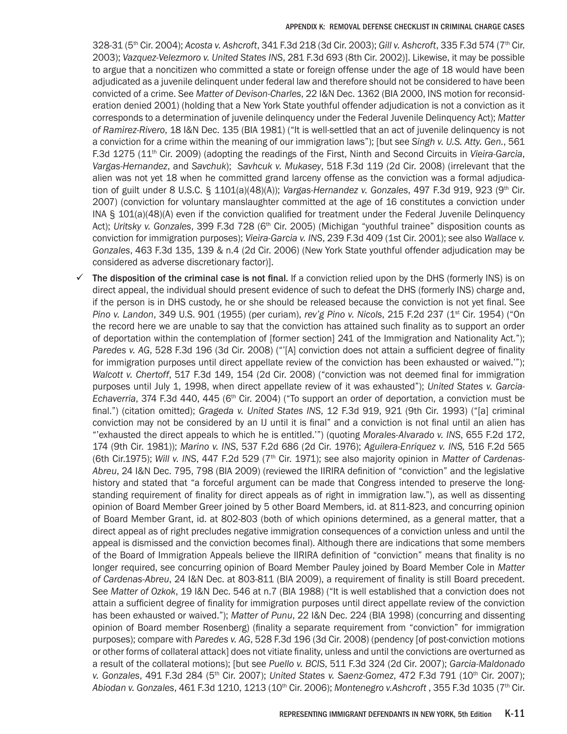328-31 (5th Cir. 2004); *Acosta v. Ashcroft*, 341 F.3d 218 (3d Cir. 2003); *Gill v. Ashcroft*, 335 F.3d 574 (7th Cir. 2003); *Vazquez-Velezmoro v. United States INS*, 281 F.3d 693 (8th Cir. 2002)]. Likewise, it may be possible to argue that a noncitizen who committed a state or foreign offense under the age of 18 would have been adjudicated as a juvenile delinquent under federal law and therefore should not be considered to have been convicted of a crime. See *Matter of Devison-Charles*, 22 I&N Dec. 1362 (BIA 2000, INS motion for reconsideration denied 2001) (holding that a New York State youthful offender adjudication is not a conviction as it corresponds to a determination of juvenile delinquency under the Federal Juvenile Delinquency Act); *Matter of Ramirez-Rivero*, 18 I&N Dec. 135 (BIA 1981) ("It is well-settled that an act of juvenile delinquency is not a conviction for a crime within the meaning of our immigration laws"); [but see *Singh v. U.S. Atty. Gen.*, 561 F.3d 1275 (11th Cir. 2009) (adopting the readings of the First, Ninth and Second Circuits in *Vieira-Garcia*, *Vargas-Hernandez*, and *Savchuk*); *Savhcuk v. Mukasey*, 518 F.3d 119 (2d Cir. 2008) (irrelevant that the alien was not yet 18 when he committed grand larceny offense as the conviction was a formal adjudication of guilt under 8 U.S.C. § 1101(a)(48)(A)); *Vargas-Hernandez v. Gonzales*, 497 F.3d 919, 923 (9th Cir. 2007) (conviction for voluntary manslaughter committed at the age of 16 constitutes a conviction under INA § 101(a)(48)(A) even if the conviction qualified for treatment under the Federal Juvenile Delinquency Act); *Uritsky v. Gonzales*, 399 F.3d 728 (6<sup>th</sup> Cir. 2005) (Michigan "youthful trainee" disposition counts as conviction for immigration purposes); *Vieira-Garcia v. INS*, 239 F.3d 409 (1st Cir. 2001); see also *Wallace v. Gonzales*, 463 F.3d 135, 139 & n.4 (2d Cir. 2006) (New York State youthful offender adjudication may be considered as adverse discretionary factor)].

The disposition of the criminal case is not final. If a conviction relied upon by the DHS (formerly INS) is on direct appeal, the individual should present evidence of such to defeat the DHS (formerly INS) charge and, if the person is in DHS custody, he or she should be released because the conviction is not yet final. See *Pino v. Landon, 349 U.S. 901 (1955) (per curiam), <i>rev'g Pino v. Nicols, 215 F.2d 237 (1<sup>st</sup> Cir. 1954) ("On* the record here we are unable to say that the conviction has attained such finality as to support an order of deportation within the contemplation of [former section] 241 of the Immigration and Nationality Act."); *Paredes v. AG*, 528 F.3d 196 (3d Cir. 2008) ("'[A] conviction does not attain a sufficient degree of finality for immigration purposes until direct appellate review of the conviction has been exhausted or waived.'"); *Walcott v. Chertoff*, 517 F.3d 149, 154 (2d Cir. 2008) ("conviction was not deemed final for immigration purposes until July 1, 1998, when direct appellate review of it was exhausted"); *United States v. Garcia-Echaverria*, 374 F.3d 440, 445 (6<sup>th</sup> Cir. 2004) ("To support an order of deportation, a conviction must be final.") (citation omitted); *Grageda v. United States INS*, 12 F.3d 919, 921 (9th Cir. 1993) ("[a] criminal conviction may not be considered by an IJ until it is final" and a conviction is not final until an alien has "'exhausted the direct appeals to which he is entitled.'") (quoting *Morales-Alvarado v. INS*, 655 F.2d 172, 174 (9th Cir. 1981)); *Marino v. INS*, 537 F.2d 686 (2d Cir. 1976); *Aguilera-Enriquez v. INS,* 516 F.2d 565 (6th Cir.1975); *Will v. INS*, 447 F.2d 529 (7th Cir. 1971); see also majority opinion in *Matter of Cardenas-Abreu*, 24 I&N Dec. 795, 798 (BIA 2009) (reviewed the IIRIRA definition of "conviction" and the legislative history and stated that "a forceful argument can be made that Congress intended to preserve the longstanding requirement of finality for direct appeals as of right in immigration law."), as well as dissenting opinion of Board Member Greer joined by 5 other Board Members, id. at 811-823, and concurring opinion of Board Member Grant, id. at 802-803 (both of which opinions determined, as a general matter, that a direct appeal as of right precludes negative immigration consequences of a conviction unless and until the appeal is dismissed and the conviction becomes final). Although there are indications that some members of the Board of Immigration Appeals believe the IIRIRA definition of "conviction" means that finality is no longer required, see concurring opinion of Board Member Pauley joined by Board Member Cole in *Matter of Cardenas-Abreu*, 24 I&N Dec. at 803-811 (BIA 2009), a requirement of finality is still Board precedent. See *Matter of Ozkok*, 19 I&N Dec. 546 at n.7 (BIA 1988) ("It is well established that a conviction does not attain a sufficient degree of finality for immigration purposes until direct appellate review of the conviction has been exhausted or waived."); *Matter of Punu*, 22 I&N Dec. 224 (BIA 1998) (concurring and dissenting opinion of Board member Rosenberg) (finality a separate requirement from "conviction" for immigration purposes); compare with *Paredes v. AG*, 528 F.3d 196 (3d Cir. 2008) (pendency [of post-conviction motions or other forms of collateral attack] does not vitiate finality, unless and until the convictions are overturned as a result of the collateral motions); [but see *Puello v. BCIS*, 511 F.3d 324 (2d Cir. 2007); *Garcia-Maldonado v. Gonzales*, 491 F.3d 284 (5th Cir. 2007); *United States v. Saenz-Gomez*, 472 F.3d 791 (10th Cir. 2007); *Abiodan v. Gonzales*, 461 F.3d 1210, 1213 (10th Cir. 2006); *Montenegro v.Ashcroft* , 355 F.3d 1035 (7th Cir.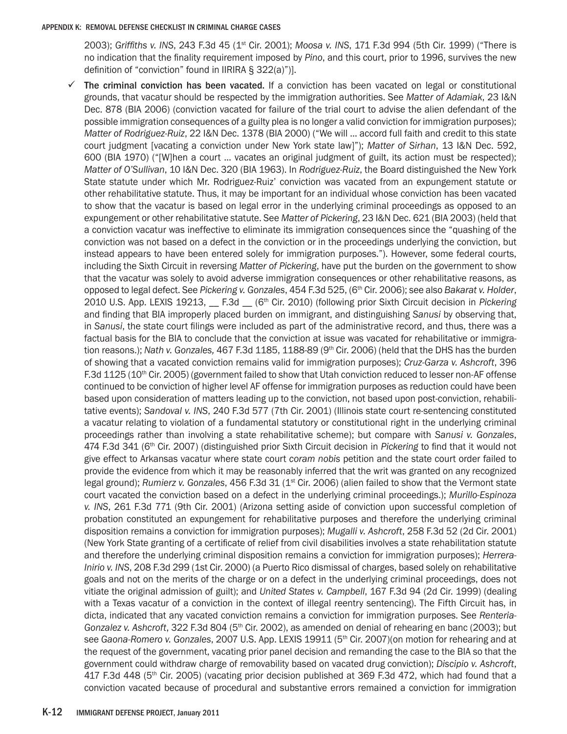2003); *Griffiths v. INS*, 243 F.3d 45 (1st Cir. 2001); *Moosa v. INS*, 171 F.3d 994 (5th Cir. 1999) ("There is no indication that the finality requirement imposed by *Pino*, and this court, prior to 1996, survives the new definition of "conviction" found in IIRIRA § 322(a)")].

The criminal conviction has been vacated. If a conviction has been vacated on legal or constitutional grounds, that vacatur should be respected by the immigration authorities. See *Matter of Adamiak*, 23 I&N Dec. 878 (BIA 2006) (conviction vacated for failure of the trial court to advise the alien defendant of the possible immigration consequences of a guilty plea is no longer a valid conviction for immigration purposes); *Matter of Rodriguez-Ruiz*, 22 I&N Dec. 1378 (BIA 2000) ("We will … accord full faith and credit to this state court judgment [vacating a conviction under New York state law]"); *Matter of Sirhan*, 13 I&N Dec. 592, 600 (BIA 1970) ("[W]hen a court … vacates an original judgment of guilt, its action must be respected); *Matter of O'Sullivan*, 10 I&N Dec. 320 (BIA 1963). In *Rodriguez-Ruiz*, the Board distinguished the New York State statute under which Mr. Rodriguez-Ruiz' conviction was vacated from an expungement statute or other rehabilitative statute. Thus, it may be important for an individual whose conviction has been vacated to show that the vacatur is based on legal error in the underlying criminal proceedings as opposed to an expungement or other rehabilitative statute. See *Matter of Pickering*, 23 I&N Dec. 621 (BIA 2003) (held that a conviction vacatur was ineffective to eliminate its immigration consequences since the "quashing of the conviction was not based on a defect in the conviction or in the proceedings underlying the conviction, but instead appears to have been entered solely for immigration purposes."). However, some federal courts, including the Sixth Circuit in reversing *Matter of Pickering*, have put the burden on the government to show that the vacatur was solely to avoid adverse immigration consequences or other rehabilitative reasons, as opposed to legal defect. See *Pickering v. Gonzales*, 454 F.3d 525, (6th Cir. 2006); see also *Bakarat v. Holder*, 2010 U.S. App. LEXIS 19213, \_\_ F.3d \_\_ (6th Cir. 2010) (following prior Sixth Circuit decision in *Pickering*  and finding that BIA improperly placed burden on immigrant, and distinguishing *Sanusi* by observing that, in *Sanusi*, the state court filings were included as part of the administrative record, and thus, there was a factual basis for the BIA to conclude that the conviction at issue was vacated for rehabilitative or immigration reasons.); *Nath v. Gonzales,* 467 F.3d 1185, 1188-89 (9th Cir. 2006) (held that the DHS has the burden of showing that a vacated conviction remains valid for immigration purposes); *Cruz-Garza v. Ashcroft*, 396 F.3d 1125 (10<sup>th</sup> Cir. 2005) (government failed to show that Utah conviction reduced to lesser non-AF offense continued to be conviction of higher level AF offense for immigration purposes as reduction could have been based upon consideration of matters leading up to the conviction, not based upon post-conviction, rehabilitative events); *Sandoval v. INS*, 240 F.3d 577 (7th Cir. 2001) (Illinois state court re-sentencing constituted a vacatur relating to violation of a fundamental statutory or constitutional right in the underlying criminal proceedings rather than involving a state rehabilitative scheme); but compare with *Sanusi v. Gonzales*, 474 F.3d 341 (6th Cir. 2007) (distinguished prior Sixth Circuit decision in *Pickering* to find that it would not give effect to Arkansas vacatur where state court *coram nobis* petition and the state court order failed to provide the evidence from which it may be reasonably inferred that the writ was granted on any recognized legal ground); *Rumierz v. Gonzales*, 456 F.3d 31 (1<sup>st</sup> Cir. 2006) (alien failed to show that the Vermont state court vacated the conviction based on a defect in the underlying criminal proceedings.); *Murillo-Espinoza v. INS*, 261 F.3d 771 (9th Cir. 2001) (Arizona setting aside of conviction upon successful completion of probation constituted an expungement for rehabilitative purposes and therefore the underlying criminal disposition remains a conviction for immigration purposes); *Mugalli v. Ashcroft*, 258 F.3d 52 (2d Cir. 2001) (New York State granting of a certificate of relief from civil disabilities involves a state rehabilitation statute and therefore the underlying criminal disposition remains a conviction for immigration purposes); *Herrera-Inirio v. INS*, 208 F.3d 299 (1st Cir. 2000) (a Puerto Rico dismissal of charges, based solely on rehabilitative goals and not on the merits of the charge or on a defect in the underlying criminal proceedings, does not vitiate the original admission of guilt); and *United States v. Campbell*, 167 F.3d 94 (2d Cir. 1999) (dealing with a Texas vacatur of a conviction in the context of illegal reentry sentencing). The Fifth Circuit has, in dicta, indicated that any vacated conviction remains a conviction for immigration purposes. See *Renteria-*Gonzalez v. Ashcroft, 322 F.3d 804 (5<sup>th</sup> Cir. 2002), as amended on denial of rehearing en banc (2003); but see *Gaona-Romero v. Gonzales*, 2007 U.S. App. LEXIS 19911 (5th Cir. 2007)(on motion for rehearing and at the request of the government, vacating prior panel decision and remanding the case to the BIA so that the government could withdraw charge of removability based on vacated drug conviction); *Discipio v. Ashcroft*, 417 F.3d 448 (5<sup>th</sup> Cir. 2005) (vacating prior decision published at 369 F.3d 472, which had found that a conviction vacated because of procedural and substantive errors remained a conviction for immigration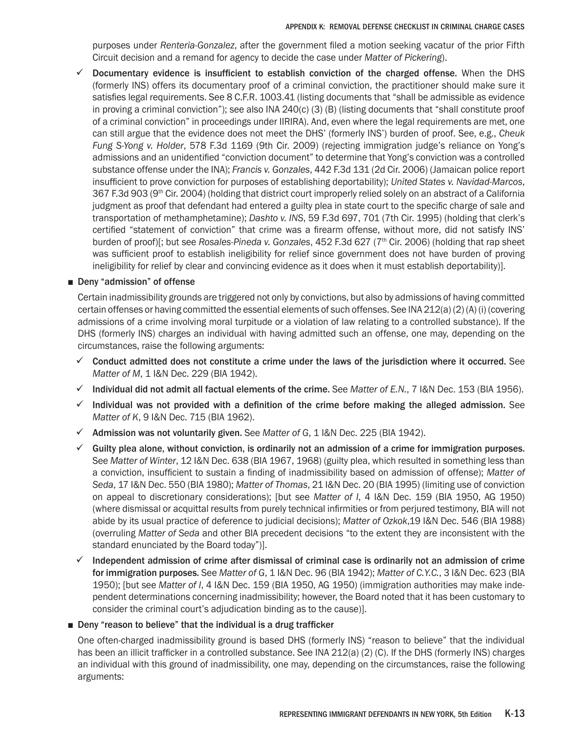purposes under *Renteria-Gonzalez*, after the government filed a motion seeking vacatur of the prior Fifth Circuit decision and a remand for agency to decide the case under *Matter of Pickering*).

 $\checkmark$  Documentary evidence is insufficient to establish conviction of the charged offense. When the DHS (formerly INS) offers its documentary proof of a criminal conviction, the practitioner should make sure it satisfies legal requirements. See 8 C.F.R. 1003.41 (listing documents that "shall be admissible as evidence in proving a criminal conviction"); see also INA 240(c) (3) (B) (listing documents that "shall constitute proof of a criminal conviction" in proceedings under IIRIRA). And, even where the legal requirements are met, one can still argue that the evidence does not meet the DHS' (formerly INS') burden of proof. See, e.g., *Cheuk Fung S-Yong v. Holder*, 578 F.3d 1169 (9th Cir. 2009) (rejecting immigration judge's reliance on Yong's admissions and an unidentified "conviction document" to determine that Yong's conviction was a controlled substance offense under the INA); *Francis v. Gonzales*, 442 F.3d 131 (2d Cir. 2006) (Jamaican police report insufficient to prove conviction for purposes of establishing deportability); *United States v. Navidad-Marcos*, 367 F.3d 903 (9<sup>th</sup> Cir. 2004) (holding that district court improperly relied solely on an abstract of a California judgment as proof that defendant had entered a guilty plea in state court to the specific charge of sale and transportation of methamphetamine); *Dashto v. INS*, 59 F.3d 697, 701 (7th Cir. 1995) (holding that clerk's certified "statement of conviction" that crime was a firearm offense, without more, did not satisfy INS' burden of proof)[; but see *Rosales-Pineda v. Gonzales*, 452 F.3d 627 (7th Cir. 2006) (holding that rap sheet was sufficient proof to establish ineligibility for relief since government does not have burden of proving ineligibility for relief by clear and convincing evidence as it does when it must establish deportability)].

### ■ Deny "admission" of offense

Certain inadmissibility grounds are triggered not only by convictions, but also by admissions of having committed certain offenses or having committed the essential elements of such offenses. See INA 212(a) (2) (A) (i) (covering admissions of a crime involving moral turpitude or a violation of law relating to a controlled substance). If the DHS (formerly INS) charges an individual with having admitted such an offense, one may, depending on the circumstances, raise the following arguments:

- $\checkmark$  Conduct admitted does not constitute a crime under the laws of the jurisdiction where it occurred. See *Matter of M*, 1 I&N Dec. 229 (BIA 1942).
- $\checkmark$  Individual did not admit all factual elements of the crime. See *Matter of E.N.*, 7 I&N Dec. 153 (BIA 1956).
- $\checkmark$  Individual was not provided with a definition of the crime before making the alleged admission. See *Matter of K*, 9 I&N Dec. 715 (BIA 1962).
- 9 Admission was not voluntarily given. See *Matter of G*, 1 I&N Dec. 225 (BIA 1942).
- $\checkmark$  Guilty plea alone, without conviction, is ordinarily not an admission of a crime for immigration purposes. See *Matter of Winter*, 12 I&N Dec. 638 (BIA 1967, 1968) (guilty plea, which resulted in something less than a conviction, insufficient to sustain a finding of inadmissibility based on admission of offense); *Matter of Seda*, 17 I&N Dec. 550 (BIA 1980); *Matter of Thomas*, 21 I&N Dec. 20 (BIA 1995) (limiting use of conviction on appeal to discretionary considerations); [but see *Matter of I*, 4 I&N Dec. 159 (BIA 1950, AG 1950) (where dismissal or acquittal results from purely technical infirmities or from perjured testimony, BIA will not abide by its usual practice of deference to judicial decisions); *Matter of Ozkok*,19 I&N Dec. 546 (BIA 1988) (overruling *Matter of Seda* and other BIA precedent decisions "to the extent they are inconsistent with the standard enunciated by the Board today")].
- $\checkmark$  Independent admission of crime after dismissal of criminal case is ordinarily not an admission of crime for immigration purposes. See *Matter of G*, 1 I&N Dec. 96 (BIA 1942); *Matter of C.Y.C.*, 3 I&N Dec. 623 (BIA 1950); [but see *Matter of I*, 4 I&N Dec. 159 (BIA 1950, AG 1950) (immigration authorities may make independent determinations concerning inadmissibility; however, the Board noted that it has been customary to consider the criminal court's adjudication binding as to the cause)].

### ■ Deny "reason to believe" that the individual is a drug trafficker

One often-charged inadmissibility ground is based DHS (formerly INS) "reason to believe" that the individual has been an illicit trafficker in a controlled substance. See INA 212(a) (2) (C). If the DHS (formerly INS) charges an individual with this ground of inadmissibility, one may, depending on the circumstances, raise the following arguments: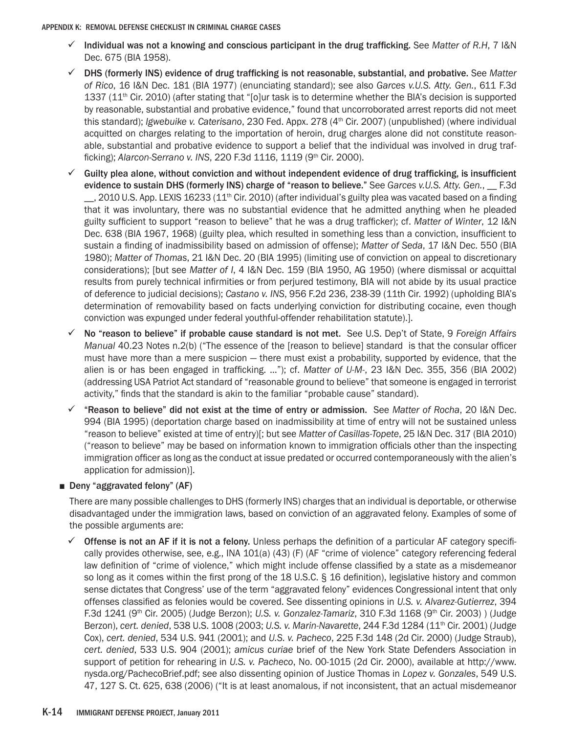- $\checkmark$  Individual was not a knowing and conscious participant in the drug trafficking. See *Matter of R.H*, 7 I&N Dec. 675 (BIA 1958).
- 9 DHS (formerly INS) evidence of drug trafficking is not reasonable, substantial, and probative. See *Matter of Rico*, 16 I&N Dec. 181 (BIA 1977) (enunciating standard); see also *Garces v.U.S. Atty. Gen.*, 611 F.3d 1337 (11<sup>th</sup> Cir. 2010) (after stating that "[o]ur task is to determine whether the BIA's decision is supported by reasonable, substantial and probative evidence," found that uncorroborated arrest reports did not meet this standard); *Igwebuike v. Caterisano*, 230 Fed. Appx. 278 (4<sup>th</sup> Cir. 2007) (unpublished) (where individual acquitted on charges relating to the importation of heroin, drug charges alone did not constitute reasonable, substantial and probative evidence to support a belief that the individual was involved in drug trafficking); *Alarcon-Serrano v. INS*, 220 F.3d 1116, 1119 (9th Cir. 2000).
- $\checkmark$  Guilty plea alone, without conviction and without independent evidence of drug trafficking, is insufficient evidence to sustain DHS (formerly INS) charge of "reason to believe." See *Garces v.U.S. Atty. Gen.*, \_\_ F.3d  $\sim$ , 2010 U.S. App. LEXIS 16233 (11<sup>th</sup> Cir. 2010) (after individual's guilty plea was vacated based on a finding that it was involuntary, there was no substantial evidence that he admitted anything when he pleaded guilty sufficient to support "reason to believe" that he was a drug trafficker); cf. *Matter of Winter*, 12 I&N Dec. 638 (BIA 1967, 1968) (guilty plea, which resulted in something less than a conviction, insufficient to sustain a finding of inadmissibility based on admission of offense); *Matter of Seda*, 17 I&N Dec. 550 (BIA 1980); *Matter of Thomas*, 21 I&N Dec. 20 (BIA 1995) (limiting use of conviction on appeal to discretionary considerations); [but see *Matter of I*, 4 I&N Dec. 159 (BIA 1950, AG 1950) (where dismissal or acquittal results from purely technical infirmities or from perjured testimony, BIA will not abide by its usual practice of deference to judicial decisions); *Castano v. INS*, 956 F.2d 236, 238-39 (11th Cir. 1992) (upholding BIA's determination of removability based on facts underlying conviction for distributing cocaine, even though conviction was expunged under federal youthful-offender rehabilitation statute).].
- 9 No "reason to believe" if probable cause standard is not met. See U.S. Dep't of State, 9 *Foreign Affairs Manual* 40.23 Notes n.2(b) ("The essence of the [reason to believe] standard is that the consular officer must have more than a mere suspicion — there must exist a probability, supported by evidence, that the alien is or has been engaged in trafficking. …"); cf. *Matter of U-M-*, 23 I&N Dec. 355, 356 (BIA 2002) (addressing USA Patriot Act standard of "reasonable ground to believe" that someone is engaged in terrorist activity," finds that the standard is akin to the familiar "probable cause" standard).
- 9 "Reason to believe" did not exist at the time of entry or admission. See *Matter of Rocha*, 20 I&N Dec. 994 (BIA 1995) (deportation charge based on inadmissibility at time of entry will not be sustained unless "reason to believe" existed at time of entry)[; but see *Matter of Casillas-Topete*, 25 I&N Dec. 317 (BIA 2010) ("reason to believe" may be based on information known to immigration officials other than the inspecting immigration officer as long as the conduct at issue predated or occurred contemporaneously with the alien's application for admission)].

# ■ Deny "aggravated felony" (AF)

There are many possible challenges to DHS (formerly INS) charges that an individual is deportable, or otherwise disadvantaged under the immigration laws, based on conviction of an aggravated felony. Examples of some of the possible arguments are:

**Offense is not an AF if it is not a felony.** Unless perhaps the definition of a particular AF category specifically provides otherwise, see, e.g., INA 101(a) (43) (F) (AF "crime of violence" category referencing federal law definition of "crime of violence," which might include offense classified by a state as a misdemeanor so long as it comes within the first prong of the 18 U.S.C. § 16 definition), legislative history and common sense dictates that Congress' use of the term "aggravated felony" evidences Congressional intent that only offenses classified as felonies would be covered. See dissenting opinions in *U.S. v. Alvarez-Gutierrez*, 394 F.3d 1241 (9th Cir. 2005) (Judge Berzon); *U.S. v. Gonzalez-Tamariz*, 310 F.3d 1168 (9th Cir. 2003) ) (Judge Berzon), *cert. denied*, 538 U.S. 1008 (2003; *U.S. v. Marin-Navarette*, 244 F.3d 1284 (11th Cir. 2001) (Judge Cox), *cert. denied*, 534 U.S. 941 (2001); and *U.S. v. Pacheco*, 225 F.3d 148 (2d Cir. 2000) (Judge Straub), *cert. denied*, 533 U.S. 904 (2001); *amicus curiae* brief of the New York State Defenders Association in support of petition for rehearing in *U.S. v. Pacheco*, No. 00-1015 (2d Cir. 2000), available at http://www. nysda.org/PachecoBrief.pdf; see also dissenting opinion of Justice Thomas in *Lopez v. Gonzales*, 549 U.S. 47, 127 S. Ct. 625, 638 (2006) ("It is at least anomalous, if not inconsistent, that an actual misdemeanor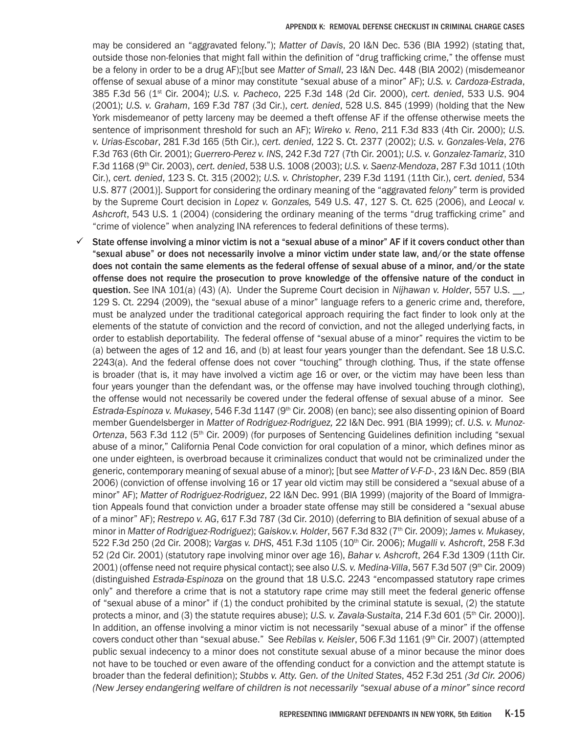may be considered an "aggravated felony."); *Matter of Davis*, 20 I&N Dec. 536 (BIA 1992) (stating that, outside those non-felonies that might fall within the definition of "drug trafficking crime," the offense must be a felony in order to be a drug AF);[but see *Matter of Small*, 23 I&N Dec. 448 (BIA 2002) (misdemeanor offense of sexual abuse of a minor may constitute "sexual abuse of a minor" AF); *U.S. v. Cardoza-Estrada*, 385 F.3d 56 (1st Cir. 2004); *U.S. v. Pacheco*, 225 F.3d 148 (2d Cir. 2000), *cert. denied*, 533 U.S. 904 (2001); *U.S. v. Graham*, 169 F.3d 787 (3d Cir.), *cert. denied*, 528 U.S. 845 (1999) (holding that the New York misdemeanor of petty larceny may be deemed a theft offense AF if the offense otherwise meets the sentence of imprisonment threshold for such an AF); *Wireko v. Reno*, 211 F.3d 833 (4th Cir. 2000); *U.S. v. Urias-Escobar*, 281 F.3d 165 (5th Cir.), *cert. denied*, 122 S. Ct. 2377 (2002); *U.S. v. Gonzales-Vela*, 276 F.3d 763 (6th Cir. 2001); *Guerrero-Perez v. INS*, 242 F.3d 727 (7th Cir. 2001); *U.S. v. Gonzalez-Tamariz*, 310 F.3d 1168 (9th Cir. 2003), *cert. denied*, 538 U.S. 1008 (2003); *U.S. v. Saenz-Mendoza*, 287 F.3d 1011 (10th Cir.), *cert. denied*, 123 S. Ct. 315 (2002); *U.S. v. Christopher*, 239 F.3d 1191 (11th Cir.), *cert. denied*, 534 U.S. 877 (2001)]. Support for considering the ordinary meaning of the "aggravated *felony*" term is provided by the Supreme Court decision in *Lopez v. Gonzales,* 549 U.S. 47, 127 S. Ct. 625 (2006), and *Leocal v. Ashcroft*, 543 U.S. 1 (2004) (considering the ordinary meaning of the terms "drug trafficking crime" and "crime of violence" when analyzing INA references to federal definitions of these terms).

State offense involving a minor victim is not a "sexual abuse of a minor" AF if it covers conduct other than "sexual abuse" or does not necessarily involve a minor victim under state law, and/or the state offense does not contain the same elements as the federal offense of sexual abuse of a minor, and/or the state offense does not require the prosecution to prove knowledge of the offensive nature of the conduct in question. See INA 101(a) (43) (A). Under the Supreme Court decision in *Nijhawan v. Holder*, 557 U.S. \_\_, 129 S. Ct. 2294 (2009), the "sexual abuse of a minor" language refers to a generic crime and, therefore, must be analyzed under the traditional categorical approach requiring the fact finder to look only at the elements of the statute of conviction and the record of conviction, and not the alleged underlying facts, in order to establish deportability. The federal offense of "sexual abuse of a minor" requires the victim to be (a) between the ages of 12 and 16, and (b) at least four years younger than the defendant. See 18 U.S.C. 2243(a). And the federal offense does not cover "touching" through clothing. Thus, if the state offense is broader (that is, it may have involved a victim age 16 or over, or the victim may have been less than four years younger than the defendant was, or the offense may have involved touching through clothing), the offense would not necessarily be covered under the federal offense of sexual abuse of a minor. See *Estrada-Espinoza v. Mukasey*, 546 F.3d 1147 (9th Cir. 2008) (en banc); see also dissenting opinion of Board member Guendelsberger in *Matter of Rodriguez-Rodriguez,* 22 I&N Dec. 991 (BIA 1999); cf. *U.S. v. Munoz-Ortenza*, 563 F.3d 112 (5<sup>th</sup> Cir. 2009) (for purposes of Sentencing Guidelines definition including "sexual abuse of a minor," California Penal Code conviction for oral copulation of a minor, which defines minor as one under eighteen, is overbroad because it criminalizes conduct that would not be criminalized under the generic, contemporary meaning of sexual abuse of a minor); [but see *Matter of V-F-D-*, 23 I&N Dec. 859 (BIA 2006) (conviction of offense involving 16 or 17 year old victim may still be considered a "sexual abuse of a minor" AF); *Matter of Rodriguez-Rodriguez*, 22 I&N Dec. 991 (BIA 1999) (majority of the Board of Immigration Appeals found that conviction under a broader state offense may still be considered a "sexual abuse of a minor" AF); *Restrepo v. AG*, 617 F.3d 787 (3d Cir. 2010) (deferring to BIA definition of sexual abuse of a minor in *Matter of Rodriguez-Rodriguez*); *Gaiskov.v. Holder*, 567 F.3d 832 (7th Cir. 2009); *James v. Mukasey*, 522 F.3d 250 (2d Cir. 2008); *Vargas v. DHS*, 451 F.3d 1105 (10th Cir. 2006); *Mugalli v. Ashcroft*, 258 F.3d 52 (2d Cir. 2001) (statutory rape involving minor over age 16), *Bahar v. Ashcroft*, 264 F.3d 1309 (11th Cir. 2001) (offense need not require physical contact); see also *U.S. v. Medina-Villa*, 567 F.3d 507 (9th Cir. 2009) (distinguished *Estrada-Espinoza* on the ground that 18 U.S.C. 2243 "encompassed statutory rape crimes only" and therefore a crime that is not a statutory rape crime may still meet the federal generic offense of "sexual abuse of a minor" if (1) the conduct prohibited by the criminal statute is sexual, (2) the statute protects a minor, and (3) the statute requires abuse); *U.S. v. Zavala-Sustaita*, 214 F.3d 601 (5<sup>th</sup> Cir. 2000)]. In addition, an offense involving a minor victim is not necessarily "sexual abuse of a minor" if the offense covers conduct other than "sexual abuse." See *Rebilas v. Keisler*, 506 F.3d 1161 (9th Cir. 2007) (attempted public sexual indecency to a minor does not constitute sexual abuse of a minor because the minor does not have to be touched or even aware of the offending conduct for a conviction and the attempt statute is broader than the federal definition); *Stubbs v. Atty. Gen. of the United States*, 452 F.3d 251 *(3d Cir. 2006) (New Jersey endangering welfare of children is not necessarily "sexual abuse of a minor" since record*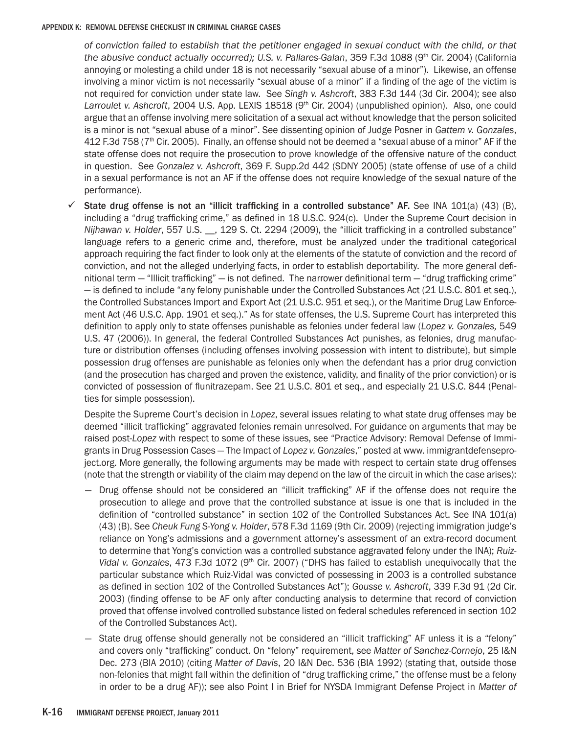*of conviction failed to establish that the petitioner engaged in sexual conduct with the child, or that the abusive conduct actually occurred); U.S. v. Pallares-Galan, 359 F.3d 1088 (9<sup>th</sup> Cir. 2004) (California* annoying or molesting a child under 18 is not necessarily "sexual abuse of a minor"). Likewise, an offense involving a minor victim is not necessarily "sexual abuse of a minor" if a finding of the age of the victim is not required for conviction under state law. See *Singh v. Ashcroft*, 383 F.3d 144 (3d Cir. 2004); see also Larroulet v. Ashcroft, 2004 U.S. App. LEXIS 18518 (9<sup>th</sup> Cir. 2004) (unpublished opinion). Also, one could argue that an offense involving mere solicitation of a sexual act without knowledge that the person solicited is a minor is not "sexual abuse of a minor". See dissenting opinion of Judge Posner in *Gattem v. Gonzales*, 412 F.3d 758 (7<sup>th</sup> Cir. 2005). Finally, an offense should not be deemed a "sexual abuse of a minor" AF if the state offense does not require the prosecution to prove knowledge of the offensive nature of the conduct in question. See *Gonzalez v. Ashcroft*, 369 F. Supp.2d 442 (SDNY 2005) (state offense of use of a child in a sexual performance is not an AF if the offense does not require knowledge of the sexual nature of the performance).

 $\checkmark$  State drug offense is not an "illicit trafficking in a controlled substance" AF. See INA 101(a) (43) (B), including a "drug trafficking crime," as defined in 18 U.S.C. 924(c). Under the Supreme Court decision in *Nijhawan v. Holder*, 557 U.S. \_\_, 129 S. Ct. 2294 (2009), the "illicit trafficking in a controlled substance" language refers to a generic crime and, therefore, must be analyzed under the traditional categorical approach requiring the fact finder to look only at the elements of the statute of conviction and the record of conviction, and not the alleged underlying facts, in order to establish deportability. The more general definitional term  $-$  "Illicit trafficking"  $-$  is not defined. The narrower definitional term  $-$  "drug trafficking crime" — is defined to include "any felony punishable under the Controlled Substances Act (21 U.S.C. 801 et seq.), the Controlled Substances Import and Export Act (21 U.S.C. 951 et seq.), or the Maritime Drug Law Enforcement Act (46 U.S.C. App. 1901 et seq.)." As for state offenses, the U.S. Supreme Court has interpreted this definition to apply only to state offenses punishable as felonies under federal law (*Lopez v. Gonzales,* 549 U.S. 47 (2006)). In general, the federal Controlled Substances Act punishes, as felonies, drug manufacture or distribution offenses (including offenses involving possession with intent to distribute), but simple possession drug offenses are punishable as felonies only when the defendant has a prior drug conviction (and the prosecution has charged and proven the existence, validity, and finality of the prior conviction) or is convicted of possession of flunitrazepam. See 21 U.S.C. 801 et seq., and especially 21 U.S.C. 844 (Penalties for simple possession).

Despite the Supreme Court's decision in *Lopez*, several issues relating to what state drug offenses may be deemed "illicit trafficking" aggravated felonies remain unresolved. For guidance on arguments that may be raised post-*Lopez* with respect to some of these issues, see "Practice Advisory: Removal Defense of Immigrants in Drug Possession Cases — The Impact of *Lopez v. Gonzales*," posted at www. immigrantdefenseproject.org. More generally, the following arguments may be made with respect to certain state drug offenses (note that the strength or viability of the claim may depend on the law of the circuit in which the case arises):

- Drug offense should not be considered an "illicit trafficking" AF if the offense does not require the prosecution to allege and prove that the controlled substance at issue is one that is included in the definition of "controlled substance" in section 102 of the Controlled Substances Act. See INA 101(a) (43) (B). See *Cheuk Fung S-Yong v. Holder*, 578 F.3d 1169 (9th Cir. 2009) (rejecting immigration judge's reliance on Yong's admissions and a government attorney's assessment of an extra-record document to determine that Yong's conviction was a controlled substance aggravated felony under the INA); *Ruiz-Vidal v. Gonzales, 473 F.3d 1072 (9<sup>th</sup> Cir. 2007) ("DHS has failed to establish unequivocally that the* particular substance which Ruiz-Vidal was convicted of possessing in 2003 is a controlled substance as defined in section 102 of the Controlled Substances Act"); *Gousse v. Ashcroft*, 339 F.3d 91 (2d Cir. 2003) (finding offense to be AF only after conducting analysis to determine that record of conviction proved that offense involved controlled substance listed on federal schedules referenced in section 102 of the Controlled Substances Act).
- State drug offense should generally not be considered an "illicit trafficking" AF unless it is a "felony" and covers only "trafficking" conduct. On "felony" requirement, see *Matter of Sanchez-Cornejo*, 25 I&N Dec. 273 (BIA 2010) (citing *Matter of Davis*, 20 I&N Dec. 536 (BIA 1992) (stating that, outside those non-felonies that might fall within the definition of "drug trafficking crime," the offense must be a felony in order to be a drug AF)); see also Point I in Brief for NYSDA Immigrant Defense Project in *Matter of*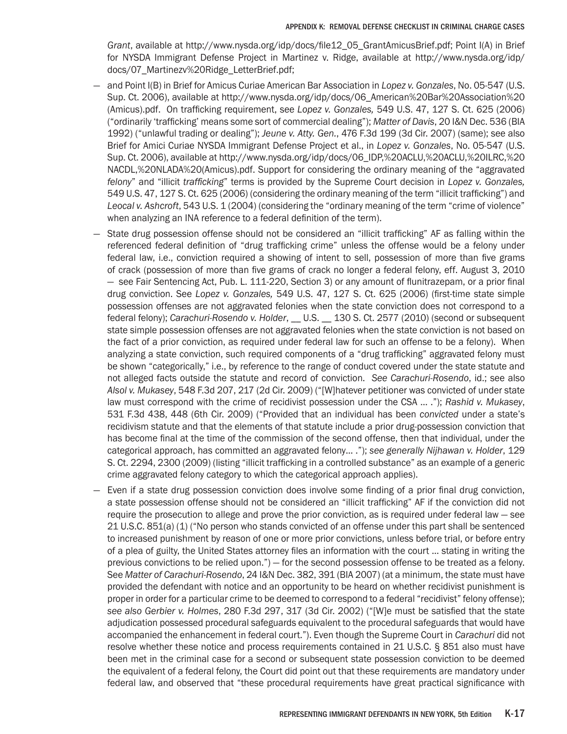*Grant*, available at http://www.nysda.org/idp/docs/file12\_05\_GrantAmicusBrief.pdf; Point I(A) in Brief for NYSDA Immigrant Defense Project in Martinez v. Ridge, available at http://www.nysda.org/idp/ docs/07\_Martinezv%20Ridge\_LetterBrief.pdf;

- and Point I(B) in Brief for Amicus Curiae American Bar Association in *Lopez v. Gonzales*, No. 05-547 (U.S. Sup. Ct. 2006), available at http://www.nysda.org/idp/docs/06\_American%20Bar%20Association%20 (Amicus).pdf. On trafficking requirement, see *Lopez v. Gonzales,* 549 U.S. 47, 127 S. Ct. 625 (2006) ("ordinarily 'trafficking' means some sort of commercial dealing"); *Matter of Davis*, 20 I&N Dec. 536 (BIA 1992) ("unlawful trading or dealing"); *Jeune v. Atty. Gen.*, 476 F.3d 199 (3d Cir. 2007) (same); see also Brief for Amici Curiae NYSDA Immigrant Defense Project et al., in *Lopez v. Gonzales*, No. 05-547 (U.S. Sup. Ct. 2006), available at http://www.nysda.org/idp/docs/06\_IDP,%20ACLU,%20ACLU,%20ILRC,%20 NACDL,%20NLADA%20(Amicus).pdf. Support for considering the ordinary meaning of the "aggravated *felony*" and "illicit *trafficking*" terms is provided by the Supreme Court decision in *Lopez v. Gonzales,*  549 U.S. 47, 127 S. Ct. 625 (2006) (considering the ordinary meaning of the term "illicit trafficking") and *Leocal v. Ashcroft*, 543 U.S. 1 (2004) (considering the "ordinary meaning of the term "crime of violence" when analyzing an INA reference to a federal definition of the term).
- State drug possession offense should not be considered an "illicit trafficking" AF as falling within the referenced federal definition of "drug trafficking crime" unless the offense would be a felony under federal law, i.e., conviction required a showing of intent to sell, possession of more than five grams of crack (possession of more than five grams of crack no longer a federal felony, eff. August 3, 2010 — see Fair Sentencing Act, Pub. L. 111-220, Section 3) or any amount of flunitrazepam, or a prior final drug conviction. See *Lopez v. Gonzales,* 549 U.S. 47, 127 S. Ct. 625 (2006) (first-time state simple possession offenses are not aggravated felonies when the state conviction does not correspond to a federal felony); *Carachuri-Rosendo v. Holder*, \_\_ U.S. \_\_ 130 S. Ct. 2577 (2010) (second or subsequent state simple possession offenses are not aggravated felonies when the state conviction is not based on the fact of a prior conviction, as required under federal law for such an offense to be a felony). When analyzing a state conviction, such required components of a "drug trafficking" aggravated felony must be shown "categorically," i.e., by reference to the range of conduct covered under the state statute and not alleged facts outside the statute and record of conviction. *See Carachuri-Rosendo*, id.; see also *Alsol v. Mukasey*, 548 F.3d 207, 217 (2d Cir. 2009) ("[W]hatever petitioner was convicted of under state law must correspond with the crime of recidivist possession under the CSA … ."); *Rashid v. Mukasey*, 531 F.3d 438, 448 (6th Cir. 2009) ("Provided that an individual has been *convicted* under a state's recidivism statute and that the elements of that statute include a prior drug-possession conviction that has become final at the time of the commission of the second offense, then that individual, under the categorical approach, has committed an aggravated felony… ."); *see generally Nijhawan v. Holder*, 129 S. Ct. 2294, 2300 (2009) (listing "illicit trafficking in a controlled substance" as an example of a generic crime aggravated felony category to which the categorical approach applies).
- Even if a state drug possession conviction does involve some finding of a prior final drug conviction, a state possession offense should not be considered an "illicit trafficking" AF if the conviction did not require the prosecution to allege and prove the prior conviction, as is required under federal law — see 21 U.S.C. 851(a) (1) ("No person who stands convicted of an offense under this part shall be sentenced to increased punishment by reason of one or more prior convictions, unless before trial, or before entry of a plea of guilty, the United States attorney files an information with the court … stating in writing the previous convictions to be relied upon.") — for the second possession offense to be treated as a felony. See *Matter of Carachuri-Rosendo*, 24 I&N Dec. 382, 391 (BIA 2007) (at a minimum, the state must have provided the defendant with notice and an opportunity to be heard on whether recidivist punishment is proper in order for a particular crime to be deemed to correspond to a federal "recidivist" felony offense); *see also Gerbier v. Holmes*, 280 F.3d 297, 317 (3d Cir. 2002) ("[W]e must be satisfied that the state adjudication possessed procedural safeguards equivalent to the procedural safeguards that would have accompanied the enhancement in federal court."). Even though the Supreme Court in *Carachuri* did not resolve whether these notice and process requirements contained in 21 U.S.C. § 851 also must have been met in the criminal case for a second or subsequent state possession conviction to be deemed the equivalent of a federal felony, the Court did point out that these requirements are mandatory under federal law, and observed that "these procedural requirements have great practical significance with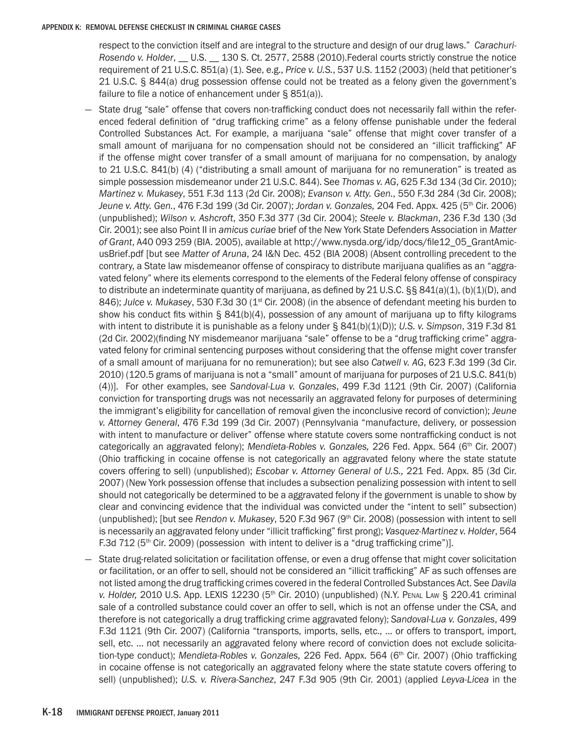respect to the conviction itself and are integral to the structure and design of our drug laws." *Carachuri-Rosendo v. Holder*, \_\_ U.S. \_\_ 130 S. Ct. 2577, 2588 (2010).Federal courts strictly construe the notice requirement of 21 U.S.C. 851(a) (1). See, e.g., *Price v. U.S.*, 537 U.S. 1152 (2003) (held that petitioner's 21 U.S.C. § 844(a) drug possession offense could not be treated as a felony given the government's failure to file a notice of enhancement under § 851(a)).

- State drug "sale" offense that covers non-trafficking conduct does not necessarily fall within the referenced federal definition of "drug trafficking crime" as a felony offense punishable under the federal Controlled Substances Act. For example, a marijuana "sale" offense that might cover transfer of a small amount of marijuana for no compensation should not be considered an "illicit trafficking" AF if the offense might cover transfer of a small amount of marijuana for no compensation, by analogy to 21 U.S.C. 841(b) (4) ("distributing a small amount of marijuana for no remuneration" is treated as simple possession misdemeanor under 21 U.S.C. 844). See *Thomas v. AG*, 625 F.3d 134 (3d Cir. 2010); *Martinez v. Mukasey*, 551 F.3d 113 (2d Cir. 2008); *Evanson v. Atty. Gen.*, 550 F.3d 284 (3d Cir. 2008); *Jeune v. Atty. Gen.*, 476 F.3d 199 (3d Cir. 2007); *Jordan v. Gonzales,* 204 Fed. Appx. 425 (5th Cir. 2006) (unpublished); *Wilson v. Ashcroft*, 350 F.3d 377 (3d Cir. 2004); *Steele v. Blackman*, 236 F.3d 130 (3d Cir. 2001); see also Point II in *amicus curiae* brief of the New York State Defenders Association in *Matter of Grant*, A40 093 259 (BIA. 2005), available at http://www.nysda.org/idp/docs/file12\_05\_GrantAmicusBrief.pdf [but see *Matter of Aruna*, 24 I&N Dec. 452 (BIA 2008) (Absent controlling precedent to the contrary, a State law misdemeanor offense of conspiracy to distribute marijuana qualifies as an "aggravated felony" where its elements correspond to the elements of the Federal felony offense of conspiracy to distribute an indeterminate quantity of marijuana, as defined by 21 U.S.C. §§ 841(a)(1), (b)(1)(D), and 846); *Julce v. Mukasey*, 530 F.3d 30 (1<sup>st</sup> Cir. 2008) (in the absence of defendant meeting his burden to show his conduct fits within § 841(b)(4), possession of any amount of marijuana up to fifty kilograms with intent to distribute it is punishable as a felony under § 841(b)(1)(D)); *U.S. v. Simpson*, 319 F.3d 81 (2d Cir. 2002)(finding NY misdemeanor marijuana "sale" offense to be a "drug trafficking crime" aggravated felony for criminal sentencing purposes without considering that the offense might cover transfer of a small amount of marijuana for no remuneration); but see also *Catwell v. AG*, 623 F.3d 199 (3d Cir. 2010) (120.5 grams of marijuana is not a "small" amount of marijuana for purposes of 21 U.S.C. 841(b) (4))]. For other examples, see *Sandoval-Lua v. Gonzales*, 499 F.3d 1121 (9th Cir. 2007) (California conviction for transporting drugs was not necessarily an aggravated felony for purposes of determining the immigrant's eligibility for cancellation of removal given the inconclusive record of conviction); *Jeune v. Attorney General*, 476 F.3d 199 (3d Cir. 2007) (Pennsylvania "manufacture, delivery, or possession with intent to manufacture or deliver" offense where statute covers some nontrafficking conduct is not categorically an aggravated felony); *Mendieta-Robles v. Gonzales,* 226 Fed. Appx. 564 (6th Cir. 2007) (Ohio trafficking in cocaine offense is not categorically an aggravated felony where the state statute covers offering to sell) (unpublished); *Escobar v. Attorney General of U.S.,* 221 Fed. Appx. 85 (3d Cir. 2007) (New York possession offense that includes a subsection penalizing possession with intent to sell should not categorically be determined to be a aggravated felony if the government is unable to show by clear and convincing evidence that the individual was convicted under the "intent to sell" subsection) (unpublished); [but see *Rendon v. Mukasey*, 520 F.3d 967 (9th Cir. 2008) (possession with intent to sell is necessarily an aggravated felony under "illicit trafficking" first prong); *Vasquez-Martinez v. Holder*, 564 F.3d 712 ( $5<sup>th</sup>$  Cir. 2009) (possession with intent to deliver is a "drug trafficking crime")].
- State drug-related solicitation or facilitation offense, or even a drug offense that might cover solicitation or facilitation, or an offer to sell, should not be considered an "illicit trafficking" AF as such offenses are not listed among the drug trafficking crimes covered in the federal Controlled Substances Act. See *Davila*  v. Holder, 2010 U.S. App. LEXIS 12230 (5<sup>th</sup> Cir. 2010) (unpublished) (N.Y. PENAL LAW § 220.41 criminal sale of a controlled substance could cover an offer to sell, which is not an offense under the CSA, and therefore is not categorically a drug trafficking crime aggravated felony); *Sandoval-Lua v. Gonzales*, 499 F.3d 1121 (9th Cir. 2007) (California "transports, imports, sells, etc., … or offers to transport, import, sell, etc. … not necessarily an aggravated felony where record of conviction does not exclude solicitation-type conduct); *Mendieta-Robles v. Gonzales,* 226 Fed. Appx. 564 (6<sup>th</sup> Cir. 2007) (Ohio trafficking in cocaine offense is not categorically an aggravated felony where the state statute covers offering to sell) (unpublished); *U.S. v. Rivera-Sanchez*, 247 F.3d 905 (9th Cir. 2001) (applied *Leyva-Licea* in the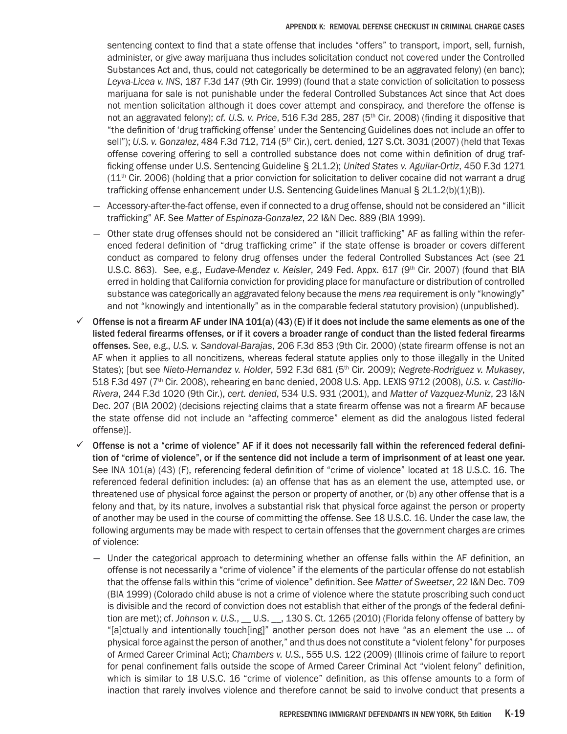sentencing context to find that a state offense that includes "offers" to transport, import, sell, furnish, administer, or give away marijuana thus includes solicitation conduct not covered under the Controlled Substances Act and, thus, could not categorically be determined to be an aggravated felony) (en banc); *Leyva-Licea v. INS*, 187 F.3d 147 (9th Cir. 1999) (found that a state conviction of solicitation to possess marijuana for sale is not punishable under the federal Controlled Substances Act since that Act does not mention solicitation although it does cover attempt and conspiracy, and therefore the offense is not an aggravated felony); *cf. U.S. v. Price*, 516 F.3d 285, 287 (5th Cir. 2008) (finding it dispositive that "the definition of 'drug trafficking offense' under the Sentencing Guidelines does not include an offer to sell"); *U.S. v. Gonzalez*, 484 F.3d 712, 714 (5th Cir.), cert. denied, 127 S.Ct. 3031 (2007) (held that Texas offense covering offering to sell a controlled substance does not come within definition of drug trafficking offense under U.S. Sentencing Guideline § 2L1.2); *United States v. Aguilar-Ortiz*, 450 F.3d 1271  $(11<sup>th</sup>$  Cir. 2006) (holding that a prior conviction for solicitation to deliver cocaine did not warrant a drug trafficking offense enhancement under U.S. Sentencing Guidelines Manual § 2L1.2(b)(1)(B)).

- Accessory-after-the-fact offense, even if connected to a drug offense, should not be considered an "illicit trafficking" AF. See *Matter of Espinoza-Gonzalez*, 22 I&N Dec. 889 (BIA 1999).
- Other state drug offenses should not be considered an "illicit trafficking" AF as falling within the referenced federal definition of "drug trafficking crime" if the state offense is broader or covers different conduct as compared to felony drug offenses under the federal Controlled Substances Act (see 21 U.S.C. 863). See, e.g., *Eudave-Mendez v. Keisler*, 249 Fed. Appx. 617 (9<sup>th</sup> Cir. 2007) (found that BIA erred in holding that California conviction for providing place for manufacture or distribution of controlled substance was categorically an aggravated felony because the *mens rea* requirement is only "knowingly" and not "knowingly and intentionally" as in the comparable federal statutory provision) (unpublished).
- $\checkmark$  Offense is not a firearm AF under INA 101(a) (43) (E) if it does not include the same elements as one of the listed federal firearms offenses, or if it covers a broader range of conduct than the listed federal firearms offenses. See, e.g., *U.S. v. Sandoval-Barajas*, 206 F.3d 853 (9th Cir. 2000) (state firearm offense is not an AF when it applies to all noncitizens, whereas federal statute applies only to those illegally in the United States); [but see *Nieto-Hernandez v. Holder*, 592 F.3d 681 (5th Cir. 2009); *Negrete-Rodriguez v. Mukasey*, 518 F.3d 497 (7th Cir. 2008), rehearing en banc denied, 2008 U.S. App. LEXIS 9712 (2008), *U.S. v. Castillo-Rivera*, 244 F.3d 1020 (9th Cir.), *cert. denied*, 534 U.S. 931 (2001), and *Matter of Vazquez-Muniz*, 23 I&N Dec. 207 (BIA 2002) (decisions rejecting claims that a state firearm offense was not a firearm AF because the state offense did not include an "affecting commerce" element as did the analogous listed federal offense)].
- $\checkmark$  Offense is not a "crime of violence" AF if it does not necessarily fall within the referenced federal definition of "crime of violence", or if the sentence did not include a term of imprisonment of at least one year. See INA 101(a) (43) (F), referencing federal definition of "crime of violence" located at 18 U.S.C. 16. The referenced federal definition includes: (a) an offense that has as an element the use, attempted use, or threatened use of physical force against the person or property of another, or (b) any other offense that is a felony and that, by its nature, involves a substantial risk that physical force against the person or property of another may be used in the course of committing the offense. See 18 U.S.C. 16. Under the case law, the following arguments may be made with respect to certain offenses that the government charges are crimes of violence:
	- Under the categorical approach to determining whether an offense falls within the AF definition, an offense is not necessarily a "crime of violence" if the elements of the particular offense do not establish that the offense falls within this "crime of violence" definition. See *Matter of Sweetser*, 22 I&N Dec. 709 (BIA 1999) (Colorado child abuse is not a crime of violence where the statute proscribing such conduct is divisible and the record of conviction does not establish that either of the prongs of the federal definition are met); cf. *Johnson v. U.S.*, U.S. \_\_, 130 S. Ct. 1265 (2010) (Florida felony offense of battery by "[a]ctually and intentionally touch[ing]" another person does not have "as an element the use … of physical force against the person of another," and thus does not constitute a "violent felony" for purposes of Armed Career Criminal Act); *Chambers v. U.S.*, 555 U.S. 122 (2009) (Illinois crime of failure to report for penal confinement falls outside the scope of Armed Career Criminal Act "violent felony" definition, which is similar to 18 U.S.C. 16 "crime of violence" definition, as this offense amounts to a form of inaction that rarely involves violence and therefore cannot be said to involve conduct that presents a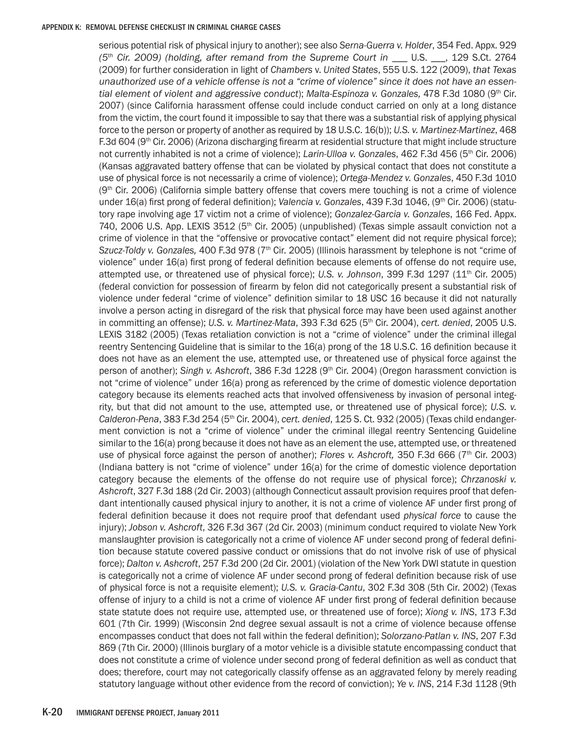serious potential risk of physical injury to another); see also *Serna-Guerra v. Holder*, 354 Fed. Appx. 929 *(5th Cir. 2009) (holding, after remand from the Supreme Court in \_\_\_* U.S. \_\_\_, 129 S.Ct. 2764 (2009) for further consideration in light of *Chambers* v. *United States*, 555 U.S. 122 (2009), *that Texas unauthorized use of a vehicle offense is not a "crime of violence" since it does not have an essential element of violent and aggressive conduct*); *Malta-Espinoza v. Gonzales,* 478 F.3d 1080 (9th Cir. 2007) (since California harassment offense could include conduct carried on only at a long distance from the victim, the court found it impossible to say that there was a substantial risk of applying physical force to the person or property of another as required by 18 U.S.C. 16(b)); *U.S. v. Martinez-Martinez*, 468 F.3d 604 (9th Cir. 2006) (Arizona discharging firearm at residential structure that might include structure not currently inhabited is not a crime of violence); *Larin-Ulloa v. Gonzales*, 462 F.3d 456 (5th Cir. 2006) (Kansas aggravated battery offense that can be violated by physical contact that does not constitute a use of physical force is not necessarily a crime of violence); *Ortega-Mendez v. Gonzales*, 450 F.3d 1010  $(9<sup>th</sup>)$  Cir. 2006) (California simple battery offense that covers mere touching is not a crime of violence under 16(a) first prong of federal definition); *Valencia v. Gonzales*, 439 F.3d 1046, (9<sup>th</sup> Cir. 2006) (statutory rape involving age 17 victim not a crime of violence); *Gonzalez-Garcia v. Gonzales*, 166 Fed. Appx. 740, 2006 U.S. App. LEXIS 3512 (5th Cir. 2005) (unpublished) (Texas simple assault conviction not a crime of violence in that the "offensive or provocative contact" element did not require physical force); *Szucz-Toldy v. Gonzales,* 400 F.3d 978 (7th Cir. 2005) (Illinois harassment by telephone is not "crime of violence" under 16(a) first prong of federal definition because elements of offense do not require use, attempted use, or threatened use of physical force); *U.S. v. Johnson*, 399 F.3d 1297 (11th Cir. 2005) (federal conviction for possession of firearm by felon did not categorically present a substantial risk of violence under federal "crime of violence" definition similar to 18 USC 16 because it did not naturally involve a person acting in disregard of the risk that physical force may have been used against another in committing an offense); *U.S. v. Martinez-Mata*, 393 F.3d 625 (5th Cir. 2004), *cert. denied*, 2005 U.S. LEXIS 3182 (2005) (Texas retaliation conviction is not a "crime of violence" under the criminal illegal reentry Sentencing Guideline that is similar to the 16(a) prong of the 18 U.S.C. 16 definition because it does not have as an element the use, attempted use, or threatened use of physical force against the person of another); Singh v. Ashcroft, 386 F.3d 1228 (9<sup>th</sup> Cir. 2004) (Oregon harassment conviction is not "crime of violence" under 16(a) prong as referenced by the crime of domestic violence deportation category because its elements reached acts that involved offensiveness by invasion of personal integrity, but that did not amount to the use, attempted use, or threatened use of physical force); *U.S. v. Calderon-Pena*, 383 F.3d 254 (5th Cir. 2004), *cert. denied*, 125 S. Ct. 932 (2005) (Texas child endangerment conviction is not a "crime of violence" under the criminal illegal reentry Sentencing Guideline similar to the 16(a) prong because it does not have as an element the use, attempted use, or threatened use of physical force against the person of another); *Flores v. Ashcroft,* 350 F.3d 666 (7th Cir. 2003) (Indiana battery is not "crime of violence" under 16(a) for the crime of domestic violence deportation category because the elements of the offense do not require use of physical force); *Chrzanoski v. Ashcroft*, 327 F.3d 188 (2d Cir. 2003) (although Connecticut assault provision requires proof that defendant intentionally caused physical injury to another, it is not a crime of violence AF under first prong of federal definition because it does not require proof that defendant used *physical force* to cause the injury); *Jobson v. Ashcroft*, 326 F.3d 367 (2d Cir. 2003) (minimum conduct required to violate New York manslaughter provision is categorically not a crime of violence AF under second prong of federal definition because statute covered passive conduct or omissions that do not involve risk of use of physical force); *Dalton v. Ashcroft*, 257 F.3d 200 (2d Cir. 2001) (violation of the New York DWI statute in question is categorically not a crime of violence AF under second prong of federal definition because risk of use of physical force is not a requisite element); *U.S. v. Gracia-Cantu*, 302 F.3d 308 (5th Cir. 2002) (Texas offense of injury to a child is not a crime of violence AF under first prong of federal definition because state statute does not require use, attempted use, or threatened use of force); *Xiong v. INS*, 173 F.3d 601 (7th Cir. 1999) (Wisconsin 2nd degree sexual assault is not a crime of violence because offense encompasses conduct that does not fall within the federal definition); *Solorzano-Patlan v. INS*, 207 F.3d 869 (7th Cir. 2000) (Illinois burglary of a motor vehicle is a divisible statute encompassing conduct that does not constitute a crime of violence under second prong of federal definition as well as conduct that does; therefore, court may not categorically classify offense as an aggravated felony by merely reading statutory language without other evidence from the record of conviction); *Ye v. INS*, 214 F.3d 1128 (9th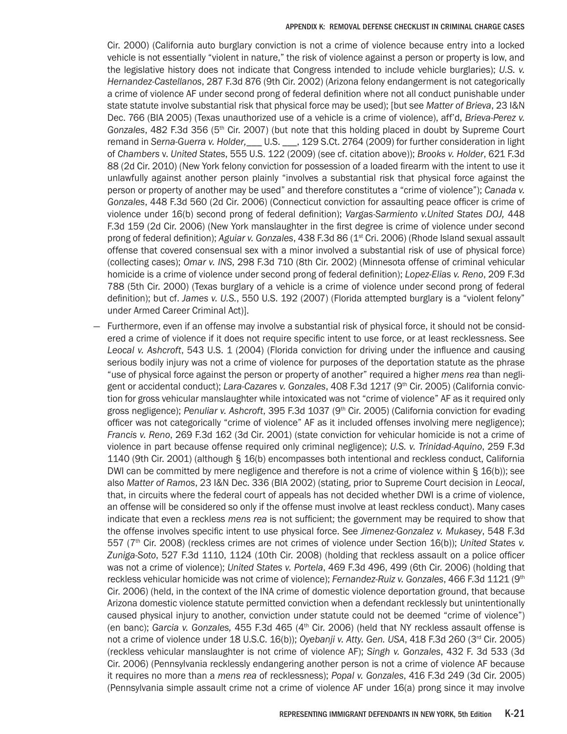Cir. 2000) (California auto burglary conviction is not a crime of violence because entry into a locked vehicle is not essentially "violent in nature," the risk of violence against a person or property is low, and the legislative history does not indicate that Congress intended to include vehicle burglaries); *U.S. v. Hernandez-Castellanos*, 287 F.3d 876 (9th Cir. 2002) (Arizona felony endangerment is not categorically a crime of violence AF under second prong of federal definition where not all conduct punishable under state statute involve substantial risk that physical force may be used); [but see *Matter of Brieva*, 23 I&N Dec. 766 (BIA 2005) (Texas unauthorized use of a vehicle is a crime of violence), aff'd, *Brieva-Perez v. Gonzales*, 482 F.3d 356 (5th Cir. 2007) (but note that this holding placed in doubt by Supreme Court remand in *Serna-Guerra v. Holder,\_\_\_* U.S. \_\_\_, 129 S.Ct. 2764 (2009) for further consideration in light of *Chambers* v. *United States*, 555 U.S. 122 (2009) (see cf. citation above)); *Brooks v. Holder*, 621 F.3d 88 (2d Cir. 2010) (New York felony conviction for possession of a loaded firearm with the intent to use it unlawfully against another person plainly "involves a substantial risk that physical force against the person or property of another may be used" and therefore constitutes a "crime of violence"); *Canada v. Gonzales*, 448 F.3d 560 (2d Cir. 2006) (Connecticut conviction for assaulting peace officer is crime of violence under 16(b) second prong of federal definition); *Vargas-Sarmiento v.United States DOJ,* 448 F.3d 159 (2d Cir. 2006) (New York manslaughter in the first degree is crime of violence under second prong of federal definition); *Aguiar v. Gonzales*, 438 F.3d 86 (1<sup>st</sup> Cri. 2006) (Rhode Island sexual assault offense that covered consensual sex with a minor involved a substantial risk of use of physical force) (collecting cases); *Omar v. INS*, 298 F.3d 710 (8th Cir. 2002) (Minnesota offense of criminal vehicular homicide is a crime of violence under second prong of federal definition); *Lopez-Elias v. Reno*, 209 F.3d 788 (5th Cir. 2000) (Texas burglary of a vehicle is a crime of violence under second prong of federal definition); but cf. *James v. U.S.*, 550 U.S. 192 (2007) (Florida attempted burglary is a "violent felony" under Armed Career Criminal Act)].

— Furthermore, even if an offense may involve a substantial risk of physical force, it should not be considered a crime of violence if it does not require specific intent to use force, or at least recklessness. See *Leocal v. Ashcroft*, 543 U.S. 1 (2004) (Florida conviction for driving under the influence and causing serious bodily injury was not a crime of violence for purposes of the deportation statute as the phrase "use of physical force against the person or property of another" required a higher *mens rea* than negligent or accidental conduct); *Lara-Cazares v. Gonzales*, 408 F.3d 1217 (9th Cir. 2005) (California conviction for gross vehicular manslaughter while intoxicated was not "crime of violence" AF as it required only gross negligence); *Penuliar v. Ashcroft*, 395 F.3d 1037 (9th Cir. 2005) (California conviction for evading officer was not categorically "crime of violence" AF as it included offenses involving mere negligence); *Francis v. Reno*, 269 F.3d 162 (3d Cir. 2001) (state conviction for vehicular homicide is not a crime of violence in part because offense required only criminal negligence); *U.S. v. Trinidad-Aquino*, 259 F.3d 1140 (9th Cir. 2001) (although § 16(b) encompasses both intentional and reckless conduct, California DWI can be committed by mere negligence and therefore is not a crime of violence within § 16(b)); see also *Matter of Ramos*, 23 I&N Dec. 336 (BIA 2002) (stating, prior to Supreme Court decision in *Leocal*, that, in circuits where the federal court of appeals has not decided whether DWI is a crime of violence, an offense will be considered so only if the offense must involve at least reckless conduct). Many cases indicate that even a reckless *mens rea* is not sufficient; the government may be required to show that the offense involves specific intent to use physical force. See *Jimenez-Gonzalez v. Mukasey*, 548 F.3d 557 (7th Cir. 2008) (reckless crimes are not crimes of violence under Section 16(b)); *United States v. Zuniga-Soto*, 527 F.3d 1110, 1124 (10th Cir. 2008) (holding that reckless assault on a police officer was not a crime of violence); *United States v. Portela*, 469 F.3d 496, 499 (6th Cir. 2006) (holding that reckless vehicular homicide was not crime of violence); *Fernandez-Ruiz v. Gonzales*, 466 F.3d 1121 (9th Cir. 2006) (held, in the context of the INA crime of domestic violence deportation ground, that because Arizona domestic violence statute permitted conviction when a defendant recklessly but unintentionally caused physical injury to another, conviction under statute could not be deemed "crime of violence") (en banc); Garcia v. Gonzales, 455 F.3d 465 (4<sup>th</sup> Cir. 2006) (held that NY reckless assault offense is not a crime of violence under 18 U.S.C. 16(b)); Oyebanji v. Atty. Gen. USA, 418 F.3d 260 (3<sup>rd</sup> Cir. 2005) (reckless vehicular manslaughter is not crime of violence AF); *Singh v. Gonzales*, 432 F. 3d 533 (3d Cir. 2006) (Pennsylvania recklessly endangering another person is not a crime of violence AF because it requires no more than a *mens rea* of recklessness); *Popal v. Gonzales*, 416 F.3d 249 (3d Cir. 2005) (Pennsylvania simple assault crime not a crime of violence AF under 16(a) prong since it may involve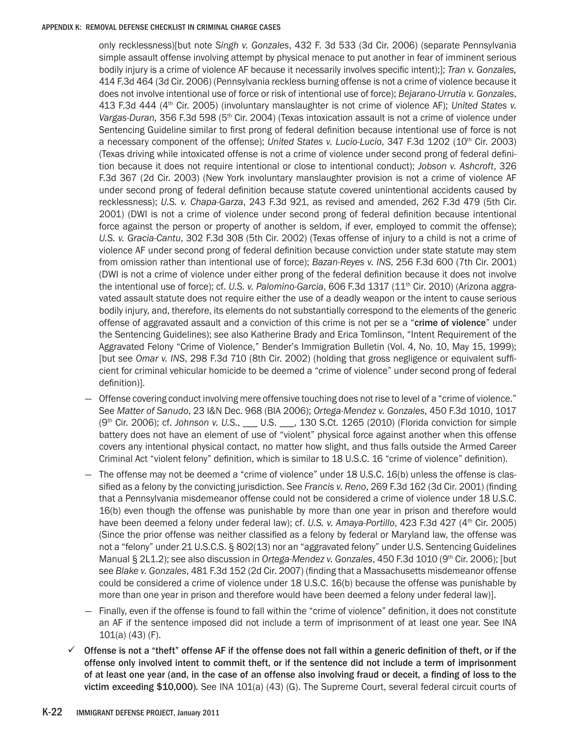only recklessness)[but note *Singh v. Gonzales*, 432 F. 3d 533 (3d Cir. 2006) (separate Pennsylvania simple assault offense involving attempt by physical menace to put another in fear of imminent serious bodily injury is a crime of violence AF because it necessarily involves specific intent);]; *Tran v. Gonzales,*  414 F.3d 464 (3d Cir. 2006) (Pennsylvania reckless burning offense is not a crime of violence because it does not involve intentional use of force or risk of intentional use of force); *Bejarano-Urrutia v. Gonzales*, 413 F.3d 444 (4th Cir. 2005) (involuntary manslaughter is not crime of violence AF); *United States v.*  Vargas-Duran, 356 F.3d 598 (5<sup>th</sup> Cir. 2004) (Texas intoxication assault is not a crime of violence under Sentencing Guideline similar to first prong of federal definition because intentional use of force is not a necessary component of the offense); *United States v. Lucio-Lucio*, 347 F.3d 1202 (10th Cir. 2003) (Texas driving while intoxicated offense is not a crime of violence under second prong of federal definition because it does not require intentional or close to intentional conduct); *Jobson v. Ashcroft*, 326 F.3d 367 (2d Cir. 2003) (New York involuntary manslaughter provision is not a crime of violence AF under second prong of federal definition because statute covered unintentional accidents caused by recklessness); *U.S. v. Chapa-Garza*, 243 F.3d 921, as revised and amended, 262 F.3d 479 (5th Cir. 2001) (DWI is not a crime of violence under second prong of federal definition because intentional force against the person or property of another is seldom, if ever, employed to commit the offense); *U.S. v. Gracia-Cantu*, 302 F.3d 308 (5th Cir. 2002) (Texas offense of injury to a child is not a crime of violence AF under second prong of federal definition because conviction under state statute may stem from omission rather than intentional use of force); *Bazan-Reyes v. INS*, 256 F.3d 600 (7th Cir. 2001) (DWI is not a crime of violence under either prong of the federal definition because it does not involve the intentional use of force); cf. *U.S. v. Palomino-Garcia*, 606 F.3d 1317 (11<sup>th</sup> Cir. 2010) (Arizona aggravated assault statute does not require either the use of a deadly weapon or the intent to cause serious bodily injury, and, therefore, its elements do not substantially correspond to the elements of the generic offense of aggravated assault and a conviction of this crime is not per se a "crime of violence" under the Sentencing Guidelines); see also Katherine Brady and Erica Tomlinson, "Intent Requirement of the Aggravated Felony "Crime of Violence," Bender's Immigration Bulletin (Vol. 4, No. 10, May 15, 1999); [but see *Omar v. INS*, 298 F.3d 710 (8th Cir. 2002) (holding that gross negligence or equivalent sufficient for criminal vehicular homicide to be deemed a "crime of violence" under second prong of federal definition)].

- Offense covering conduct involving mere offensive touching does not rise to level of a "crime of violence." See *Matter of Sanudo*, 23 I&N Dec. 968 (BIA 2006); *Ortega-Mendez v. Gonzales*, 450 F.3d 1010, 1017 (9th Cir. 2006); cf. *Johnson v. U.S.*, \_\_\_ U.S. \_\_\_, 130 S.Ct. 1265 (2010) (Florida conviction for simple battery does not have an element of use of "violent" physical force against another when this offense covers any intentional physical contact, no matter how slight, and thus falls outside the Armed Career Criminal Act "violent felony" definition, which is similar to 18 U.S.C. 16 "crime of violence" definition).
- The offense may not be deemed a "crime of violence" under 18 U.S.C. 16(b) unless the offense is classified as a felony by the convicting jurisdiction. See *Francis v. Reno*, 269 F.3d 162 (3d Cir. 2001) (finding that a Pennsylvania misdemeanor offense could not be considered a crime of violence under 18 U.S.C. 16(b) even though the offense was punishable by more than one year in prison and therefore would have been deemed a felony under federal law); cf. *U.S. v. Amaya-Portillo*, 423 F.3d 427 (4th Cir. 2005) (Since the prior offense was neither classified as a felony by federal or Maryland law, the offense was not a "felony" under 21 U.S.C.S. § 802(13) nor an "aggravated felony" under U.S. Sentencing Guidelines Manual § 2L1.2); see also discussion in *Ortega-Mendez v. Gonzales*, 450 F.3d 1010 (9th Cir. 2006); [but see *Blake v. Gonzales*, 481 F.3d 152 (2d Cir. 2007) (finding that a Massachusetts misdemeanor offense could be considered a crime of violence under 18 U.S.C. 16(b) because the offense was punishable by more than one year in prison and therefore would have been deemed a felony under federal law)].
- Finally, even if the offense is found to fall within the "crime of violence" definition, it does not constitute an AF if the sentence imposed did not include a term of imprisonment of at least one year. See INA 101(a) (43) (F).
- $\checkmark$  Offense is not a "theft" offense AF if the offense does not fall within a generic definition of theft, or if the offense only involved intent to commit theft, or if the sentence did not include a term of imprisonment of at least one year (and, in the case of an offense also involving fraud or deceit, a finding of loss to the victim exceeding \$10,000). See INA 101(a) (43) (G). The Supreme Court, several federal circuit courts of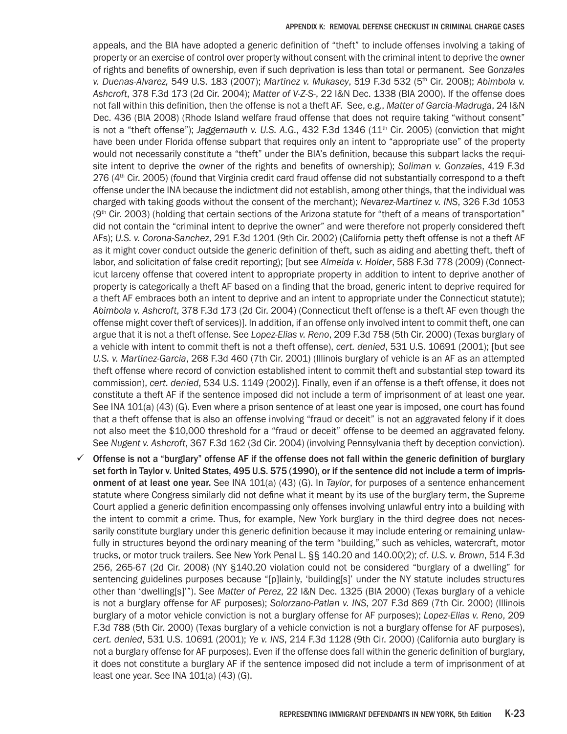appeals, and the BIA have adopted a generic definition of "theft" to include offenses involving a taking of property or an exercise of control over property without consent with the criminal intent to deprive the owner of rights and benefits of ownership, even if such deprivation is less than total or permanent. See *Gonzales v. Duenas-Alvarez,* 549 U.S. 183 (2007); *Martinez v. Mukasey*, 519 F.3d 532 (5th Cir. 2008); *Abimbola v. Ashcroft*, 378 F.3d 173 (2d Cir. 2004); *Matter of V-Z-S-*, 22 I&N Dec. 1338 (BIA 2000). If the offense does not fall within this definition, then the offense is not a theft AF. See, e.g., *Matter of Garcia-Madruga*, 24 I&N Dec. 436 (BIA 2008) (Rhode Island welfare fraud offense that does not require taking "without consent" is not a "theft offense"); *Jaggernauth v. U.S. A.G.*, 432 F.3d 1346 (11<sup>th</sup> Cir. 2005) (conviction that might have been under Florida offense subpart that requires only an intent to "appropriate use" of the property would not necessarily constitute a "theft" under the BIA's definition, because this subpart lacks the requisite intent to deprive the owner of the rights and benefits of ownership); *Soliman v. Gonzales*, 419 F.3d 276 (4<sup>th</sup> Cir. 2005) (found that Virginia credit card fraud offense did not substantially correspond to a theft offense under the INA because the indictment did not establish, among other things, that the individual was charged with taking goods without the consent of the merchant); *Nevarez-Martinez v. INS*, 326 F.3d 1053  $(9<sup>th</sup>$  Cir. 2003) (holding that certain sections of the Arizona statute for "theft of a means of transportation" did not contain the "criminal intent to deprive the owner" and were therefore not properly considered theft AFs); *U.S. v. Corona-Sanchez*, 291 F.3d 1201 (9th Cir. 2002) (California petty theft offense is not a theft AF as it might cover conduct outside the generic definition of theft, such as aiding and abetting theft, theft of labor, and solicitation of false credit reporting); [but see *Almeida v. Holder*, 588 F.3d 778 (2009) (Connecticut larceny offense that covered intent to appropriate property in addition to intent to deprive another of property is categorically a theft AF based on a finding that the broad, generic intent to deprive required for a theft AF embraces both an intent to deprive and an intent to appropriate under the Connecticut statute); *Abimbola v. Ashcroft*, 378 F.3d 173 (2d Cir. 2004) (Connecticut theft offense is a theft AF even though the offense might cover theft of services)]. In addition, if an offense only involved intent to commit theft, one can argue that it is not a theft offense. See *Lopez-Elias v. Reno*, 209 F.3d 758 (5th Cir. 2000) (Texas burglary of a vehicle with intent to commit theft is not a theft offense), *cert. denied*, 531 U.S. 10691 (2001); [but see *U.S. v. Martinez-Garcia*, 268 F.3d 460 (7th Cir. 2001) (Illinois burglary of vehicle is an AF as an attempted theft offense where record of conviction established intent to commit theft and substantial step toward its commission), *cert. denied*, 534 U.S. 1149 (2002)]. Finally, even if an offense is a theft offense, it does not constitute a theft AF if the sentence imposed did not include a term of imprisonment of at least one year. See INA 101(a) (43) (G). Even where a prison sentence of at least one year is imposed, one court has found that a theft offense that is also an offense involving "fraud or deceit" is not an aggravated felony if it does not also meet the \$10,000 threshold for a "fraud or deceit" offense to be deemed an aggravated felony. See *Nugent v. Ashcroft*, 367 F.3d 162 (3d Cir. 2004) (involving Pennsylvania theft by deception conviction).

 $\checkmark$  Offense is not a "burglary" offense AF if the offense does not fall within the generic definition of burglary set forth in Taylor v. United States, 495 U.S. 575 (1990), or if the sentence did not include a term of imprisonment of at least one year. See INA 101(a) (43) (G). In *Taylor*, for purposes of a sentence enhancement statute where Congress similarly did not define what it meant by its use of the burglary term, the Supreme Court applied a generic definition encompassing only offenses involving unlawful entry into a building with the intent to commit a crime. Thus, for example, New York burglary in the third degree does not necessarily constitute burglary under this generic definition because it may include entering or remaining unlawfully in structures beyond the ordinary meaning of the term "building," such as vehicles, watercraft, motor trucks, or motor truck trailers. See New York Penal L. §§ 140.20 and 140.00(2); cf. *U.S. v. Brown*, 514 F.3d 256, 265-67 (2d Cir. 2008) (NY §140.20 violation could not be considered "burglary of a dwelling" for sentencing guidelines purposes because "[p]lainly, 'building[s]' under the NY statute includes structures other than 'dwelling[s]'"). See *Matter of Perez*, 22 I&N Dec. 1325 (BIA 2000) (Texas burglary of a vehicle is not a burglary offense for AF purposes); *Solorzano-Patlan v. INS*, 207 F.3d 869 (7th Cir. 2000) (Illinois burglary of a motor vehicle conviction is not a burglary offense for AF purposes); *Lopez-Elias v. Reno*, 209 F.3d 788 (5th Cir. 2000) (Texas burglary of a vehicle conviction is not a burglary offense for AF purposes), *cert. denied*, 531 U.S. 10691 (2001); *Ye v. INS*, 214 F.3d 1128 (9th Cir. 2000) (California auto burglary is not a burglary offense for AF purposes). Even if the offense does fall within the generic definition of burglary, it does not constitute a burglary AF if the sentence imposed did not include a term of imprisonment of at least one year. See INA 101(a) (43) (G).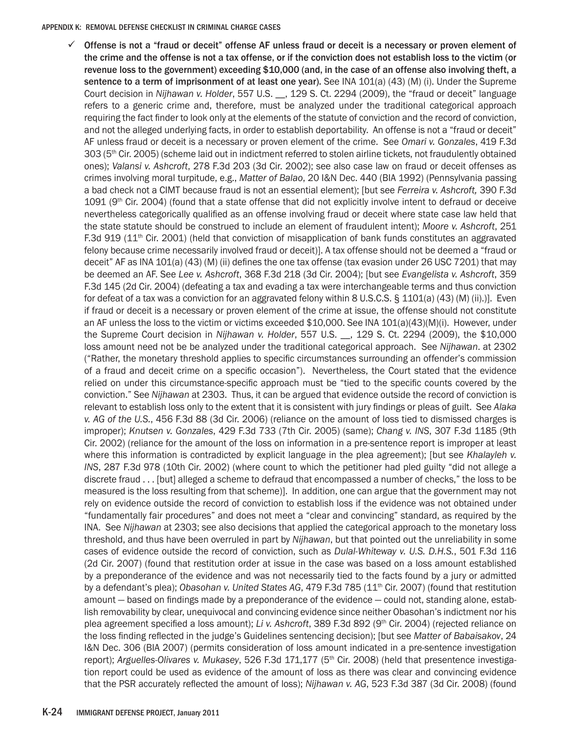$\checkmark$  Offense is not a "fraud or deceit" offense AF unless fraud or deceit is a necessary or proven element of the crime and the offense is not a tax offense, or if the conviction does not establish loss to the victim (or revenue loss to the government) exceeding \$10,000 (and, in the case of an offense also involving theft, a sentence to a term of imprisonment of at least one year). See INA 101(a) (43) (M) (i). Under the Supreme Court decision in *Nijhawan v. Holder*, 557 U.S. \_\_, 129 S. Ct. 2294 (2009), the "fraud or deceit" language refers to a generic crime and, therefore, must be analyzed under the traditional categorical approach requiring the fact finder to look only at the elements of the statute of conviction and the record of conviction, and not the alleged underlying facts, in order to establish deportability. An offense is not a "fraud or deceit" AF unless fraud or deceit is a necessary or proven element of the crime. See *Omari v. Gonzales*, 419 F.3d 303 (5<sup>th</sup> Cir. 2005) (scheme laid out in indictment referred to stolen airline tickets, not fraudulently obtained ones); *Valansi v. Ashcroft*, 278 F.3d 203 (3d Cir. 2002); see also case law on fraud or deceit offenses as crimes involving moral turpitude, e.g., *Matter of Balao*, 20 I&N Dec. 440 (BIA 1992) (Pennsylvania passing a bad check not a CIMT because fraud is not an essential element); [but see *Ferreira v. Ashcroft,* 390 F.3d 1091 ( $9<sup>th</sup>$  Cir. 2004) (found that a state offense that did not explicitly involve intent to defraud or deceive nevertheless categorically qualified as an offense involving fraud or deceit where state case law held that the state statute should be construed to include an element of fraudulent intent); *Moore v. Ashcroft*, 251 F.3d 919 ( $11<sup>th</sup>$  Cir. 2001) (held that conviction of misapplication of bank funds constitutes an aggravated felony because crime necessarily involved fraud or deceit)]. A tax offense should not be deemed a "fraud or deceit" AF as INA 101(a) (43) (M) (ii) defines the one tax offense (tax evasion under 26 USC 7201) that may be deemed an AF. See *Lee v. Ashcroft*, 368 F.3d 218 (3d Cir. 2004); [but see *Evangelista v. Ashcroft*, 359 F.3d 145 (2d Cir. 2004) (defeating a tax and evading a tax were interchangeable terms and thus conviction for defeat of a tax was a conviction for an aggravated felony within 8 U.S.C.S. § 1101(a) (43) (M) (ii).)]. Even if fraud or deceit is a necessary or proven element of the crime at issue, the offense should not constitute an AF unless the loss to the victim or victims exceeded \$10,000. See INA 101(a)(43)(M)(i). However, under the Supreme Court decision in *Nijhawan v. Holder*, 557 U.S. \_\_, 129 S. Ct. 2294 (2009), the \$10,000 loss amount need not be be analyzed under the traditional categorical approach. See *Nijhawan*. at 2302 ("Rather, the monetary threshold applies to specific circumstances surrounding an offender's commission of a fraud and deceit crime on a specific occasion"). Nevertheless, the Court stated that the evidence relied on under this circumstance-specific approach must be "tied to the specific counts covered by the conviction." See *Nijhawan* at 2303. Thus, it can be argued that evidence outside the record of conviction is relevant to establish loss only to the extent that it is consistent with jury findings or pleas of guilt. See *Alaka v. AG of the U.S.*, 456 F.3d 88 (3d Cir. 2006) (reliance on the amount of loss tied to dismissed charges is improper); *Knutsen v. Gonzales*, 429 F.3d 733 (7th Cir. 2005) (same); *Chang v. INS*, 307 F.3d 1185 (9th Cir. 2002) (reliance for the amount of the loss on information in a pre-sentence report is improper at least where this information is contradicted by explicit language in the plea agreement); [but see *Khalayleh v. INS*, 287 F.3d 978 (10th Cir. 2002) (where count to which the petitioner had pled guilty "did not allege a discrete fraud . . . [but] alleged a scheme to defraud that encompassed a number of checks," the loss to be measured is the loss resulting from that scheme)]. In addition, one can argue that the government may not rely on evidence outside the record of conviction to establish loss if the evidence was not obtained under "fundamentally fair procedures" and does not meet a "clear and convincing" standard, as required by the INA. See *Nijhawan* at 2303; see also decisions that applied the categorical approach to the monetary loss threshold, and thus have been overruled in part by *Nijhawan*, but that pointed out the unreliability in some cases of evidence outside the record of conviction, such as *Dulal-Whiteway v. U.S. D.H.S.*, 501 F.3d 116 (2d Cir. 2007) (found that restitution order at issue in the case was based on a loss amount established by a preponderance of the evidence and was not necessarily tied to the facts found by a jury or admitted by a defendant's plea); *Obasohan v. United States AG*, 479 F.3d 785 (11<sup>th</sup> Cir. 2007) (found that restitution amount — based on findings made by a preponderance of the evidence — could not, standing alone, establish removability by clear, unequivocal and convincing evidence since neither Obasohan's indictment nor his plea agreement specified a loss amount); *Li v. Ashcroft*, 389 F.3d 892 (9th Cir. 2004) (rejected reliance on the loss finding reflected in the judge's Guidelines sentencing decision); [but see *Matter of Babaisakov*, 24 I&N Dec. 306 (BIA 2007) (permits consideration of loss amount indicated in a pre-sentence investigation report); *Arguelles-Olivares v. Mukasey*, 526 F.3d 171,177 (5th Cir. 2008) (held that presentence investigation report could be used as evidence of the amount of loss as there was clear and convincing evidence that the PSR accurately reflected the amount of loss); *Nijhawan v. AG*, 523 F.3d 387 (3d Cir. 2008) (found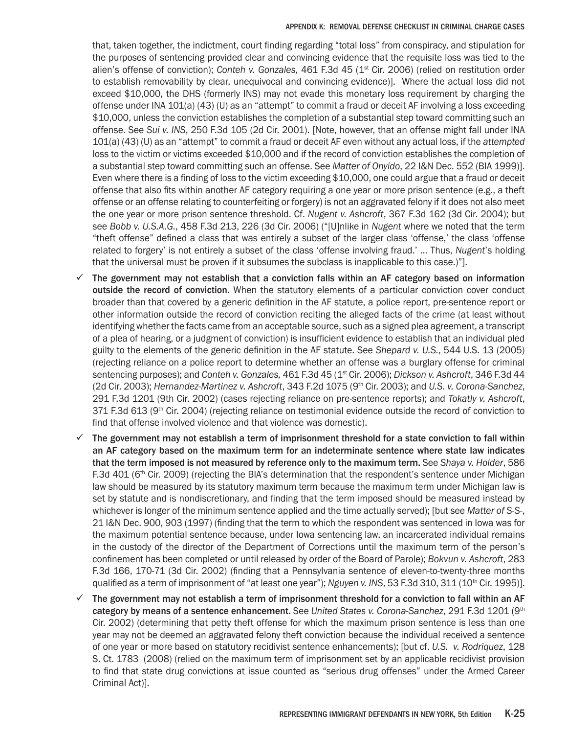that, taken together, the indictment, court finding regarding "total loss" from conspiracy, and stipulation for the purposes of sentencing provided clear and convincing evidence that the requisite loss was tied to the alien's offense of conviction); *Conteh v. Gonzales,* 461 F.3d 45 (1st Cir. 2006) (relied on restitution order to establish removability by clear, unequivocal and convincing evidence)]. Where the actual loss did not exceed \$10,000, the DHS (formerly INS) may not evade this monetary loss requirement by charging the offense under INA 101(a) (43) (U) as an "attempt" to commit a fraud or deceit AF involving a loss exceeding \$10,000, unless the conviction establishes the completion of a substantial step toward committing such an offense. See *Sui v. INS*, 250 F.3d 105 (2d Cir. 2001). [Note, however, that an offense might fall under INA 101(a) (43) (U) as an "attempt" to commit a fraud or deceit AF even without any actual loss, if the *attempted* loss to the victim or victims exceeded \$10,000 and if the record of conviction establishes the completion of a substantial step toward committing such an offense. See *Matter of Onyido*, 22 I&N Dec. 552 (BIA 1999)]. Even where there is a finding of loss to the victim exceeding \$10,000, one could argue that a fraud or deceit offense that also fits within another AF category requiring a one year or more prison sentence (e.g., a theft offense or an offense relating to counterfeiting or forgery) is not an aggravated felony if it does not also meet the one year or more prison sentence threshold. Cf. *Nugent v. Ashcroft*, 367 F.3d 162 (3d Cir. 2004); but see *Bobb v. U.S.A.G.*, 458 F.3d 213, 226 (3d Cir. 2006) ("[U]nlike in *Nugent* where we noted that the term "theft offense" defined a class that was entirely a subset of the larger class 'offense,' the class 'offense related to forgery' is not entirely a subset of the class 'offense involving fraud.' … Thus, *Nugent*'s holding that the universal must be proven if it subsumes the subclass is inapplicable to this case.)"].

- $\checkmark$  The government may not establish that a conviction falls within an AF category based on information outside the record of conviction. When the statutory elements of a particular conviction cover conduct broader than that covered by a generic definition in the AF statute, a police report, pre-sentence report or other information outside the record of conviction reciting the alleged facts of the crime (at least without identifying whether the facts came from an acceptable source, such as a signed plea agreement, a transcript of a plea of hearing, or a judgment of conviction) is insufficient evidence to establish that an individual pled guilty to the elements of the generic definition in the AF statute. See *Shepard v. U.S.*, 544 U.S. 13 (2005) (rejecting reliance on a police report to determine whether an offense was a burglary offense for criminal sentencing purposes); and *Conteh v. Gonzales,* 461 F.3d 45 (1st Cir. 2006); *Dickson v. Ashcroft*, 346 F.3d 44 (2d Cir. 2003); *Hernandez-Martinez v. Ashcroft*, 343 F.2d 1075 (9th Cir. 2003); and *U.S. v. Corona-Sanchez*, 291 F.3d 1201 (9th Cir. 2002) (cases rejecting reliance on pre-sentence reports); and *Tokatly v. Ashcroft*, 371 F.3d 613 (9<sup>th</sup> Cir. 2004) (rejecting reliance on testimonial evidence outside the record of conviction to find that offense involved violence and that violence was domestic).
- $\checkmark$  The government may not establish a term of imprisonment threshold for a state conviction to fall within an AF category based on the maximum term for an indeterminate sentence where state law indicates that the term imposed is not measured by reference only to the maximum term. See *Shaya v. Holder*, 586 F.3d 401 (6<sup>th</sup> Cir. 2009) (rejecting the BIA's determination that the respondent's sentence under Michigan law should be measured by its statutory maximum term because the maximum term under Michigan law is set by statute and is nondiscretionary, and finding that the term imposed should be measured instead by whichever is longer of the minimum sentence applied and the time actually served); [but see *Matter of S-S-*, 21 I&N Dec. 900, 903 (1997) (finding that the term to which the respondent was sentenced in Iowa was for the maximum potential sentence because, under Iowa sentencing law, an incarcerated individual remains in the custody of the director of the Department of Corrections until the maximum term of the person's confinement has been completed or until released by order of the Board of Parole); *Bokvun v. Ashcroft*, 283 F.3d 166, 170-71 (3d Cir. 2002) (finding that a Pennsylvania sentence of eleven-to-twenty-three months qualified as a term of imprisonment of "at least one year"); *Nguyen v. INS*, 53 F.3d 310, 311 (10<sup>th</sup> Cir. 1995)].
- $\checkmark$  The government may not establish a term of imprisonment threshold for a conviction to fall within an AF category by means of a sentence enhancement. See *United States v. Corona-Sanchez*, 291 F.3d 1201 (9th Cir. 2002) (determining that petty theft offense for which the maximum prison sentence is less than one year may not be deemed an aggravated felony theft conviction because the individual received a sentence of one year or more based on statutory recidivist sentence enhancements); [but cf. *U.S. v. Rodriquez*, 128 S. Ct. 1783 (2008) (relied on the maximum term of imprisonment set by an applicable recidivist provision to find that state drug convictions at issue counted as "serious drug offenses" under the Armed Career Criminal Act)].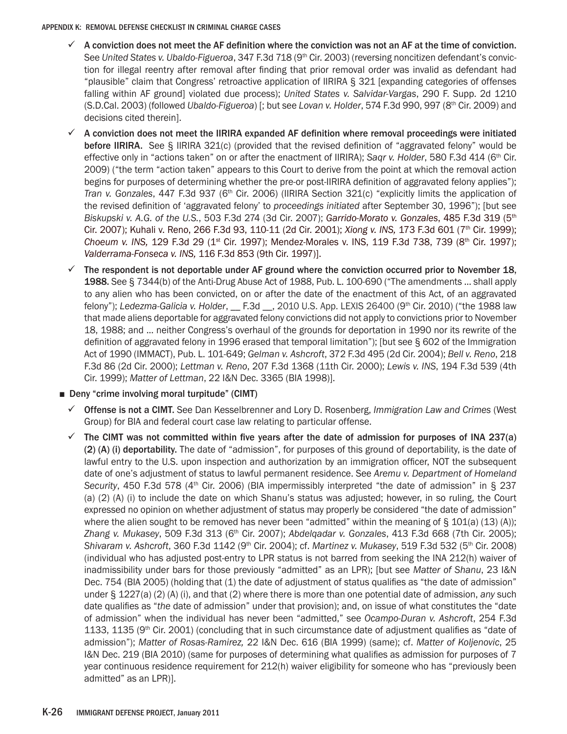- $\checkmark$  A conviction does not meet the AF definition where the conviction was not an AF at the time of conviction. See *United States v. Ubaldo-Figueroa*, 347 F.3d 718 (9th Cir. 2003) (reversing noncitizen defendant's conviction for illegal reentry after removal after finding that prior removal order was invalid as defendant had "plausible" claim that Congress' retroactive application of IIRIRA § 321 [expanding categories of offenses falling within AF ground] violated due process); *United States v. Salvidar-Vargas*, 290 F. Supp. 2d 1210 (S.D.Cal. 2003) (followed *Ubaldo-Figueroa*) [; but see *Lovan v. Holder*, 574 F.3d 990, 997 (8th Cir. 2009) and decisions cited therein].
- $\checkmark$  A conviction does not meet the IIRIRA expanded AF definition where removal proceedings were initiated before IIRIRA. See § IIRIRA 321(c) (provided that the revised definition of "aggravated felony" would be effective only in "actions taken" on or after the enactment of IIRIRA); *Saqr v. Holder*, 580 F.3d 414 (6th Cir. 2009) ("the term "action taken" appears to this Court to derive from the point at which the removal action begins for purposes of determining whether the pre-or post-IIRIRA definition of aggravated felony applies"); *Tran v. Gonzales, 447 F.3d 937 (6<sup>th</sup> Cir. 2006) (IIRIRA Section 321(c) "explicitly limits the application of* the revised definition of 'aggravated felony' to *proceedings initiated* after September 30, 1996"); [but see *Biskupski v. A.G. of the U.S.*, 503 F.3d 274 (3d Cir. 2007); *Garrido-Morato v. Gonzales*, 485 F.3d 319 (5th Cir. 2007); Kuhali v. Reno, 266 F.3d 93, 110-11 (2d Cir. 2001); *Xiong v. INS,* 173 F.3d 601 (7th Cir. 1999); *Choeum v. INS, 129 F.3d 29 (1<sup>st</sup> Cir. 1997)*; Mendez-Morales v. INS, 119 F.3d 738, 739 (8<sup>th</sup> Cir. 1997); *Valderrama-Fonseca v. INS,* 116 F.3d 853 (9th Cir. 1997)].
- $\checkmark$  The respondent is not deportable under AF ground where the conviction occurred prior to November 18, 1988. See § 7344(b) of the Anti-Drug Abuse Act of 1988, Pub. L. 100-690 ("The amendments … shall apply to any alien who has been convicted, on or after the date of the enactment of this Act, of an aggravated felony"); *Ledezma-Galicia v. Holder*, \_\_ F.3d \_\_, 2010 U.S. App. LEXIS 26400 (9th Cir. 2010) ("the 1988 law that made aliens deportable for aggravated felony convictions did not apply to convictions prior to November 18, 1988; and ... neither Congress's overhaul of the grounds for deportation in 1990 nor its rewrite of the definition of aggravated felony in 1996 erased that temporal limitation"); [but see § 602 of the Immigration Act of 1990 (IMMACT), Pub. L. 101-649; *Gelman v. Ashcroft*, 372 F.3d 495 (2d Cir. 2004); *Bell v. Reno*, 218 F.3d 86 (2d Cir. 2000); *Lettman v. Reno*, 207 F.3d 1368 (11th Cir. 2000); *Lewis v. INS*, 194 F.3d 539 (4th Cir. 1999); *Matter of Lettman*, 22 I&N Dec. 3365 (BIA 1998)].
- Deny "crime involving moral turpitude" (CIMT)
	- 9 Offense is not a CIMT. See Dan Kesselbrenner and Lory D. Rosenberg, *Immigration Law and Crimes* (West Group) for BIA and federal court case law relating to particular offense.
	- $\checkmark$  The CIMT was not committed within five years after the date of admission for purposes of INA 237(a) (2) (A) (i) deportability. The date of "admission", for purposes of this ground of deportability, is the date of lawful entry to the U.S. upon inspection and authorization by an immigration officer, NOT the subsequent date of one's adjustment of status to lawful permanent residence. See *Aremu v. Department of Homeland*  Security, 450 F.3d 578 (4<sup>th</sup> Cir. 2006) (BIA impermissibly interpreted "the date of admission" in § 237 (a) (2) (A) (i) to include the date on which Shanu's status was adjusted; however, in so ruling, the Court expressed no opinion on whether adjustment of status may properly be considered "the date of admission" where the alien sought to be removed has never been "admitted" within the meaning of  $\S 101(a) (13) (A)$ ; *Zhang v. Mukasey*, 509 F.3d 313 (6th Cir. 2007); *Abdelqadar v. Gonzales*, 413 F.3d 668 (7th Cir. 2005); *Shivaram v. Ashcroft*, 360 F.3d 1142 (9th Cir. 2004); cf. *Martinez v. Mukasey*, 519 F.3d 532 (5th Cir. 2008) (individual who has adjusted post-entry to LPR status is not barred from seeking the INA 212(h) waiver of inadmissibility under bars for those previously "admitted" as an LPR); [but see *Matter of Shanu*, 23 I&N Dec. 754 (BIA 2005) (holding that (1) the date of adjustment of status qualifies as "the date of admission" under § 1227(a) (2) (A) (i), and that (2) where there is more than one potential date of admission, *any* such date qualifies as "*the* date of admission" under that provision); and, on issue of what constitutes the "date of admission" when the individual has never been "admitted," see *Ocampo-Duran v. Ashcroft*, 254 F.3d 1133, 1135 ( $9<sup>th</sup>$  Cir. 2001) (concluding that in such circumstance date of adjustment qualifies as "date of admission"); *Matter of Rosas-Ramirez,* 22 I&N Dec. 616 (BIA 1999) (same); cf. *Matter of Koljenovic*, 25 I&N Dec. 219 (BIA 2010) (same for purposes of determining what qualifies as admission for purposes of 7 year continuous residence requirement for 212(h) waiver eligibility for someone who has "previously been admitted" as an LPR)].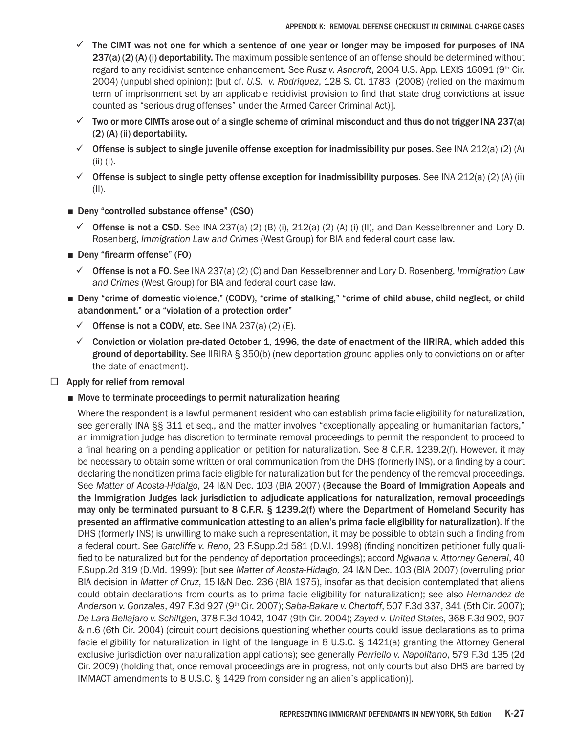- $\checkmark$  The CIMT was not one for which a sentence of one year or longer may be imposed for purposes of INA 237(a) (2) (A) (i) deportability. The maximum possible sentence of an offense should be determined without regard to any recidivist sentence enhancement. See *Rusz v. Ashcroft*, 2004 U.S. App. LEXIS 16091 (9th Cir. 2004) (unpublished opinion); [but cf. *U.S. v. Rodriquez*, 128 S. Ct. 1783 (2008) (relied on the maximum term of imprisonment set by an applicable recidivist provision to find that state drug convictions at issue counted as "serious drug offenses" under the Armed Career Criminal Act)].
- $\checkmark$  Two or more CIMTs arose out of a single scheme of criminal misconduct and thus do not trigger INA 237(a) (2) (A) (ii) deportability.
- $\checkmark$  Offense is subject to single juvenile offense exception for inadmissibility pur poses. See INA 212(a) (2) (A) (ii) (I).
- $\checkmark$  Offense is subject to single petty offense exception for inadmissibility purposes. See INA 212(a) (2) (A) (ii) (II).
- Deny "controlled substance offense" (CSO)
	- $\checkmark$  Offense is not a CSO. See INA 237(a) (2) (B) (i), 212(a) (2) (A) (i) (II), and Dan Kesselbrenner and Lory D. Rosenberg, *Immigration Law and Crimes* (West Group) for BIA and federal court case law.
- Deny "firearm offense" (FO)
	- 9 Offense is not a FO. See INA 237(a) (2) (C) and Dan Kesselbrenner and Lory D. Rosenberg, *Immigration Law and Crimes* (West Group) for BIA and federal court case law.
- Deny "crime of domestic violence," (CODV), "crime of stalking," "crime of child abuse, child neglect, or child abandonment," or a "violation of a protection order"
	- $\checkmark$  Offense is not a CODV, etc. See INA 237(a) (2) (E).
	- $\checkmark$  Conviction or violation pre-dated October 1, 1996, the date of enactment of the IIRIRA, which added this ground of deportability. See IIRIRA § 350(b) (new deportation ground applies only to convictions on or after the date of enactment).

# $\Box$  Apply for relief from removal

■ Move to terminate proceedings to permit naturalization hearing

Where the respondent is a lawful permanent resident who can establish prima facie eligibility for naturalization, see generally INA §§ 311 et seq., and the matter involves "exceptionally appealing or humanitarian factors," an immigration judge has discretion to terminate removal proceedings to permit the respondent to proceed to a final hearing on a pending application or petition for naturalization. See 8 C.F.R. 1239.2(f). However, it may be necessary to obtain some written or oral communication from the DHS (formerly INS), or a finding by a court declaring the noncitizen prima facie eligible for naturalization but for the pendency of the removal proceedings. See *Matter of Acosta-Hidalgo,* 24 I&N Dec. 103 (BIA 2007) (Because the Board of Immigration Appeals and the Immigration Judges lack jurisdiction to adjudicate applications for naturalization, removal proceedings may only be terminated pursuant to 8 C.F.R. § 1239.2(f) where the Department of Homeland Security has presented an affirmative communication attesting to an alien's prima facie eligibility for naturalization). If the DHS (formerly INS) is unwilling to make such a representation, it may be possible to obtain such a finding from a federal court. See *Gatcliffe v. Reno*, 23 F.Supp.2d 581 (D.V.I. 1998) (finding noncitizen petitioner fully qualified to be naturalized but for the pendency of deportation proceedings); accord *Ngwana v. Attorney General*, 40 F.Supp.2d 319 (D.Md. 1999); [but see *Matter of Acosta-Hidalgo,* 24 I&N Dec. 103 (BIA 2007) (overruling prior BIA decision in *Matter of Cruz*, 15 I&N Dec. 236 (BIA 1975), insofar as that decision contemplated that aliens could obtain declarations from courts as to prima facie eligibility for naturalization); see also *Hernandez de Anderson v. Gonzales*, 497 F.3d 927 (9th Cir. 2007); *Saba-Bakare v. Chertoff*, 507 F.3d 337, 341 (5th Cir. 2007); *De Lara Bellajaro v. Schiltgen*, 378 F.3d 1042, 1047 (9th Cir. 2004); *Zayed v. United States*, 368 F.3d 902, 907 & n.6 (6th Cir. 2004) (circuit court decisions questioning whether courts could issue declarations as to prima facie eligibility for naturalization in light of the language in 8 U.S.C. § 1421(a) granting the Attorney General exclusive jurisdiction over naturalization applications); see generally *Perriello v. Napolitano*, 579 F.3d 135 (2d Cir. 2009) (holding that, once removal proceedings are in progress, not only courts but also DHS are barred by IMMACT amendments to 8 U.S.C. § 1429 from considering an alien's application)].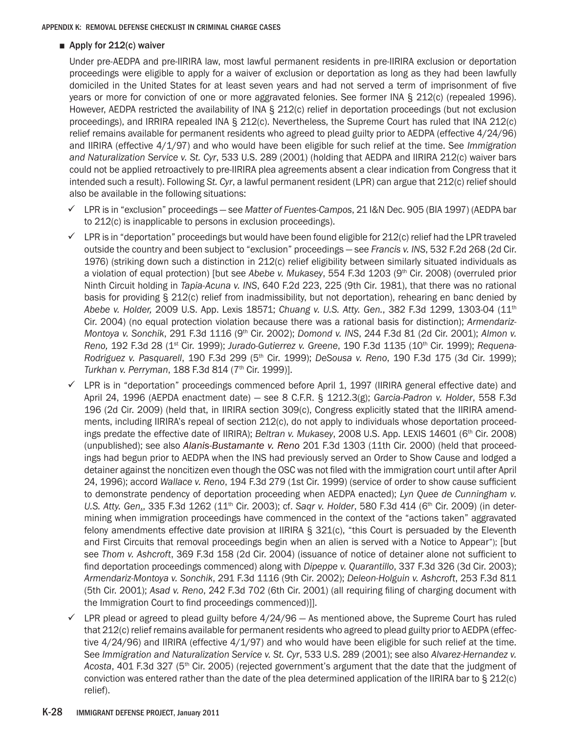# ■ Apply for 212(c) waiver

Under pre-AEDPA and pre-IIRIRA law, most lawful permanent residents in pre-IIRIRA exclusion or deportation proceedings were eligible to apply for a waiver of exclusion or deportation as long as they had been lawfully domiciled in the United States for at least seven years and had not served a term of imprisonment of five years or more for conviction of one or more aggravated felonies. See former INA § 212(c) (repealed 1996). However, AEDPA restricted the availability of INA § 212(c) relief in deportation proceedings (but not exclusion proceedings), and IRRIRA repealed INA § 212(c). Nevertheless, the Supreme Court has ruled that INA 212(c) relief remains available for permanent residents who agreed to plead guilty prior to AEDPA (effective 4/24/96) and IIRIRA (effective 4/1/97) and who would have been eligible for such relief at the time. See *Immigration and Naturalization Service v. St. Cyr*, 533 U.S. 289 (2001) (holding that AEDPA and IIRIRA 212(c) waiver bars could not be applied retroactively to pre-IIRIRA plea agreements absent a clear indication from Congress that it intended such a result). Following *St. Cyr*, a lawful permanent resident (LPR) can argue that 212(c) relief should also be available in the following situations:

- 9 LPR is in "exclusion" proceedings see *Matter of Fuentes-Campos*, 21 I&N Dec. 905 (BIA 1997) (AEDPA bar to 212(c) is inapplicable to persons in exclusion proceedings).
- $\checkmark$  LPR is in "deportation" proceedings but would have been found eligible for 212(c) relief had the LPR traveled outside the country and been subject to "exclusion" proceedings — see *Francis v. INS*, 532 F.2d 268 (2d Cir. 1976) (striking down such a distinction in 212(c) relief eligibility between similarly situated individuals as a violation of equal protection) [but see *Abebe v. Mukasey*, 554 F.3d 1203 (9th Cir. 2008) (overruled prior Ninth Circuit holding in *Tapia-Acuna v. INS*, 640 F.2d 223, 225 (9th Cir. 1981), that there was no rational basis for providing § 212(c) relief from inadmissibility, but not deportation), rehearing en banc denied by *Abebe v. Holder,* 2009 U.S. App. Lexis 18571; *Chuang v. U.S. Atty. Gen.*, 382 F.3d 1299, 1303-04 (11th Cir. 2004) (no equal protection violation because there was a rational basis for distinction); *Armendariz-Montoya v. Sonchik*, 291 F.3d 1116 (9th Cir. 2002); *Domond v. INS*, 244 F.3d 81 (2d Cir. 2001); *Almon v. Reno,* 192 F.3d 28 (1st Cir. 1999); *Jurado-Gutierrez v. Greene*, 190 F.3d 1135 (10th Cir. 1999); *Requena-Rodriguez v. Pasquarell*, 190 F.3d 299 (5th Cir. 1999); *DeSousa v. Reno*, 190 F.3d 175 (3d Cir. 1999); *Turkhan v. Perryman*, 188 F.3d 814 (7th Cir. 1999)].
- $\checkmark$  LPR is in "deportation" proceedings commenced before April 1, 1997 (IIRIRA general effective date) and April 24, 1996 (AEPDA enactment date) — see 8 C.F.R. § 1212.3(g); *Garcia-Padron v. Holder*, 558 F.3d 196 (2d Cir. 2009) (held that, in IIRIRA section 309(c), Congress explicitly stated that the IIRIRA amendments, including IIRIRA's repeal of section 212(c), do not apply to individuals whose deportation proceedings predate the effective date of IIRIRA); *Beltran v. Mukasey*, 2008 U.S. App. LEXIS 14601 (6<sup>th</sup> Cir. 2008) (unpublished); see also *Alanis-Bustamante v. Reno* 201 F.3d 1303 (11th Cir. 2000) (held that proceedings had begun prior to AEDPA when the INS had previously served an Order to Show Cause and lodged a detainer against the noncitizen even though the OSC was not filed with the immigration court until after April 24, 1996); accord *Wallace v. Reno*, 194 F.3d 279 (1st Cir. 1999) (service of order to show cause sufficient to demonstrate pendency of deportation proceeding when AEDPA enacted); *Lyn Quee de Cunningham v. U.S. Atty. Gen., 335 F.3d 1262 (11<sup>th</sup> Cir. 2003); cf. <i>Saqr v. Holder*, 580 F.3d 414 (6<sup>th</sup> Cir. 2009) (in determining when immigration proceedings have commenced in the context of the "actions taken" aggravated felony amendments effective date provision at IIRIRA § 321(c), "this Court is persuaded by the Eleventh and First Circuits that removal proceedings begin when an alien is served with a Notice to Appear"); [but see *Thom v. Ashcroft*, 369 F.3d 158 (2d Cir. 2004) (issuance of notice of detainer alone not sufficient to find deportation proceedings commenced) along with *Dipeppe v. Quarantillo*, 337 F.3d 326 (3d Cir. 2003); *Armendariz-Montoya v. Sonchik*, 291 F.3d 1116 (9th Cir. 2002); *Deleon-Holguin v. Ashcroft*, 253 F.3d 811 (5th Cir. 2001); *Asad v. Reno*, 242 F.3d 702 (6th Cir. 2001) (all requiring filing of charging document with the Immigration Court to find proceedings commenced)]].
- $\checkmark$  LPR plead or agreed to plead guilty before 4/24/96 As mentioned above, the Supreme Court has ruled that 212(c) relief remains available for permanent residents who agreed to plead guilty prior to AEDPA (effective 4/24/96) and IIRIRA (effective 4/1/97) and who would have been eligible for such relief at the time. See *Immigration and Naturalization Service v. St. Cyr*, 533 U.S. 289 (2001); see also *Alvarez-Hernandez v. Acosta*, 401 F.3d 327 (5th Cir. 2005) (rejected government's argument that the date that the judgment of conviction was entered rather than the date of the plea determined application of the IIRIRA bar to § 212(c) relief).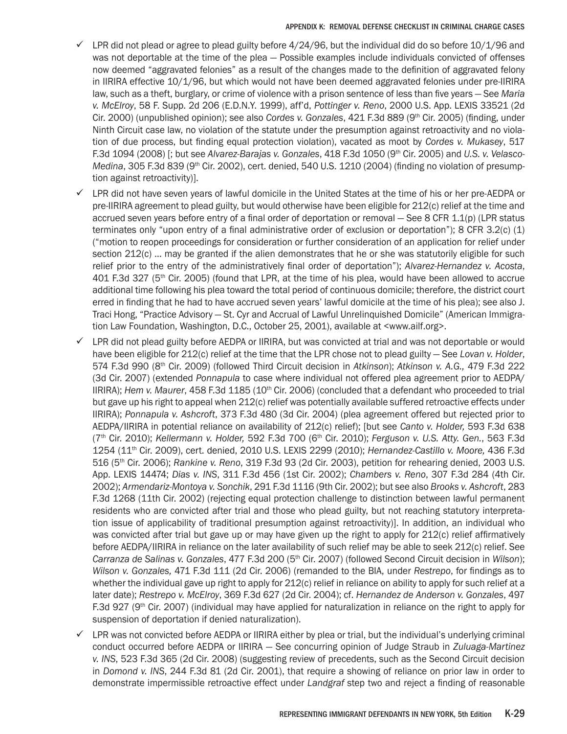- $\checkmark$  LPR did not plead or agree to plead guilty before 4/24/96, but the individual did do so before 10/1/96 and was not deportable at the time of the plea — Possible examples include individuals convicted of offenses now deemed "aggravated felonies" as a result of the changes made to the definition of aggravated felony in IIRIRA effective 10/1/96, but which would not have been deemed aggravated felonies under pre-IIRIRA law, such as a theft, burglary, or crime of violence with a prison sentence of less than five years — See *Maria v. McElroy*, 58 F. Supp. 2d 206 (E.D.N.Y. 1999), aff'd, *Pottinger v. Reno*, 2000 U.S. App. LEXIS 33521 (2d Cir. 2000) (unpublished opinion); see also *Cordes v. Gonzales*, 421 F.3d 889 (9<sup>th</sup> Cir. 2005) (finding, under Ninth Circuit case law, no violation of the statute under the presumption against retroactivity and no violation of due process, but finding equal protection violation), vacated as moot by *Cordes v. Mukasey*, 517 F.3d 1094 (2008) [; but see *Alvarez-Barajas v. Gonzales*, 418 F.3d 1050 (9th Cir. 2005) and *U.S. v. Velasco-Medina*, 305 F.3d 839 (9<sup>th</sup> Cir. 2002), cert. denied, 540 U.S. 1210 (2004) (finding no violation of presumption against retroactivity)].
- $\checkmark$  LPR did not have seven years of lawful domicile in the United States at the time of his or her pre-AEDPA or pre-IIRIRA agreement to plead guilty, but would otherwise have been eligible for 212(c) relief at the time and accrued seven years before entry of a final order of deportation or removal — See 8 CFR 1.1(p) (LPR status terminates only "upon entry of a final administrative order of exclusion or deportation"); 8 CFR 3.2(c) (1) ("motion to reopen proceedings for consideration or further consideration of an application for relief under section 212(c) ... may be granted if the alien demonstrates that he or she was statutorily eligible for such relief prior to the entry of the administratively final order of deportation"); *Alvarez-Hernandez v. Acosta*, 401 F.3d 327 (5th Cir. 2005) (found that LPR, at the time of his plea, would have been allowed to accrue additional time following his plea toward the total period of continuous domicile; therefore, the district court erred in finding that he had to have accrued seven years' lawful domicile at the time of his plea); see also J. Traci Hong, "Practice Advisory — St. Cyr and Accrual of Lawful Unrelinquished Domicile" (American Immigration Law Foundation, Washington, D.C., October 25, 2001), available at <www.ailf.org>.
- 9 LPR did not plead guilty before AEDPA or IIRIRA, but was convicted at trial and was not deportable or would have been eligible for 212(c) relief at the time that the LPR chose not to plead guilty — See *Lovan v. Holder*, 574 F.3d 990 (8th Cir. 2009) (followed Third Circuit decision in *Atkinson*); *Atkinson v. A.G.,* 479 F.3d 222 (3d Cir. 2007) (extended *Ponnapula* to case where individual not offered plea agreement prior to AEDPA/ IIRIRA); *Hem v. Maurer*, 458 F.3d 1185 (10<sup>th</sup> Cir. 2006) (concluded that a defendant who proceeded to trial but gave up his right to appeal when 212(c) relief was potentially available suffered retroactive effects under IIRIRA); *Ponnapula v. Ashcroft*, 373 F.3d 480 (3d Cir. 2004) (plea agreement offered but rejected prior to AEDPA/IIRIRA in potential reliance on availability of 212(c) relief); [but see *Canto v. Holder,* 593 F.3d 638 (7th Cir. 2010); *Kellermann v. Holder,* 592 F.3d 700 (6th Cir. 2010); *Ferguson v. U.S. Atty. Gen.*, 563 F.3d 1254 (11th Cir. 2009), cert. denied, 2010 U.S. LEXIS 2299 (2010); *Hernandez-Castillo v. Moore,* 436 F.3d 516 (5th Cir. 2006); *Rankine v. Reno*, 319 F.3d 93 (2d Cir. 2003), petition for rehearing denied, 2003 U.S. App. LEXIS 14474; *Dias v. INS*, 311 F.3d 456 (1st Cir. 2002); *Chambers v. Reno*, 307 F.3d 284 (4th Cir. 2002); *Armendariz-Montoya v. Sonchik*, 291 F.3d 1116 (9th Cir. 2002); but see also *Brooks v. Ashcroft*, 283 F.3d 1268 (11th Cir. 2002) (rejecting equal protection challenge to distinction between lawful permanent residents who are convicted after trial and those who plead guilty, but not reaching statutory interpretation issue of applicability of traditional presumption against retroactivity)]. In addition, an individual who was convicted after trial but gave up or may have given up the right to apply for 212(c) relief affirmatively before AEDPA/IIRIRA in reliance on the later availability of such relief may be able to seek 212(c) relief. See Carranza de Salinas v. Gonzales, 477 F.3d 200 (5<sup>th</sup> Cir. 2007) (followed Second Circuit decision in *Wilson*); *Wilson v. Gonzales,* 471 F.3d 111 (2d Cir. 2006) (remanded to the BIA, under *Restrepo*, for findings as to whether the individual gave up right to apply for 212(c) relief in reliance on ability to apply for such relief at a later date); *Restrepo v. McElroy*, 369 F.3d 627 (2d Cir. 2004); cf. *Hernandez de Anderson v. Gonzales*, 497 F.3d 927 (9<sup>th</sup> Cir. 2007) (individual may have applied for naturalization in reliance on the right to apply for suspension of deportation if denied naturalization).
- LPR was not convicted before AEDPA or IIRIRA either by plea or trial, but the individual's underlying criminal conduct occurred before AEDPA or IIRIRA — See concurring opinion of Judge Straub in *Zuluaga-Martinez v. INS*, 523 F.3d 365 (2d Cir. 2008) (suggesting review of precedents, such as the Second Circuit decision in *Domond v. INS*, 244 F.3d 81 (2d Cir. 2001), that require a showing of reliance on prior law in order to demonstrate impermissible retroactive effect under *Landgraf* step two and reject a finding of reasonable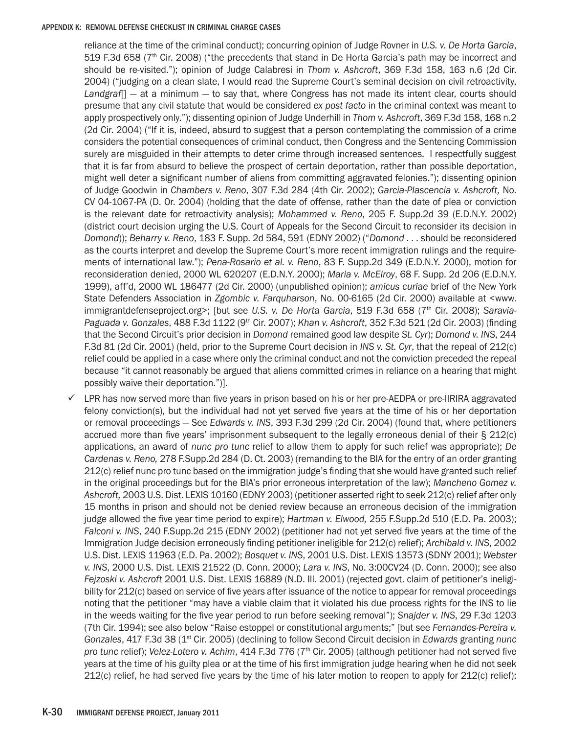reliance at the time of the criminal conduct); concurring opinion of Judge Rovner in *U.S. v. De Horta Garcia*, 519 F.3d 658 (7th Cir. 2008) ("the precedents that stand in De Horta Garcia's path may be incorrect and should be re-visited."); opinion of Judge Calabresi in *Thom v. Ashcroft*, 369 F.3d 158, 163 n.6 (2d Cir. 2004) ("judging on a clean slate, I would read the Supreme Court's seminal decision on civil retroactivity, *Landgraf*[] — at a minimum — to say that, where Congress has not made its intent clear, courts should presume that any civil statute that would be considered *ex post facto* in the criminal context was meant to apply prospectively only."); dissenting opinion of Judge Underhill in *Thom v. Ashcroft*, 369 F.3d 158, 168 n.2 (2d Cir. 2004) ("If it is, indeed, absurd to suggest that a person contemplating the commission of a crime considers the potential consequences of criminal conduct, then Congress and the Sentencing Commission surely are misguided in their attempts to deter crime through increased sentences. I respectfully suggest that it is far from absurd to believe the prospect of certain deportation, rather than possible deportation, might well deter a significant number of aliens from committing aggravated felonies."); dissenting opinion of Judge Goodwin in *Chambers v. Reno*, 307 F.3d 284 (4th Cir. 2002); *Garcia-Plascencia v. Ashcroft,* No. CV 04-1067-PA (D. Or. 2004) (holding that the date of offense, rather than the date of plea or conviction is the relevant date for retroactivity analysis); *Mohammed v. Reno*, 205 F. Supp.2d 39 (E.D.N.Y. 2002) (district court decision urging the U.S. Court of Appeals for the Second Circuit to reconsider its decision in *Domond*)); *Beharry v. Reno*, 183 F. Supp. 2d 584, 591 (EDNY 2002) ("*Domond* . . . should be reconsidered as the courts interpret and develop the Supreme Court's more recent immigration rulings and the requirements of international law."); *Pena-Rosario et al. v. Reno*, 83 F. Supp.2d 349 (E.D.N.Y. 2000), motion for reconsideration denied, 2000 WL 620207 (E.D.N.Y. 2000); *Maria v. McElroy*, 68 F. Supp. 2d 206 (E.D.N.Y. 1999), aff'd, 2000 WL 186477 (2d Cir. 2000) (unpublished opinion); *amicus curiae* brief of the New York State Defenders Association in *Zgombic v. Farquharson*, No. 00-6165 (2d Cir. 2000) available at <www. immigrantdefenseproject.org>; [but see U.S. v. De Horta Garcia, 519 F.3d 658 (7<sup>th</sup> Cir. 2008); Saravia-*Paguada v. Gonzales*, 488 F.3d 1122 (9th Cir. 2007); *Khan v. Ashcroft*, 352 F.3d 521 (2d Cir. 2003) (finding that the Second Circuit's prior decision in *Domond* remained good law despite *St. Cyr*); *Domond v. INS*, 244 F.3d 81 (2d Cir. 2001) (held, prior to the Supreme Court decision in *INS v. St. Cyr*, that the repeal of 212(c) relief could be applied in a case where only the criminal conduct and not the conviction preceded the repeal because "it cannot reasonably be argued that aliens committed crimes in reliance on a hearing that might possibly waive their deportation.")].

LPR has now served more than five years in prison based on his or her pre-AEDPA or pre-IIRIRA aggravated felony conviction(s), but the individual had not yet served five years at the time of his or her deportation or removal proceedings — See *Edwards v. INS*, 393 F.3d 299 (2d Cir. 2004) (found that, where petitioners accrued more than five years' imprisonment subsequent to the legally erroneous denial of their § 212(c) applications, an award of *nunc pro tunc* relief to allow them to apply for such relief was appropriate); *De Cardenas v. Reno,* 278 F.Supp.2d 284 (D. Ct. 2003) (remanding to the BIA for the entry of an order granting 212(c) relief nunc pro tunc based on the immigration judge's finding that she would have granted such relief in the original proceedings but for the BIA's prior erroneous interpretation of the law); *Mancheno Gomez v. Ashcroft,* 2003 U.S. Dist. LEXIS 10160 (EDNY 2003) (petitioner asserted right to seek 212(c) relief after only 15 months in prison and should not be denied review because an erroneous decision of the immigration judge allowed the five year time period to expire); *Hartman v. Elwood,* 255 F.Supp.2d 510 (E.D. Pa. 2003); *Falconi v. INS*, 240 F.Supp.2d 215 (EDNY 2002) (petitioner had not yet served five years at the time of the Immigration Judge decision erroneously finding petitioner ineligible for 212(c) relief); *Archibald v. INS*, 2002 U.S. Dist. LEXIS 11963 (E.D. Pa. 2002); *Bosquet v. INS*, 2001 U.S. Dist. LEXIS 13573 (SDNY 2001); *Webster v. INS*, 2000 U.S. Dist. LEXIS 21522 (D. Conn. 2000); *Lara v. INS*, No. 3:00CV24 (D. Conn. 2000); see also *Fejzoski v. Ashcroft* 2001 U.S. Dist. LEXIS 16889 (N.D. Ill. 2001) (rejected govt. claim of petitioner's ineligibility for 212(c) based on service of five years after issuance of the notice to appear for removal proceedings noting that the petitioner "may have a viable claim that it violated his due process rights for the INS to lie in the weeds waiting for the five year period to run before seeking removal"); *Snajder v. INS*, 29 F.3d 1203 (7th Cir. 1994); see also below "Raise estoppel or constitutional arguments;" [but see *Fernandes-Pereira v. Gonzales*, 417 F.3d 38 (1st Cir. 2005) (declining to follow Second Circuit decision in *Edwards* granting *nunc pro tunc* relief); *Velez-Lotero v. Achim, 414 F.3d 776 (7<sup>th</sup> Cir. 2005) (although petitioner had not served five* years at the time of his guilty plea or at the time of his first immigration judge hearing when he did not seek 212(c) relief, he had served five years by the time of his later motion to reopen to apply for 212(c) relief);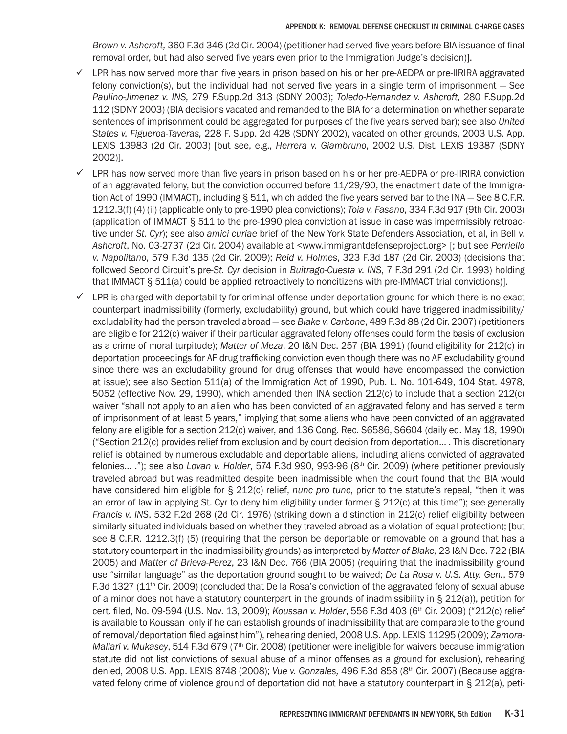*Brown v. Ashcroft,* 360 F.3d 346 (2d Cir. 2004) (petitioner had served five years before BIA issuance of final removal order, but had also served five years even prior to the Immigration Judge's decision)].

- $\checkmark$  LPR has now served more than five years in prison based on his or her pre-AEDPA or pre-IIRIRA aggravated felony conviction(s), but the individual had not served five years in a single term of imprisonment — See *Paulino-Jimenez v. INS,* 279 F.Supp.2d 313 (SDNY 2003); *Toledo-Hernandez v. Ashcroft,* 280 F.Supp.2d 112 (SDNY 2003) (BIA decisions vacated and remanded to the BIA for a determination on whether separate sentences of imprisonment could be aggregated for purposes of the five years served bar); see also *United States v. Figueroa-Taveras,* 228 F. Supp. 2d 428 (SDNY 2002), vacated on other grounds, 2003 U.S. App. LEXIS 13983 (2d Cir. 2003) [but see, e.g., *Herrera v. Giambruno*, 2002 U.S. Dist. LEXIS 19387 (SDNY 2002)].
- $\checkmark$  LPR has now served more than five years in prison based on his or her pre-AEDPA or pre-IIRIRA conviction of an aggravated felony, but the conviction occurred before 11/29/90, the enactment date of the Immigration Act of 1990 (IMMACT), including § 511, which added the five years served bar to the INA – See 8 C.F.R. 1212.3(f) (4) (ii) (applicable only to pre-1990 plea convictions); *Toia v. Fasano*, 334 F.3d 917 (9th Cir. 2003) (application of IMMACT § 511 to the pre-1990 plea conviction at issue in case was impermissibly retroactive under *St. Cyr*); see also *amici curiae* brief of the New York State Defenders Association, et al, in Bell *v. Ashcroft*, No. 03-2737 (2d Cir. 2004) available at <www.immigrantdefenseproject.org> [; but see *Perriello v. Napolitano*, 579 F.3d 135 (2d Cir. 2009); *Reid v. Holmes*, 323 F.3d 187 (2d Cir. 2003) (decisions that followed Second Circuit's pre-*St. Cyr* decision in *Buitrago-Cuesta v. INS*, 7 F.3d 291 (2d Cir. 1993) holding that IMMACT § 511(a) could be applied retroactively to noncitizens with pre-IMMACT trial convictions)].
- $\checkmark$  LPR is charged with deportability for criminal offense under deportation ground for which there is no exact counterpart inadmissibility (formerly, excludability) ground, but which could have triggered inadmissibility/ excludability had the person traveled abroad — see *Blake v. Carbone*, 489 F.3d 88 (2d Cir. 2007) (petitioners are eligible for 212(c) waiver if their particular aggravated felony offenses could form the basis of exclusion as a crime of moral turpitude); *Matter of Meza*, 20 I&N Dec. 257 (BIA 1991) (found eligibility for 212(c) in deportation proceedings for AF drug trafficking conviction even though there was no AF excludability ground since there was an excludability ground for drug offenses that would have encompassed the conviction at issue); see also Section 511(a) of the Immigration Act of 1990, Pub. L. No. 101-649, 104 Stat. 4978, 5052 (effective Nov. 29, 1990), which amended then INA section 212(c) to include that a section 212(c) waiver "shall not apply to an alien who has been convicted of an aggravated felony and has served a term of imprisonment of at least 5 years," implying that some aliens who have been convicted of an aggravated felony are eligible for a section 212(c) waiver, and 136 Cong. Rec. S6586, S6604 (daily ed. May 18, 1990) ("Section 212(c) provides relief from exclusion and by court decision from deportation… . This discretionary relief is obtained by numerous excludable and deportable aliens, including aliens convicted of aggravated felonies… ."); see also *Lovan v. Holder*, 574 F.3d 990, 993-96 (8th Cir. 2009) (where petitioner previously traveled abroad but was readmitted despite been inadmissible when the court found that the BIA would have considered him eligible for § 212(c) relief, *nunc pro tunc*, prior to the statute's repeal, "then it was an error of law in applying St. Cyr to deny him eligibility under former § 212(c) at this time"); see generally *Francis v. INS*, 532 F.2d 268 (2d Cir. 1976) (striking down a distinction in 212(c) relief eligibility between similarly situated individuals based on whether they traveled abroad as a violation of equal protection); [but see 8 C.F.R. 1212.3(f) (5) (requiring that the person be deportable or removable on a ground that has a statutory counterpart in the inadmissibility grounds) as interpreted by *Matter of Blake,* 23 I&N Dec. 722 (BIA 2005) and *Matter of Brieva-Perez*, 23 I&N Dec. 766 (BIA 2005) (requiring that the inadmissibility ground use "similar language" as the deportation ground sought to be waived; *De La Rosa v. U.S. Atty. Gen.*, 579 F.3d 1327 (11th Cir. 2009) (concluded that De la Rosa's conviction of the aggravated felony of sexual abuse of a minor does not have a statutory counterpart in the grounds of inadmissibility in § 212(a)), petition for cert. filed, No. 09-594 (U.S. Nov. 13, 2009); *Koussan v. Holder*, 556 F.3d 403 (6<sup>th</sup> Cir. 2009) ("212(c) relief is available to Koussan only if he can establish grounds of inadmissibility that are comparable to the ground of removal/deportation filed against him"), rehearing denied, 2008 U.S. App. LEXIS 11295 (2009); *Zamora-Mallari v. Mukasey*, 514 F.3d 679 (7<sup>th</sup> Cir. 2008) (petitioner were ineligible for waivers because immigration statute did not list convictions of sexual abuse of a minor offenses as a ground for exclusion), rehearing denied, 2008 U.S. App. LEXIS 8748 (2008); *Vue v. Gonzales,* 496 F.3d 858 (8th Cir. 2007) (Because aggravated felony crime of violence ground of deportation did not have a statutory counterpart in § 212(a), peti-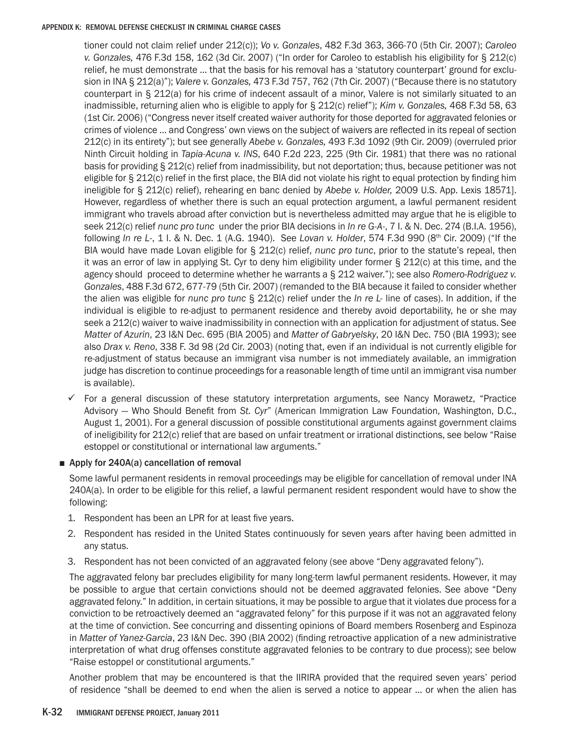tioner could not claim relief under 212(c)); *Vo v. Gonzales*, 482 F.3d 363, 366-70 (5th Cir. 2007); *Caroleo v. Gonzales,* 476 F.3d 158, 162 (3d Cir. 2007) ("In order for Caroleo to establish his eligibility for § 212(c) relief, he must demonstrate … that the basis for his removal has a 'statutory counterpart' ground for exclusion in INA § 212(a)"); *Valere v. Gonzales,* 473 F.3d 757, 762 (7th Cir. 2007) ("Because there is no statutory counterpart in § 212(a) for his crime of indecent assault of a minor, Valere is not similarly situated to an inadmissible, returning alien who is eligible to apply for § 212(c) relief"); *Kim v. Gonzales,* 468 F.3d 58, 63 (1st Cir. 2006) ("Congress never itself created waiver authority for those deported for aggravated felonies or crimes of violence … and Congress' own views on the subject of waivers are reflected in its repeal of section 212(c) in its entirety"); but see generally *Abebe v. Gonzales,* 493 F.3d 1092 (9th Cir. 2009) (overruled prior Ninth Circuit holding in *Tapia-Acuna v. INS*, 640 F.2d 223, 225 (9th Cir. 1981) that there was no rational basis for providing § 212(c) relief from inadmissibility, but not deportation; thus, because petitioner was not eligible for § 212(c) relief in the first place, the BIA did not violate his right to equal protection by finding him ineligible for § 212(c) relief), rehearing en banc denied by *Abebe v. Holder,* 2009 U.S. App. Lexis 18571]. However, regardless of whether there is such an equal protection argument, a lawful permanent resident immigrant who travels abroad after conviction but is nevertheless admitted may argue that he is eligible to seek 212(c) relief *nunc pro tunc* under the prior BIA decisions in *In re G-A-*, 7 I. & N. Dec. 274 (B.I.A. 1956), following *In re L*-, 1 I. & N. Dec. 1 (A.G. 1940). See *Lovan v. Holder*, 574 F.3d 990 (8th Cir. 2009) ("If the BIA would have made Lovan eligible for § 212(c) relief, *nunc pro tunc*, prior to the statute's repeal, then it was an error of law in applying St. Cyr to deny him eligibility under former § 212(c) at this time, and the agency should proceed to determine whether he warrants a § 212 waiver."); see also *Romero-Rodriguez v. Gonzales*, 488 F.3d 672, 677-79 (5th Cir. 2007) (remanded to the BIA because it failed to consider whether the alien was eligible for *nunc pro tunc* § 212(c) relief under the *In re L-* line of cases). In addition, if the individual is eligible to re-adjust to permanent residence and thereby avoid deportability, he or she may seek a 212(c) waiver to waive inadmissibility in connection with an application for adjustment of status. See *Matter of Azurin*, 23 I&N Dec. 695 (BIA 2005) and *Matter of Gabryelsky*, 20 I&N Dec. 750 (BIA 1993); see also *Drax v. Reno*, 338 F. 3d 98 (2d Cir. 2003) (noting that, even if an individual is not currently eligible for re-adjustment of status because an immigrant visa number is not immediately available, an immigration judge has discretion to continue proceedings for a reasonable length of time until an immigrant visa number is available).

 $\checkmark$  For a general discussion of these statutory interpretation arguments, see Nancy Morawetz, "Practice Advisory — Who Should Benefit from *St. Cyr*" (American Immigration Law Foundation, Washington, D.C., August 1, 2001). For a general discussion of possible constitutional arguments against government claims of ineligibility for 212(c) relief that are based on unfair treatment or irrational distinctions, see below "Raise estoppel or constitutional or international law arguments."

# ■ Apply for 240A(a) cancellation of removal

Some lawful permanent residents in removal proceedings may be eligible for cancellation of removal under INA 240A(a). In order to be eligible for this relief, a lawful permanent resident respondent would have to show the following:

- 1. Respondent has been an LPR for at least five years.
- 2. Respondent has resided in the United States continuously for seven years after having been admitted in any status.
- 3. Respondent has not been convicted of an aggravated felony (see above "Deny aggravated felony").

The aggravated felony bar precludes eligibility for many long-term lawful permanent residents. However, it may be possible to argue that certain convictions should not be deemed aggravated felonies. See above "Deny aggravated felony." In addition, in certain situations, it may be possible to argue that it violates due process for a conviction to be retroactively deemed an "aggravated felony" for this purpose if it was not an aggravated felony at the time of conviction. See concurring and dissenting opinions of Board members Rosenberg and Espinoza in *Matter of Yanez-Garcia*, 23 I&N Dec. 390 (BIA 2002) (finding retroactive application of a new administrative interpretation of what drug offenses constitute aggravated felonies to be contrary to due process); see below "Raise estoppel or constitutional arguments."

Another problem that may be encountered is that the IIRIRA provided that the required seven years' period of residence "shall be deemed to end when the alien is served a notice to appear … or when the alien has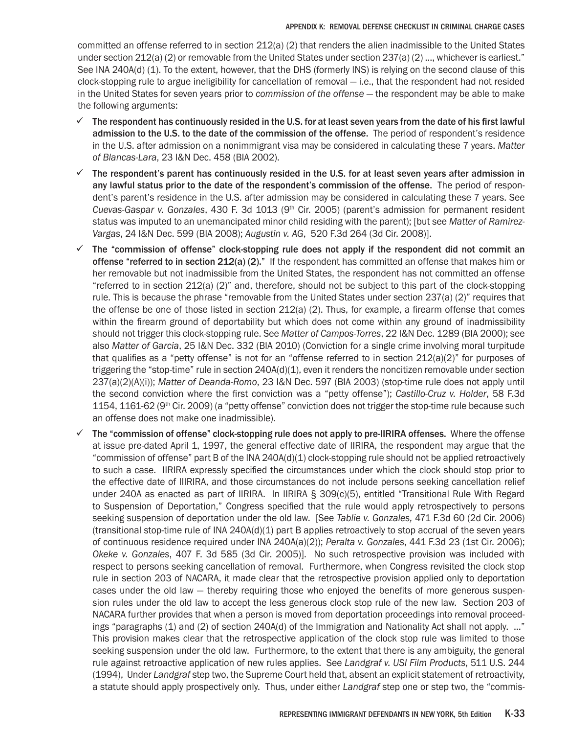committed an offense referred to in section 212(a) (2) that renders the alien inadmissible to the United States under section 212(a) (2) or removable from the United States under section 237(a) (2) ..., whichever is earliest." See INA 240A(d) (1). To the extent, however, that the DHS (formerly INS) is relying on the second clause of this clock-stopping rule to argue ineligibility for cancellation of removal — i.e., that the respondent had not resided in the United States for seven years prior to *commission of the offense* — the respondent may be able to make the following arguments:

- $\checkmark$  The respondent has continuously resided in the U.S. for at least seven years from the date of his first lawful admission to the U.S. to the date of the commission of the offense. The period of respondent's residence in the U.S. after admission on a nonimmigrant visa may be considered in calculating these 7 years. *Matter of Blancas-Lara*, 23 I&N Dec. 458 (BIA 2002).
- $\checkmark$  The respondent's parent has continuously resided in the U.S. for at least seven years after admission in any lawful status prior to the date of the respondent's commission of the offense. The period of respondent's parent's residence in the U.S. after admission may be considered in calculating these 7 years. See *Cuevas-Gaspar v. Gonzales*, 430 F. 3d 1013 (9th Cir. 2005) (parent's admission for permanent resident status was imputed to an unemancipated minor child residing with the parent); [but see *Matter of Ramirez-Vargas*, 24 I&N Dec. 599 (BIA 2008); *Augustin v. AG*, 520 F.3d 264 (3d Cir. 2008)].
- $\checkmark$  The "commission of offense" clock-stopping rule does not apply if the respondent did not commit an offense "referred to in section 212(a) (2)." If the respondent has committed an offense that makes him or her removable but not inadmissible from the United States, the respondent has not committed an offense "referred to in section 212(a) (2)" and, therefore, should not be subject to this part of the clock-stopping rule. This is because the phrase "removable from the United States under section 237(a) (2)" requires that the offense be one of those listed in section  $212(a)$  (2). Thus, for example, a firearm offense that comes within the firearm ground of deportability but which does not come within any ground of inadmissibility should not trigger this clock-stopping rule. See *Matter of Campos-Torres*, 22 I&N Dec. 1289 (BIA 2000); see also *Matter of Garcia*, 25 I&N Dec. 332 (BIA 2010) (Conviction for a single crime involving moral turpitude that qualifies as a "petty offense" is not for an "offense referred to in section  $212(a)(2)$ " for purposes of triggering the "stop-time" rule in section 240A(d)(1), even it renders the noncitizen removable under section 237(a)(2)(A)(i)); *Matter of Deanda-Romo*, 23 I&N Dec. 597 (BIA 2003) (stop-time rule does not apply until the second conviction where the first conviction was a "petty offense"); *Castillo-Cruz v. Holder*, 58 F.3d 1154, 1161-62 (9<sup>th</sup> Cir. 2009) (a "petty offense" conviction does not trigger the stop-time rule because such an offense does not make one inadmissible).
- $\checkmark$  The "commission of offense" clock-stopping rule does not apply to pre-IIRIRA offenses. Where the offense at issue pre-dated April 1, 1997, the general effective date of IIRIRA, the respondent may argue that the "commission of offense" part B of the INA 240A(d)(1) clock-stopping rule should not be applied retroactively to such a case. IIRIRA expressly specified the circumstances under which the clock should stop prior to the effective date of IIIRIRA, and those circumstances do not include persons seeking cancellation relief under 240A as enacted as part of IIRIRA. In IIRIRA § 309(c)(5), entitled "Transitional Rule With Regard to Suspension of Deportation," Congress specified that the rule would apply retrospectively to persons seeking suspension of deportation under the old law. [See *Tablie v. Gonzales,* 471 F.3d 60 (2d Cir. 2006) (transitional stop-time rule of INA 240A(d)(1) part B applies retroactively to stop accrual of the seven years of continuous residence required under INA 240A(a)(2)); *Peralta v. Gonzales*, 441 F.3d 23 (1st Cir. 2006); *Okeke v. Gonzales*, 407 F. 3d 585 (3d Cir. 2005)]. No such retrospective provision was included with respect to persons seeking cancellation of removal. Furthermore, when Congress revisited the clock stop rule in section 203 of NACARA, it made clear that the retrospective provision applied only to deportation cases under the old law — thereby requiring those who enjoyed the benefits of more generous suspension rules under the old law to accept the less generous clock stop rule of the new law. Section 203 of NACARA further provides that when a person is moved from deportation proceedings into removal proceedings "paragraphs (1) and (2) of section 240A(d) of the Immigration and Nationality Act shall not apply. ..." This provision makes clear that the retrospective application of the clock stop rule was limited to those seeking suspension under the old law. Furthermore, to the extent that there is any ambiguity, the general rule against retroactive application of new rules applies. See *Landgraf v. USI Film Products*, 511 U.S. 244 (1994), Under *Landgraf* step two, the Supreme Court held that, absent an explicit statement of retroactivity, a statute should apply prospectively only. Thus, under either *Landgraf* step one or step two, the "commis-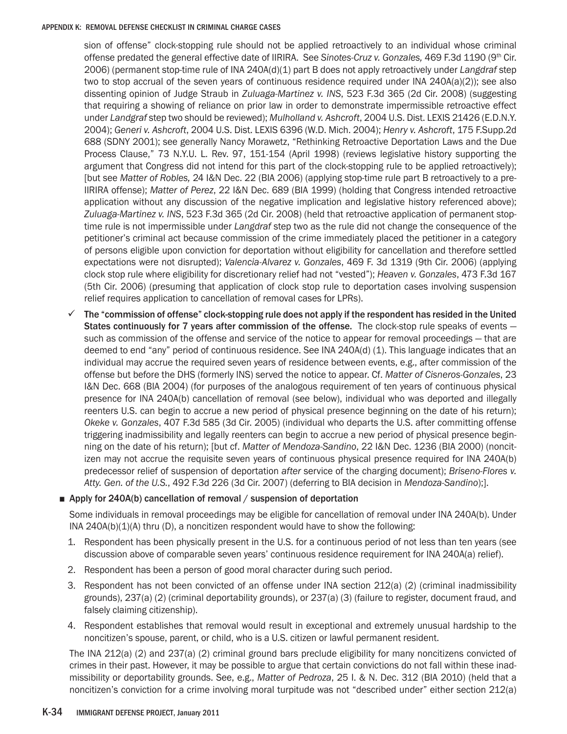sion of offense" clock-stopping rule should not be applied retroactively to an individual whose criminal offense predated the general effective date of IIRIRA. See *Sinotes-Cruz v. Gonzales,* 469 F.3d 1190 (9th Cir. 2006) (permanent stop-time rule of INA 240A(d)(1) part B does not apply retroactively under *Langdraf* step two to stop accrual of the seven years of continuous residence required under INA 240A(a)(2)); see also dissenting opinion of Judge Straub in *Zuluaga-Martinez v. INS*, 523 F.3d 365 (2d Cir. 2008) (suggesting that requiring a showing of reliance on prior law in order to demonstrate impermissible retroactive effect under *Landgraf* step two should be reviewed); *Mulholland v. Ashcroft*, 2004 U.S. Dist. LEXIS 21426 (E.D.N.Y. 2004); *Generi v. Ashcroft*, 2004 U.S. Dist. LEXIS 6396 (W.D. Mich. 2004); *Henry v. Ashcroft*, 175 F.Supp.2d 688 (SDNY 2001); see generally Nancy Morawetz, "Rethinking Retroactive Deportation Laws and the Due Process Clause," 73 N.Y.U. L. Rev. 97, 151-154 (April 1998) (reviews legislative history supporting the argument that Congress did not intend for this part of the clock-stopping rule to be applied retroactively); [but see *Matter of Robles,* 24 I&N Dec. 22 (BIA 2006) (applying stop-time rule part B retroactively to a pre-IIRIRA offense); *Matter of Perez*, 22 I&N Dec. 689 (BIA 1999) (holding that Congress intended retroactive application without any discussion of the negative implication and legislative history referenced above); *Zuluaga-Martinez v. INS*, 523 F.3d 365 (2d Cir. 2008) (held that retroactive application of permanent stoptime rule is not impermissible under *Langdraf* step two as the rule did not change the consequence of the petitioner's criminal act because commission of the crime immediately placed the petitioner in a category of persons eligible upon conviction for deportation without eligibility for cancellation and therefore settled expectations were not disrupted); *Valencia-Alvarez v. Gonzales*, 469 F. 3d 1319 (9th Cir. 2006) (applying clock stop rule where eligibility for discretionary relief had not "vested"); *Heaven v. Gonzales*, 473 F.3d 167 (5th Cir. 2006) (presuming that application of clock stop rule to deportation cases involving suspension relief requires application to cancellation of removal cases for LPRs).

 $\checkmark$  The "commission of offense" clock-stopping rule does not apply if the respondent has resided in the United States continuously for 7 years after commission of the offense. The clock-stop rule speaks of events such as commission of the offense and service of the notice to appear for removal proceedings — that are deemed to end "any" period of continuous residence. See INA 240A(d) (1). This language indicates that an individual may accrue the required seven years of residence between events, e.g., after commission of the offense but before the DHS (formerly INS) served the notice to appear. Cf. *Matter of Cisneros-Gonzales*, 23 I&N Dec. 668 (BIA 2004) (for purposes of the analogous requirement of ten years of continuous physical presence for INA 240A(b) cancellation of removal (see below), individual who was deported and illegally reenters U.S. can begin to accrue a new period of physical presence beginning on the date of his return); *Okeke v. Gonzales*, 407 F.3d 585 (3d Cir. 2005) (individual who departs the U.S. after committing offense triggering inadmissibility and legally reenters can begin to accrue a new period of physical presence beginning on the date of his return); [but cf. *Matter of Mendoza-Sandino*, 22 I&N Dec. 1236 (BIA 2000) (noncitizen may not accrue the requisite seven years of continuous physical presence required for INA 240A(b) predecessor relief of suspension of deportation *after* service of the charging document); *Briseno-Flores v. Atty. Gen. of the U.S.*, 492 F.3d 226 (3d Cir. 2007) (deferring to BIA decision in *Mendoza-Sandino*);].

### ■ Apply for 240A(b) cancellation of removal / suspension of deportation

Some individuals in removal proceedings may be eligible for cancellation of removal under INA 240A(b). Under INA  $240A(b)(1)(A)$  thru (D), a noncitizen respondent would have to show the following:

- 1. Respondent has been physically present in the U.S. for a continuous period of not less than ten years (see discussion above of comparable seven years' continuous residence requirement for INA 240A(a) relief).
- 2. Respondent has been a person of good moral character during such period.
- 3. Respondent has not been convicted of an offense under INA section 212(a) (2) (criminal inadmissibility grounds), 237(a) (2) (criminal deportability grounds), or 237(a) (3) (failure to register, document fraud, and falsely claiming citizenship).
- 4. Respondent establishes that removal would result in exceptional and extremely unusual hardship to the noncitizen's spouse, parent, or child, who is a U.S. citizen or lawful permanent resident.

The INA 212(a) (2) and 237(a) (2) criminal ground bars preclude eligibility for many noncitizens convicted of crimes in their past. However, it may be possible to argue that certain convictions do not fall within these inadmissibility or deportability grounds. See, e.g., *Matter of Pedroza*, 25 I. & N. Dec. 312 (BIA 2010) (held that a noncitizen's conviction for a crime involving moral turpitude was not "described under" either section 212(a)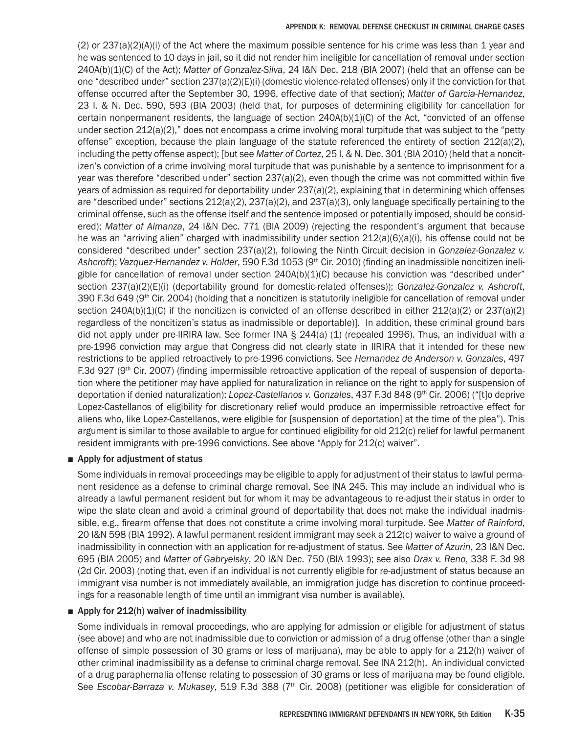(2) or 237(a)(2)(A)(i) of the Act where the maximum possible sentence for his crime was less than 1 year and he was sentenced to 10 days in jail, so it did not render him ineligible for cancellation of removal under section 240A(b)(1)(C) of the Act); *Matter of Gonzalez-Silva*, 24 I&N Dec. 218 (BIA 2007) (held that an offense can be one "described under" section 237(a)(2)(E)(i) (domestic violence-related offenses) only if the conviction for that offense occurred after the September 30, 1996, effective date of that section); *Matter of Garcia-Hernandez*, 23 I. & N. Dec. 590, 593 (BIA 2003) (held that, for purposes of determining eligibility for cancellation for certain nonpermanent residents, the language of section  $240A(b)(1)(C)$  of the Act, "convicted of an offense under section 212(a)(2)," does not encompass a crime involving moral turpitude that was subject to the "petty offense" exception, because the plain language of the statute referenced the entirety of section  $212(a)(2)$ , including the petty offense aspect); [but see *Matter of Cortez*, 25 I. & N. Dec. 301 (BIA 2010) (held that a noncitizen's conviction of a crime involving moral turpitude that was punishable by a sentence to imprisonment for a year was therefore "described under" section 237(a)(2), even though the crime was not committed within five years of admission as required for deportability under 237(a)(2), explaining that in determining which offenses are "described under" sections 212(a)(2), 237(a)(2), and 237(a)(3), only language specifically pertaining to the criminal offense, such as the offense itself and the sentence imposed or potentially imposed, should be considered); *Matter of Almanza*, 24 I&N Dec. 771 (BIA 2009) (rejecting the respondent's argument that because he was an "arriving alien" charged with inadmissibility under section 212(a)(6)(a)(i), his offense could not be considered "described under" section 237(a)(2), following the Ninth Circuit decision in *Gonzalez-Gonzalez v. Ashcroft*); *Vazquez-Hernandez v. Holder*, 590 F.3d 1053 (9th Cir. 2010) (finding an inadmissible noncitizen ineligible for cancellation of removal under section 240A(b)(1)(C) because his conviction was "described under" section 237(a)(2)(E)(i) (deportability ground for domestic-related offenses)); *Gonzalez-Gonzalez v. Ashcroft*, 390 F.3d 649 (9<sup>th</sup> Cir. 2004) (holding that a noncitizen is statutorily ineligible for cancellation of removal under section  $240A(b)(1)(C)$  if the noncitizen is convicted of an offense described in either  $212(a)(2)$  or  $237(a)(2)$ regardless of the noncitizen's status as inadmissible or deportable)]. In addition, these criminal ground bars did not apply under pre-IIRIRA law. See former INA § 244(a) (1) (repealed 1996). Thus, an individual with a pre-1996 conviction may argue that Congress did not clearly state in IIRIRA that it intended for these new restrictions to be applied retroactively to pre-1996 convictions. See *Hernandez de Anderson v. Gonzales*, 497 F.3d 927 (9<sup>th</sup> Cir. 2007) (finding impermissible retroactive application of the repeal of suspension of deportation where the petitioner may have applied for naturalization in reliance on the right to apply for suspension of deportation if denied naturalization); *Lopez-Castellanos v. Gonzales*, 437 F.3d 848 (9<sup>th</sup> Cir. 2006) ("[t]o deprive Lopez-Castellanos of eligibility for discretionary relief would produce an impermissible retroactive effect for aliens who, like Lopez-Castellanos, were eligible for [suspension of deportation] at the time of the plea"). This argument is similar to those available to argue for continued eligibility for old 212(c) relief for lawful permanent resident immigrants with pre-1996 convictions. See above "Apply for 212(c) waiver".

# ■ Apply for adjustment of status

Some individuals in removal proceedings may be eligible to apply for adjustment of their status to lawful permanent residence as a defense to criminal charge removal. See INA 245. This may include an individual who is already a lawful permanent resident but for whom it may be advantageous to re-adjust their status in order to wipe the slate clean and avoid a criminal ground of deportability that does not make the individual inadmissible, e.g., firearm offense that does not constitute a crime involving moral turpitude. See *Matter of Rainford*, 20 I&N 598 (BIA 1992). A lawful permanent resident immigrant may seek a 212(c) waiver to waive a ground of inadmissibility in connection with an application for re-adjustment of status. See *Matter of Azurin*, 23 I&N Dec. 695 (BIA 2005) and *Matter of Gabryelsky*, 20 I&N Dec. 750 (BIA 1993); see also *Drax v. Reno*, 338 F. 3d 98 (2d Cir. 2003) (noting that, even if an individual is not currently eligible for re-adjustment of status because an immigrant visa number is not immediately available, an immigration judge has discretion to continue proceedings for a reasonable length of time until an immigrant visa number is available).

# ■ Apply for 212(h) waiver of inadmissibility

Some individuals in removal proceedings, who are applying for admission or eligible for adjustment of status (see above) and who are not inadmissible due to conviction or admission of a drug offense (other than a single offense of simple possession of 30 grams or less of marijuana), may be able to apply for a 212(h) waiver of other criminal inadmissibility as a defense to criminal charge removal. See INA 212(h). An individual convicted of a drug paraphernalia offense relating to possession of 30 grams or less of marijuana may be found eligible. See *Escobar-Barraza v. Mukasey*, 519 F.3d 388 (7<sup>th</sup> Cir. 2008) (petitioner was eligible for consideration of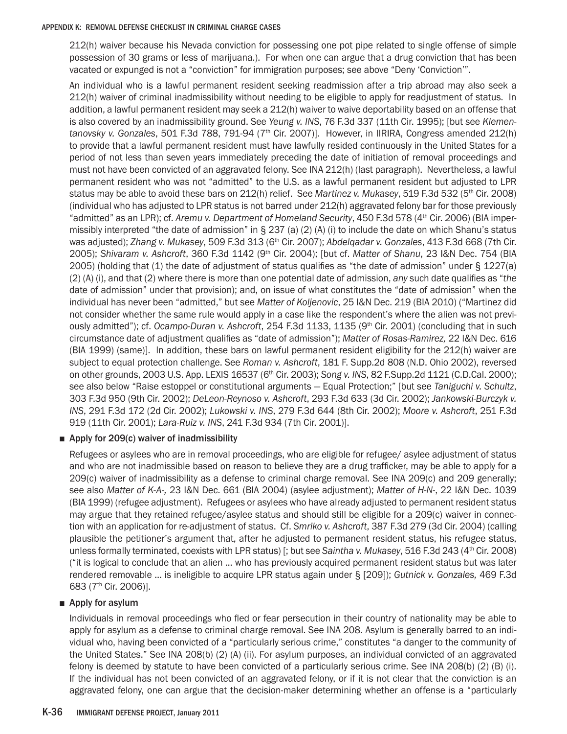212(h) waiver because his Nevada conviction for possessing one pot pipe related to single offense of simple possession of 30 grams or less of marijuana.). For when one can argue that a drug conviction that has been vacated or expunged is not a "conviction" for immigration purposes; see above "Deny 'Conviction'".

An individual who is a lawful permanent resident seeking readmission after a trip abroad may also seek a 212(h) waiver of criminal inadmissibility without needing to be eligible to apply for readjustment of status. In addition, a lawful permanent resident may seek a 212(h) waiver to waive deportability based on an offense that is also covered by an inadmissibility ground. See *Yeung v. INS*, 76 F.3d 337 (11th Cir. 1995); [but see *Klementanovsky v. Gonzales*, 501 F.3d 788, 791-94 (7th Cir. 2007)]. However, in IIRIRA, Congress amended 212(h) to provide that a lawful permanent resident must have lawfully resided continuously in the United States for a period of not less than seven years immediately preceding the date of initiation of removal proceedings and must not have been convicted of an aggravated felony. See INA 212(h) (last paragraph). Nevertheless, a lawful permanent resident who was not "admitted" to the U.S. as a lawful permanent resident but adjusted to LPR status may be able to avoid these bars on 212(h) relief. See *Martinez v. Mukasey*, 519 F.3d 532 (5<sup>th</sup> Cir. 2008) (individual who has adjusted to LPR status is not barred under 212(h) aggravated felony bar for those previously "admitted" as an LPR); cf. *Aremu v. Department of Homeland Security*, 450 F.3d 578 (4th Cir. 2006) (BIA impermissibly interpreted "the date of admission" in § 237 (a) (2) (A) (i) to include the date on which Shanu's status was adjusted); *Zhang v. Mukasey*, 509 F.3d 313 (6th Cir. 2007); *Abdelqadar v. Gonzales*, 413 F.3d 668 (7th Cir. 2005); *Shivaram v. Ashcroft*, 360 F.3d 1142 (9th Cir. 2004); [but cf. *Matter of Shanu*, 23 I&N Dec. 754 (BIA 2005) (holding that (1) the date of adjustment of status qualifies as "the date of admission" under § 1227(a) (2) (A) (i), and that (2) where there is more than one potential date of admission, *any* such date qualifies as "*the* date of admission" under that provision); and, on issue of what constitutes the "date of admission" when the individual has never been "admitted," but see *Matter of Koljenovic*, 25 I&N Dec. 219 (BIA 2010) ("Martinez did not consider whether the same rule would apply in a case like the respondent's where the alien was not previously admitted"); cf. *Ocampo-Duran v. Ashcroft*, 254 F.3d 1133, 1135 (9<sup>th</sup> Cir. 2001) (concluding that in such circumstance date of adjustment qualifies as "date of admission"); *Matter of Rosas-Ramirez,* 22 I&N Dec. 616 (BIA 1999) (same)]. In addition, these bars on lawful permanent resident eligibility for the 212(h) waiver are subject to equal protection challenge. See *Roman v. Ashcroft*, 181 F. Supp.2d 808 (N.D. Ohio 2002), reversed on other grounds, 2003 U.S. App. LEXIS 16537 (6th Cir. 2003); *Song v. INS*, 82 F.Supp.2d 1121 (C.D.Cal. 2000); see also below "Raise estoppel or constitutional arguments — Equal Protection;" [but see *Taniguchi v. Schultz*, 303 F.3d 950 (9th Cir. 2002); *DeLeon-Reynoso v. Ashcroft*, 293 F.3d 633 (3d Cir. 2002); *Jankowski-Burczyk v. INS*, 291 F.3d 172 (2d Cir. 2002); *Lukowski v. INS*, 279 F.3d 644 (8th Cir. 2002); *Moore v. Ashcroft*, 251 F.3d 919 (11th Cir. 2001); *Lara-Ruiz v. INS*, 241 F.3d 934 (7th Cir. 2001)].

### ■ Apply for 209(c) waiver of inadmissibility

Refugees or asylees who are in removal proceedings, who are eligible for refugee/ asylee adjustment of status and who are not inadmissible based on reason to believe they are a drug trafficker, may be able to apply for a 209(c) waiver of inadmissibility as a defense to criminal charge removal. See INA 209(c) and 209 generally; see also *Matter of K-A-,* 23 I&N Dec. 661 (BIA 2004) (asylee adjustment); *Matter of H-N-*, 22 I&N Dec. 1039 (BIA 1999) (refugee adjustment). Refugees or asylees who have already adjusted to permanent resident status may argue that they retained refugee/asylee status and should still be eligible for a 209(c) waiver in connection with an application for re-adjustment of status. Cf. *Smriko v. Ashcroft*, 387 F.3d 279 (3d Cir. 2004) (calling plausible the petitioner's argument that, after he adjusted to permanent resident status, his refugee status, unless formally terminated, coexists with LPR status) [; but see *Saintha v. Mukasey*, 516 F.3d 243 (4<sup>th</sup> Cir. 2008) ("it is logical to conclude that an alien … who has previously acquired permanent resident status but was later rendered removable … is ineligible to acquire LPR status again under § [209]); *Gutnick v. Gonzales,* 469 F.3d 683 (7th Cir. 2006)].

# ■ Apply for asylum

Individuals in removal proceedings who fled or fear persecution in their country of nationality may be able to apply for asylum as a defense to criminal charge removal. See INA 208. Asylum is generally barred to an individual who, having been convicted of a "particularly serious crime," constitutes "a danger to the community of the United States." See INA 208(b) (2) (A) (ii). For asylum purposes, an individual convicted of an aggravated felony is deemed by statute to have been convicted of a particularly serious crime. See INA 208(b) (2) (B) (i). If the individual has not been convicted of an aggravated felony, or if it is not clear that the conviction is an aggravated felony, one can argue that the decision-maker determining whether an offense is a "particularly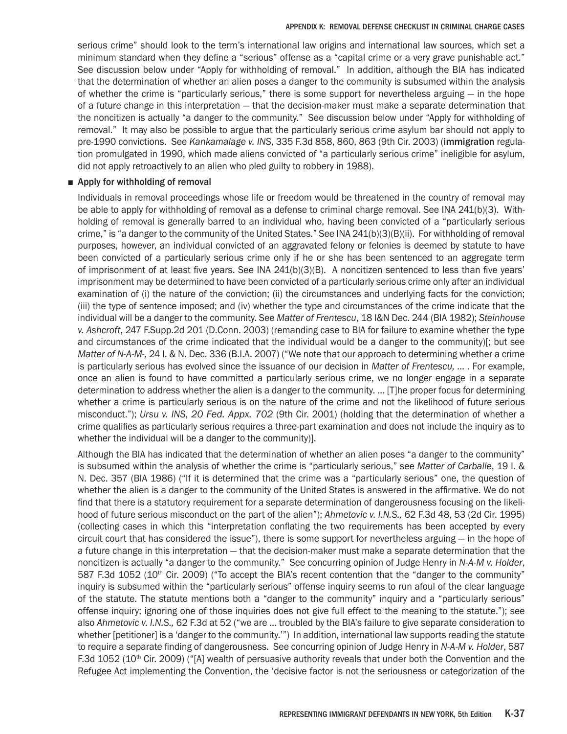serious crime" should look to the term's international law origins and international law sources, which set a minimum standard when they define a "serious" offense as a "capital crime or a very grave punishable act." See discussion below under "Apply for withholding of removal." In addition, although the BIA has indicated that the determination of whether an alien poses a danger to the community is subsumed within the analysis of whether the crime is "particularly serious," there is some support for nevertheless arguing — in the hope of a future change in this interpretation — that the decision-maker must make a separate determination that the noncitizen is actually "a danger to the community." See discussion below under "Apply for withholding of removal." It may also be possible to argue that the particularly serious crime asylum bar should not apply to pre-1990 convictions. See *Kankamalage v. INS*, 335 F.3d 858, 860, 863 (9th Cir. 2003) (immigration regulation promulgated in 1990, which made aliens convicted of "a particularly serious crime" ineligible for asylum, did not apply retroactively to an alien who pled guilty to robbery in 1988).

### ■ Apply for withholding of removal

Individuals in removal proceedings whose life or freedom would be threatened in the country of removal may be able to apply for withholding of removal as a defense to criminal charge removal. See INA 241(b)(3). Withholding of removal is generally barred to an individual who, having been convicted of a "particularly serious crime," is "a danger to the community of the United States." See INA 241(b)(3)(B)(ii). For withholding of removal purposes, however, an individual convicted of an aggravated felony or felonies is deemed by statute to have been convicted of a particularly serious crime only if he or she has been sentenced to an aggregate term of imprisonment of at least five years. See INA 241(b)(3)(B). A noncitizen sentenced to less than five years' imprisonment may be determined to have been convicted of a particularly serious crime only after an individual examination of (i) the nature of the conviction; (ii) the circumstances and underlying facts for the conviction; (iii) the type of sentence imposed; and (iv) whether the type and circumstances of the crime indicate that the individual will be a danger to the community. See *Matter of Frentescu*, 18 I&N Dec. 244 (BIA 1982); *Steinhouse v. Ashcroft*, 247 F.Supp.2d 201 (D.Conn. 2003) (remanding case to BIA for failure to examine whether the type and circumstances of the crime indicated that the individual would be a danger to the community)[; but see *Matter of N-A-M-,* 24 I. & N. Dec. 336 (B.I.A. 2007) ("We note that our approach to determining whether a crime is particularly serious has evolved since the issuance of our decision in *Matter of Frentescu, ...* . For example, once an alien is found to have committed a particularly serious crime, we no longer engage in a separate determination to address whether the alien is a danger to the community. … [T]he proper focus for determining whether a crime is particularly serious is on the nature of the crime and not the likelihood of future serious misconduct."); *Ursu v. INS*, *20 Fed. Appx. 702* (9th Cir. 2001) (holding that the determination of whether a crime qualifies as particularly serious requires a three-part examination and does not include the inquiry as to whether the individual will be a danger to the community)].

Although the BIA has indicated that the determination of whether an alien poses "a danger to the community" is subsumed within the analysis of whether the crime is "particularly serious," see *Matter of Carballe*, 19 I. & N. Dec. 357 (BIA 1986) ("If it is determined that the crime was a "particularly serious" one, the question of whether the alien is a danger to the community of the United States is answered in the affirmative. We do not find that there is a statutory requirement for a separate determination of dangerousness focusing on the likelihood of future serious misconduct on the part of the alien"); *Ahmetovic v. I.N.S.,* 62 F.3d 48, 53 (2d Cir. 1995) (collecting cases in which this "interpretation conflating the two requirements has been accepted by every circuit court that has considered the issue"), there is some support for nevertheless arguing — in the hope of a future change in this interpretation — that the decision-maker must make a separate determination that the noncitizen is actually "a danger to the community." See concurring opinion of Judge Henry in *N-A-M v. Holder*, 587 F.3d 1052 (10<sup>th</sup> Cir. 2009) ("To accept the BIA's recent contention that the "danger to the community" inquiry is subsumed within the "particularly serious" offense inquiry seems to run afoul of the clear language of the statute. The statute mentions both a "danger to the community" inquiry and a "particularly serious" offense inquiry; ignoring one of those inquiries does not give full effect to the meaning to the statute."); see also *Ahmetovic v. I.N.S.,* 62 F.3d at 52 ("we are … troubled by the BIA's failure to give separate consideration to whether [petitioner] is a 'danger to the community.'") In addition, international law supports reading the statute to require a separate finding of dangerousness. See concurring opinion of Judge Henry in *N-A-M v. Holder*, 587 F.3d 1052 (10<sup>th</sup> Cir. 2009) ("[A] wealth of persuasive authority reveals that under both the Convention and the Refugee Act implementing the Convention, the 'decisive factor is not the seriousness or categorization of the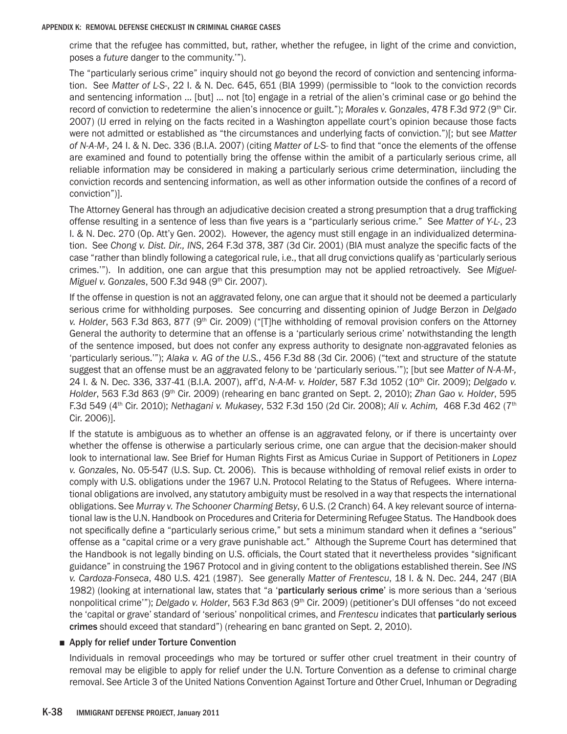crime that the refugee has committed, but, rather, whether the refugee, in light of the crime and conviction, poses a *future* danger to the community.'").

The "particularly serious crime" inquiry should not go beyond the record of conviction and sentencing information. See *Matter of L-S-*, 22 I. & N. Dec. 645, 651 (BIA 1999) (permissible to "look to the conviction records and sentencing information … [but] … not [to] engage in a retrial of the alien's criminal case or go behind the record of conviction to redetermine the alien's innocence or guilt."); *Morales v. Gonzales*, 478 F.3d 972 (9<sup>th</sup> Cir. 2007) (IJ erred in relying on the facts recited in a Washington appellate court's opinion because those facts were not admitted or established as "the circumstances and underlying facts of conviction.")[; but see *Matter of N-A-M-,* 24 I. & N. Dec. 336 (B.I.A. 2007) (citing *Matter of L-S-* to find that "once the elements of the offense are examined and found to potentially bring the offense within the amibit of a particularly serious crime, all reliable information may be considered in making a particularly serious crime determination, iincluding the conviction records and sentencing information, as well as other information outside the confines of a record of conviction")].

The Attorney General has through an adjudicative decision created a strong presumption that a drug trafficking offense resulting in a sentence of less than five years is a "particularly serious crime." See *Matter of Y-L-*, 23 I. & N. Dec. 270 (Op. Att'y Gen. 2002). However, the agency must still engage in an individualized determination. See *Chong v. Dist. Dir., INS*, 264 F.3d 378, 387 (3d Cir. 2001) (BIA must analyze the specific facts of the case "rather than blindly following a categorical rule, i.e., that all drug convictions qualify as 'particularly serious crimes.'"). In addition, one can argue that this presumption may not be applied retroactively. See *Miguel-Miguel v. Gonzales*, 500 F.3d 948 (9th Cir. 2007).

If the offense in question is not an aggravated felony, one can argue that it should not be deemed a particularly serious crime for withholding purposes. See concurring and dissenting opinion of Judge Berzon in *Delgado*  v. Holder, 563 F.3d 863, 877 (9<sup>th</sup> Cir. 2009) ("[T]he withholding of removal provision confers on the Attorney General the authority to determine that an offense is a 'particularly serious crime' notwithstanding the length of the sentence imposed, but does not confer any express authority to designate non-aggravated felonies as 'particularly serious.'"); *Alaka v. AG of the U.S.*, 456 F.3d 88 (3d Cir. 2006) ("text and structure of the statute suggest that an offense must be an aggravated felony to be 'particularly serious.'"); [but see *Matter of N-A-M-,* 24 I. & N. Dec. 336, 337-41 (B.I.A. 2007), aff'd, *N-A-M- v. Holder*, 587 F.3d 1052 (10th Cir. 2009); *Delgado v. Holder*, 563 F.3d 863 (9th Cir. 2009) (rehearing en banc granted on Sept. 2, 2010); *Zhan Gao v. Holder*, 595 F.3d 549 (4th Cir. 2010); *Nethagani v. Mukasey*, 532 F.3d 150 (2d Cir. 2008); *Ali v. Achim,* 468 F.3d 462 (7th Cir. 2006)].

If the statute is ambiguous as to whether an offense is an aggravated felony, or if there is uncertainty over whether the offense is otherwise a particularly serious crime, one can argue that the decision-maker should look to international law. See Brief for Human Rights First as Amicus Curiae in Support of Petitioners in *Lopez v. Gonzales*, No. 05-547 (U.S. Sup. Ct. 2006). This is because withholding of removal relief exists in order to comply with U.S. obligations under the 1967 U.N. Protocol Relating to the Status of Refugees. Where international obligations are involved, any statutory ambiguity must be resolved in a way that respects the international obligations. See *Murray v. The Schooner Charming Betsy*, 6 U.S. (2 Cranch) 64. A key relevant source of international law is the U.N. Handbook on Procedures and Criteria for Determining Refugee Status. The Handbook does not specifically define a "particularly serious crime," but sets a minimum standard when it defines a "serious" offense as a "capital crime or a very grave punishable act." Although the Supreme Court has determined that the Handbook is not legally binding on U.S. officials, the Court stated that it nevertheless provides "significant guidance" in construing the 1967 Protocol and in giving content to the obligations established therein. See *INS v. Cardoza-Fonseca*, 480 U.S. 421 (1987). See generally *Matter of Frentescu*, 18 I. & N. Dec. 244, 247 (BIA 1982) (looking at international law, states that "a 'particularly serious crime' is more serious than a 'serious nonpolitical crime'"); *Delgado v. Holder*, 563 F.3d 863 (9<sup>th</sup> Cir. 2009) (petitioner's DUI offenses "do not exceed the 'capital or grave' standard of 'serious' nonpolitical crimes, and *Frentescu* indicates that particularly serious crimes should exceed that standard") (rehearing en banc granted on Sept. 2, 2010).

### ■ Apply for relief under Torture Convention

Individuals in removal proceedings who may be tortured or suffer other cruel treatment in their country of removal may be eligible to apply for relief under the U.N. Torture Convention as a defense to criminal charge removal. See Article 3 of the United Nations Convention Against Torture and Other Cruel, Inhuman or Degrading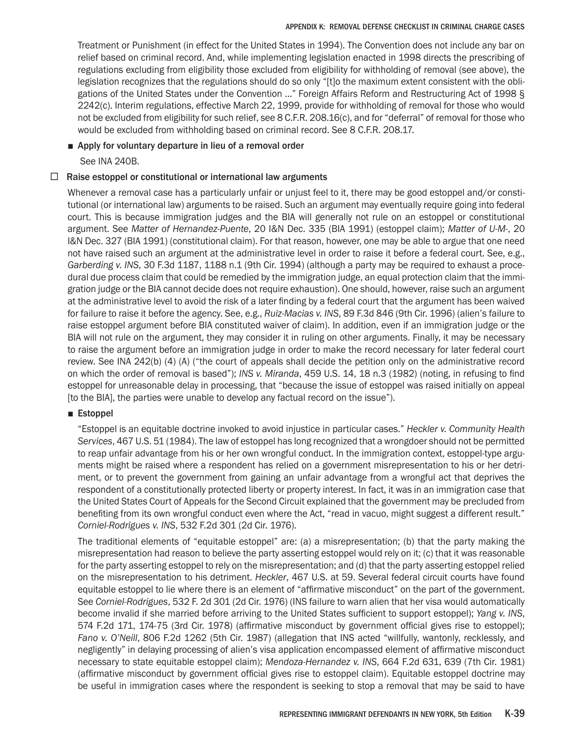Treatment or Punishment (in effect for the United States in 1994). The Convention does not include any bar on relief based on criminal record. And, while implementing legislation enacted in 1998 directs the prescribing of regulations excluding from eligibility those excluded from eligibility for withholding of removal (see above), the legislation recognizes that the regulations should do so only "[t]o the maximum extent consistent with the obligations of the United States under the Convention …" Foreign Affairs Reform and Restructuring Act of 1998 § 2242(c). Interim regulations, effective March 22, 1999, provide for withholding of removal for those who would not be excluded from eligibility for such relief, see 8 C.F.R. 208.16(c), and for "deferral" of removal for those who would be excluded from withholding based on criminal record. See 8 C.F.R. 208.17.

# ■ Apply for voluntary departure in lieu of a removal order

See INA 240B.

# $\Box$  Raise estoppel or constitutional or international law arguments

Whenever a removal case has a particularly unfair or unjust feel to it, there may be good estoppel and/or constitutional (or international law) arguments to be raised. Such an argument may eventually require going into federal court. This is because immigration judges and the BIA will generally not rule on an estoppel or constitutional argument. See *Matter of Hernandez-Puente*, 20 I&N Dec. 335 (BIA 1991) (estoppel claim); *Matter of U-M-*, 20 I&N Dec. 327 (BIA 1991) (constitutional claim). For that reason, however, one may be able to argue that one need not have raised such an argument at the administrative level in order to raise it before a federal court. See, e.g., *Garberding v. INS*, 30 F.3d 1187, 1188 n.1 (9th Cir. 1994) (although a party may be required to exhaust a procedural due process claim that could be remedied by the immigration judge, an equal protection claim that the immigration judge or the BIA cannot decide does not require exhaustion). One should, however, raise such an argument at the administrative level to avoid the risk of a later finding by a federal court that the argument has been waived for failure to raise it before the agency. See, e.g., *Ruiz-Macias v. INS*, 89 F.3d 846 (9th Cir. 1996) (alien's failure to raise estoppel argument before BIA constituted waiver of claim). In addition, even if an immigration judge or the BIA will not rule on the argument, they may consider it in ruling on other arguments. Finally, it may be necessary to raise the argument before an immigration judge in order to make the record necessary for later federal court review. See INA 242(b) (4) (A) ("the court of appeals shall decide the petition only on the administrative record on which the order of removal is based"); *INS v. Miranda*, 459 U.S. 14, 18 n.3 (1982) (noting, in refusing to find estoppel for unreasonable delay in processing, that "because the issue of estoppel was raised initially on appeal [to the BIA], the parties were unable to develop any factual record on the issue").

# ■ Estoppel

"Estoppel is an equitable doctrine invoked to avoid injustice in particular cases." *Heckler v. Community Health Services*, 467 U.S. 51 (1984). The law of estoppel has long recognized that a wrongdoer should not be permitted to reap unfair advantage from his or her own wrongful conduct. In the immigration context, estoppel-type arguments might be raised where a respondent has relied on a government misrepresentation to his or her detriment, or to prevent the government from gaining an unfair advantage from a wrongful act that deprives the respondent of a constitutionally protected liberty or property interest. In fact, it was in an immigration case that the United States Court of Appeals for the Second Circuit explained that the government may be precluded from benefiting from its own wrongful conduct even where the Act, "read in vacuo, might suggest a different result." *Corniel-Rodrigues v. INS*, 532 F.2d 301 (2d Cir. 1976).

The traditional elements of "equitable estoppel" are: (a) a misrepresentation; (b) that the party making the misrepresentation had reason to believe the party asserting estoppel would rely on it; (c) that it was reasonable for the party asserting estoppel to rely on the misrepresentation; and (d) that the party asserting estoppel relied on the misrepresentation to his detriment. *Heckler*, 467 U.S. at 59. Several federal circuit courts have found equitable estoppel to lie where there is an element of "affirmative misconduct" on the part of the government. See *Corniel-Rodrigues*, 532 F. 2d 301 (2d Cir. 1976) (INS failure to warn alien that her visa would automatically become invalid if she married before arriving to the United States sufficient to support estoppel); *Yang v. INS*, 574 F.2d 171, 174-75 (3rd Cir. 1978) (affirmative misconduct by government official gives rise to estoppel); *Fano v. O'Neill*, 806 F.2d 1262 (5th Cir. 1987) (allegation that INS acted "willfully, wantonly, recklessly, and negligently" in delaying processing of alien's visa application encompassed element of affirmative misconduct necessary to state equitable estoppel claim); *Mendoza-Hernandez v. INS*, 664 F.2d 631, 639 (7th Cir. 1981) (affirmative misconduct by government official gives rise to estoppel claim). Equitable estoppel doctrine may be useful in immigration cases where the respondent is seeking to stop a removal that may be said to have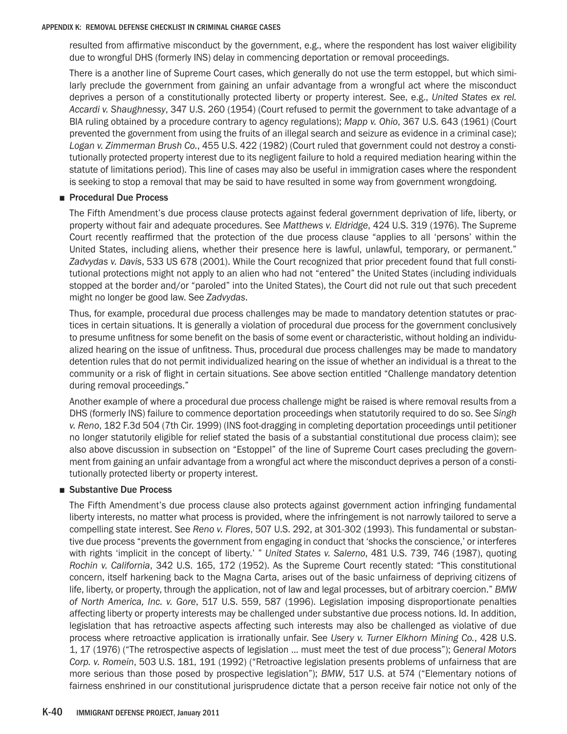resulted from affirmative misconduct by the government, e.g., where the respondent has lost waiver eligibility due to wrongful DHS (formerly INS) delay in commencing deportation or removal proceedings.

There is a another line of Supreme Court cases, which generally do not use the term estoppel, but which similarly preclude the government from gaining an unfair advantage from a wrongful act where the misconduct deprives a person of a constitutionally protected liberty or property interest. See, e.g., *United States ex rel. Accardi v. Shaughnessy*, 347 U.S. 260 (1954) (Court refused to permit the government to take advantage of a BIA ruling obtained by a procedure contrary to agency regulations); *Mapp v. Ohio*, 367 U.S. 643 (1961) (Court prevented the government from using the fruits of an illegal search and seizure as evidence in a criminal case); *Logan v. Zimmerman Brush Co.*, 455 U.S. 422 (1982) (Court ruled that government could not destroy a constitutionally protected property interest due to its negligent failure to hold a required mediation hearing within the statute of limitations period). This line of cases may also be useful in immigration cases where the respondent is seeking to stop a removal that may be said to have resulted in some way from government wrongdoing.

### ■ Procedural Due Process

The Fifth Amendment's due process clause protects against federal government deprivation of life, liberty, or property without fair and adequate procedures. See *Matthews v. Eldridge*, 424 U.S. 319 (1976). The Supreme Court recently reaffirmed that the protection of the due process clause "applies to all 'persons' within the United States, including aliens, whether their presence here is lawful, unlawful, temporary, or permanent." *Zadvydas v. Davis*, 533 US 678 (2001). While the Court recognized that prior precedent found that full constitutional protections might not apply to an alien who had not "entered" the United States (including individuals stopped at the border and/or "paroled" into the United States), the Court did not rule out that such precedent might no longer be good law. See *Zadvydas*.

Thus, for example, procedural due process challenges may be made to mandatory detention statutes or practices in certain situations. It is generally a violation of procedural due process for the government conclusively to presume unfitness for some benefit on the basis of some event or characteristic, without holding an individualized hearing on the issue of unfitness. Thus, procedural due process challenges may be made to mandatory detention rules that do not permit individualized hearing on the issue of whether an individual is a threat to the community or a risk of flight in certain situations. See above section entitled "Challenge mandatory detention during removal proceedings."

Another example of where a procedural due process challenge might be raised is where removal results from a DHS (formerly INS) failure to commence deportation proceedings when statutorily required to do so. See *Singh v. Reno*, 182 F.3d 504 (7th Cir. 1999) (INS foot-dragging in completing deportation proceedings until petitioner no longer statutorily eligible for relief stated the basis of a substantial constitutional due process claim); see also above discussion in subsection on "Estoppel" of the line of Supreme Court cases precluding the government from gaining an unfair advantage from a wrongful act where the misconduct deprives a person of a constitutionally protected liberty or property interest.

# ■ Substantive Due Process

The Fifth Amendment's due process clause also protects against government action infringing fundamental liberty interests, no matter what process is provided, where the infringement is not narrowly tailored to serve a compelling state interest. See *Reno v. Flores*, 507 U.S. 292, at 301-302 (1993). This fundamental or substantive due process "prevents the government from engaging in conduct that 'shocks the conscience,' or interferes with rights 'implicit in the concept of liberty.' " *United States v. Salerno*, 481 U.S. 739, 746 (1987), quoting *Rochin v. California*, 342 U.S. 165, 172 (1952). As the Supreme Court recently stated: "This constitutional concern, itself harkening back to the Magna Carta, arises out of the basic unfairness of depriving citizens of life, liberty, or property, through the application, not of law and legal processes, but of arbitrary coercion." *BMW of North America, Inc. v. Gore*, 517 U.S. 559, 587 (1996). Legislation imposing disproportionate penalties affecting liberty or property interests may be challenged under substantive due process notions. Id. In addition, legislation that has retroactive aspects affecting such interests may also be challenged as violative of due process where retroactive application is irrationally unfair. See *Usery v. Turner Elkhorn Mining Co.*, 428 U.S. 1, 17 (1976) ("The retrospective aspects of legislation … must meet the test of due process"); *General Motors Corp. v. Romein*, 503 U.S. 181, 191 (1992) ("Retroactive legislation presents problems of unfairness that are more serious than those posed by prospective legislation"); *BMW*, 517 U.S. at 574 ("Elementary notions of fairness enshrined in our constitutional jurisprudence dictate that a person receive fair notice not only of the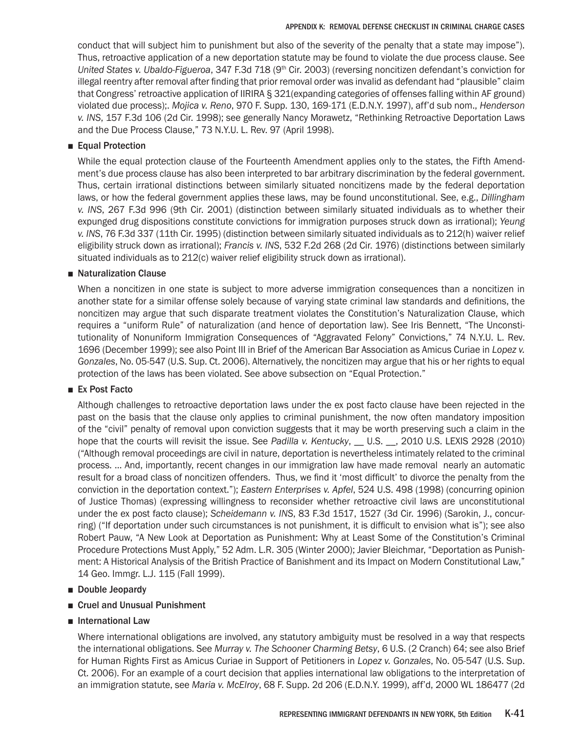conduct that will subject him to punishment but also of the severity of the penalty that a state may impose"). Thus, retroactive application of a new deportation statute may be found to violate the due process clause. See *United States v. Ubaldo-Figueroa*, 347 F.3d 718 (9th Cir. 2003) (reversing noncitizen defendant's conviction for illegal reentry after removal after finding that prior removal order was invalid as defendant had "plausible" claim that Congress' retroactive application of IIRIRA § 321(expanding categories of offenses falling within AF ground) violated due process);. *Mojica v. Reno*, 970 F. Supp. 130, 169-171 (E.D.N.Y. 1997), aff'd sub nom., *Henderson v. INS*, 157 F.3d 106 (2d Cir. 1998); see generally Nancy Morawetz, "Rethinking Retroactive Deportation Laws and the Due Process Clause," 73 N.Y.U. L. Rev. 97 (April 1998).

# ■ Equal Protection

While the equal protection clause of the Fourteenth Amendment applies only to the states, the Fifth Amendment's due process clause has also been interpreted to bar arbitrary discrimination by the federal government. Thus, certain irrational distinctions between similarly situated noncitizens made by the federal deportation laws, or how the federal government applies these laws, may be found unconstitutional. See, e.g., *Dillingham v. INS*, 267 F.3d 996 (9th Cir. 2001) (distinction between similarly situated individuals as to whether their expunged drug dispositions constitute convictions for immigration purposes struck down as irrational); *Yeung v. INS*, 76 F.3d 337 (11th Cir. 1995) (distinction between similarly situated individuals as to 212(h) waiver relief eligibility struck down as irrational); *Francis v. INS*, 532 F.2d 268 (2d Cir. 1976) (distinctions between similarly situated individuals as to 212(c) waiver relief eligibility struck down as irrational).

# ■ Naturalization Clause

When a noncitizen in one state is subject to more adverse immigration consequences than a noncitizen in another state for a similar offense solely because of varying state criminal law standards and definitions, the noncitizen may argue that such disparate treatment violates the Constitution's Naturalization Clause, which requires a "uniform Rule" of naturalization (and hence of deportation law). See Iris Bennett, "The Unconstitutionality of Nonuniform Immigration Consequences of "Aggravated Felony" Convictions," 74 N.Y.U. L. Rev. 1696 (December 1999); see also Point III in Brief of the American Bar Association as Amicus Curiae in *Lopez v. Gonzales*, No. 05-547 (U.S. Sup. Ct. 2006). Alternatively, the noncitizen may argue that his or her rights to equal protection of the laws has been violated. See above subsection on "Equal Protection."

# ■ Ex Post Facto

Although challenges to retroactive deportation laws under the ex post facto clause have been rejected in the past on the basis that the clause only applies to criminal punishment, the now often mandatory imposition of the "civil" penalty of removal upon conviction suggests that it may be worth preserving such a claim in the hope that the courts will revisit the issue. See *Padilla v. Kentucky*, \_\_ U.S. \_\_, 2010 U.S. LEXIS 2928 (2010) ("Although removal proceedings are civil in nature, deportation is nevertheless intimately related to the criminal process. … And, importantly, recent changes in our immigration law have made removal nearly an automatic result for a broad class of noncitizen offenders. Thus, we find it 'most difficult' to divorce the penalty from the conviction in the deportation context."); *Eastern Enterprises v. Apfel*, 524 U.S. 498 (1998) (concurring opinion of Justice Thomas) (expressing willingness to reconsider whether retroactive civil laws are unconstitutional under the ex post facto clause); *Scheidemann v. INS*, 83 F.3d 1517, 1527 (3d Cir. 1996) (Sarokin, J., concurring) ("If deportation under such circumstances is not punishment, it is difficult to envision what is"); see also Robert Pauw, "A New Look at Deportation as Punishment: Why at Least Some of the Constitution's Criminal Procedure Protections Must Apply," 52 Adm. L.R. 305 (Winter 2000); Javier Bleichmar, "Deportation as Punishment: A Historical Analysis of the British Practice of Banishment and its Impact on Modern Constitutional Law," 14 Geo. Immgr. L.J. 115 (Fall 1999).

# ■ Double Jeopardy

- Cruel and Unusual Punishment
- International Law

Where international obligations are involved, any statutory ambiguity must be resolved in a way that respects the international obligations. See *Murray v. The Schooner Charming Betsy*, 6 U.S. (2 Cranch) 64; see also Brief for Human Rights First as Amicus Curiae in Support of Petitioners in *Lopez v. Gonzales*, No. 05-547 (U.S. Sup. Ct. 2006). For an example of a court decision that applies international law obligations to the interpretation of an immigration statute, see *Maria v. McElroy*, 68 F. Supp. 2d 206 (E.D.N.Y. 1999), aff'd, 2000 WL 186477 (2d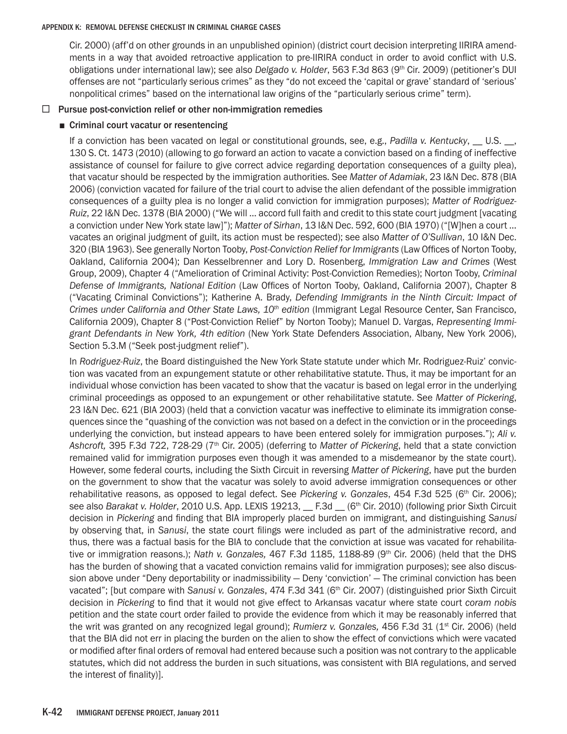Cir. 2000) (aff'd on other grounds in an unpublished opinion) (district court decision interpreting IIRIRA amendments in a way that avoided retroactive application to pre-IIRIRA conduct in order to avoid conflict with U.S. obligations under international law); see also *Delgado v. Holder*, 563 F.3d 863 (9th Cir. 2009) (petitioner's DUI offenses are not "particularly serious crimes" as they "do not exceed the 'capital or grave' standard of 'serious' nonpolitical crimes" based on the international law origins of the "particularly serious crime" term).

# $\Box$  Pursue post-conviction relief or other non-immigration remedies

### ■ Criminal court vacatur or resentencing

If a conviction has been vacated on legal or constitutional grounds, see, e.g., *Padilla v. Kentucky*, \_\_ U.S. \_\_, 130 S. Ct. 1473 (2010) (allowing to go forward an action to vacate a conviction based on a finding of ineffective assistance of counsel for failure to give correct advice regarding deportation consequences of a guilty plea), that vacatur should be respected by the immigration authorities. See *Matter of Adamiak*, 23 I&N Dec. 878 (BIA 2006) (conviction vacated for failure of the trial court to advise the alien defendant of the possible immigration consequences of a guilty plea is no longer a valid conviction for immigration purposes); *Matter of Rodriguez-Ruiz*, 22 I&N Dec. 1378 (BIA 2000) ("We will … accord full faith and credit to this state court judgment [vacating a conviction under New York state law]"); *Matter of Sirhan*, 13 I&N Dec. 592, 600 (BIA 1970) ("[W]hen a court … vacates an original judgment of guilt, its action must be respected); see also *Matter of O'Sullivan*, 10 I&N Dec. 320 (BIA 1963). See generally Norton Tooby, *Post-Conviction Relief for Immigrants* (Law Offices of Norton Tooby, Oakland, California 2004); Dan Kesselbrenner and Lory D. Rosenberg, *Immigration Law and Crimes* (West Group, 2009), Chapter 4 ("Amelioration of Criminal Activity: Post-Conviction Remedies); Norton Tooby, *Criminal Defense of Immigrants, National Edition* (Law Offices of Norton Tooby, Oakland, California 2007), Chapter 8 ("Vacating Criminal Convictions"); Katherine A. Brady, *Defending Immigrants in the Ninth Circuit: Impact of Crimes under California and Other State Laws, 10th edition* (Immigrant Legal Resource Center, San Francisco, California 2009), Chapter 8 ("Post-Conviction Relief" by Norton Tooby); Manuel D. Vargas, *Representing Immigrant Defendants in New York, 4th edition* (New York State Defenders Association, Albany, New York 2006), Section 5.3.M ("Seek post-judgment relief").

In *Rodriguez-Ruiz*, the Board distinguished the New York State statute under which Mr. Rodriguez-Ruiz' conviction was vacated from an expungement statute or other rehabilitative statute. Thus, it may be important for an individual whose conviction has been vacated to show that the vacatur is based on legal error in the underlying criminal proceedings as opposed to an expungement or other rehabilitative statute. See *Matter of Pickering*, 23 I&N Dec. 621 (BIA 2003) (held that a conviction vacatur was ineffective to eliminate its immigration consequences since the "quashing of the conviction was not based on a defect in the conviction or in the proceedings underlying the conviction, but instead appears to have been entered solely for immigration purposes."); *Ali v. Ashcroft,* 395 F.3d 722, 728-29 (7th Cir. 2005) (deferring to *Matter of Pickering*, held that a state conviction remained valid for immigration purposes even though it was amended to a misdemeanor by the state court). However, some federal courts, including the Sixth Circuit in reversing *Matter of Pickering*, have put the burden on the government to show that the vacatur was solely to avoid adverse immigration consequences or other rehabilitative reasons, as opposed to legal defect. See *Pickering v. Gonzales*, 454 F.3d 525 (6<sup>th</sup> Cir. 2006); see also *Barakat v. Holder*, 2010 U.S. App. LEXIS 19213, F.3d (6<sup>th</sup> Cir. 2010) (following prior Sixth Circuit decision in *Pickering* and finding that BIA improperly placed burden on immigrant, and distinguishing *Sanusi* by observing that, in *Sanusi*, the state court filings were included as part of the administrative record, and thus, there was a factual basis for the BIA to conclude that the conviction at issue was vacated for rehabilitative or immigration reasons.); *Nath v. Gonzales, 467 F.3d 1185, 1188-89 (9<sup>th</sup> Cir. 2006)* (held that the DHS has the burden of showing that a vacated conviction remains valid for immigration purposes); see also discussion above under "Deny deportability or inadmissibility — Deny 'conviction' — The criminal conviction has been vacated"; [but compare with *Sanusi v. Gonzales*, 474 F.3d 341 (6<sup>th</sup> Cir. 2007) (distinguished prior Sixth Circuit decision in *Pickering* to find that it would not give effect to Arkansas vacatur where state court *coram nobis*  petition and the state court order failed to provide the evidence from which it may be reasonably inferred that the writ was granted on any recognized legal ground); *Rumierz v. Gonzales,* 456 F.3d 31 (1st Cir. 2006) (held that the BIA did not err in placing the burden on the alien to show the effect of convictions which were vacated or modified after final orders of removal had entered because such a position was not contrary to the applicable statutes, which did not address the burden in such situations, was consistent with BIA regulations, and served the interest of finality)].